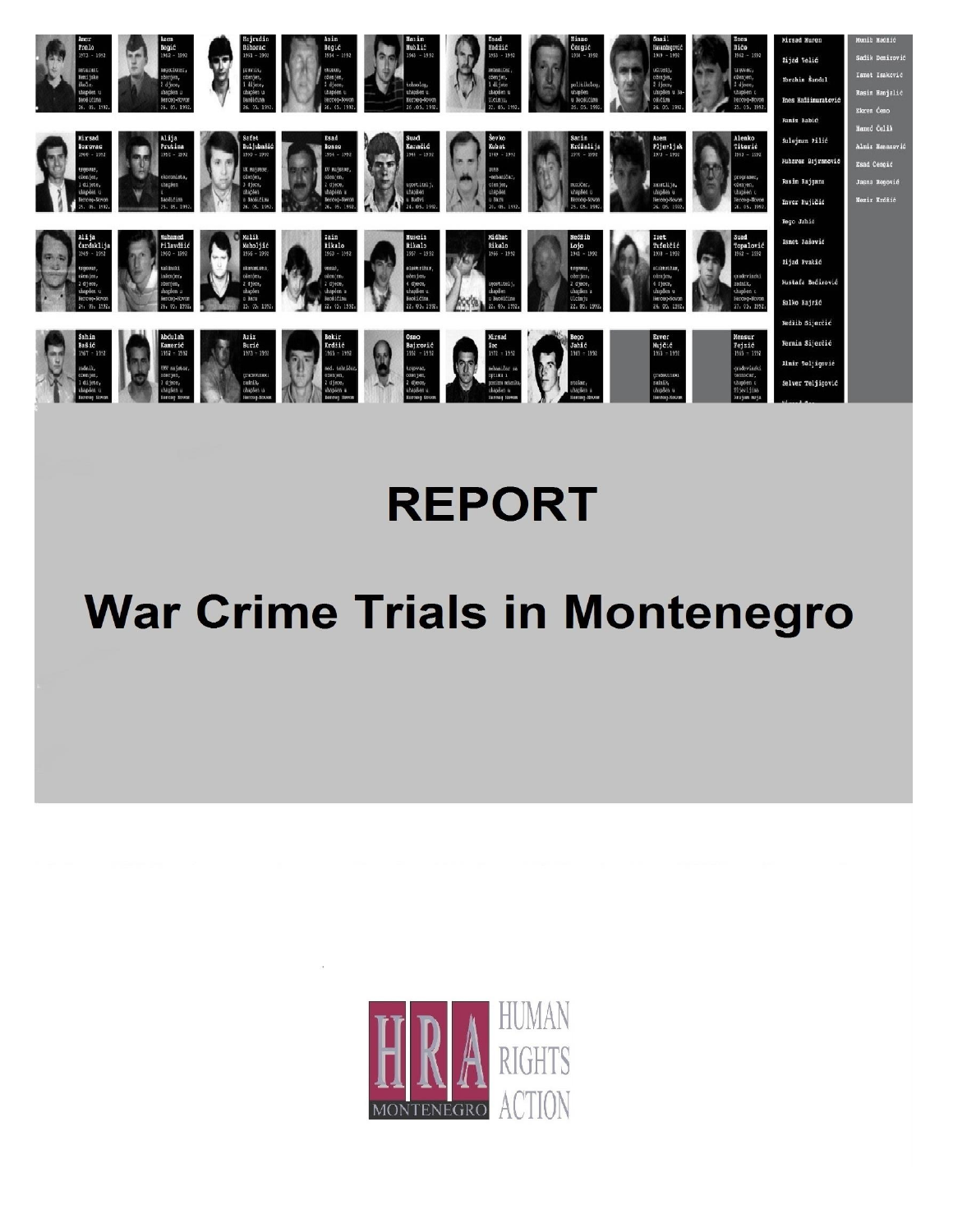

## **REPORT**

# **War Crime Trials in Montenegro**

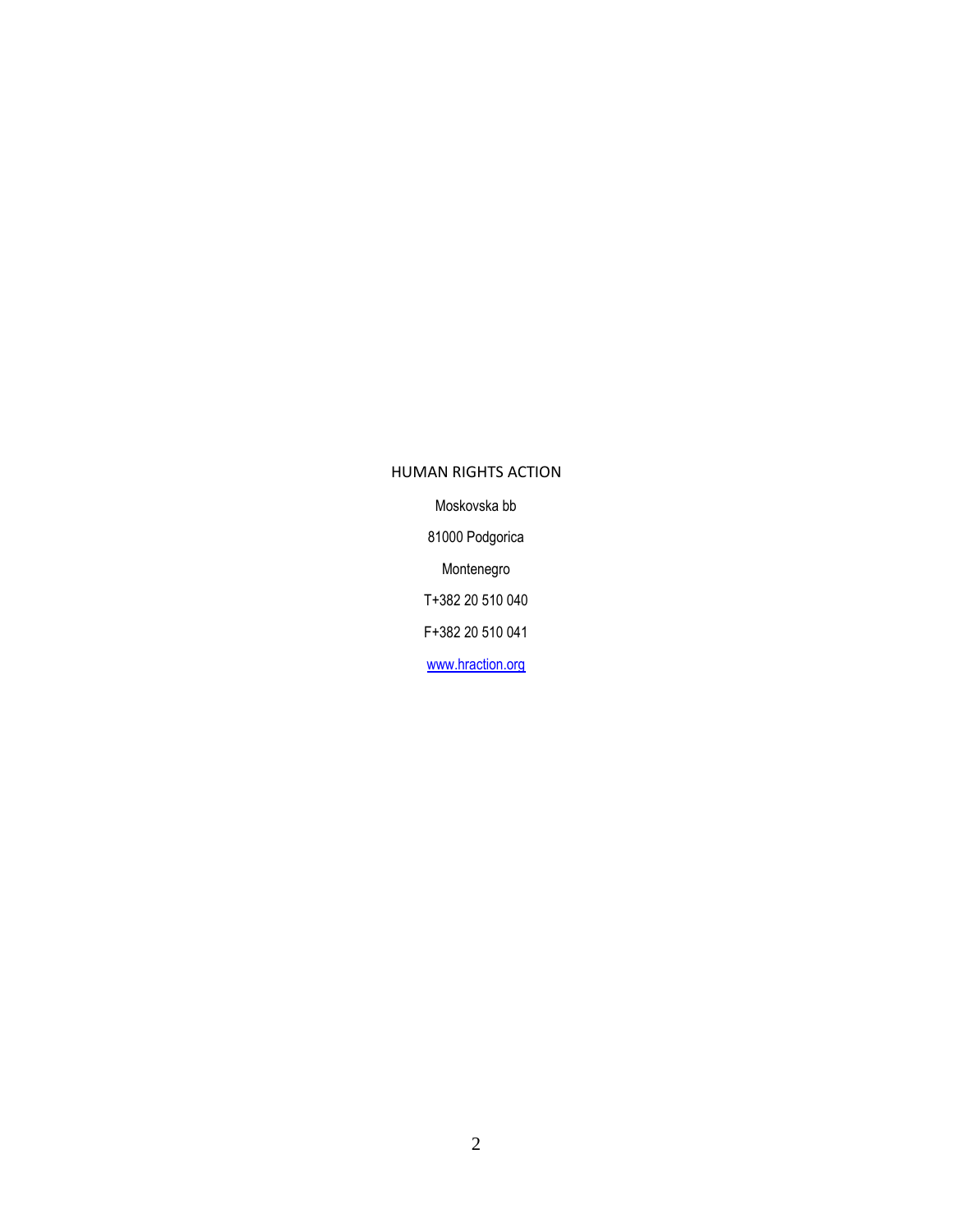## HUMAN RIGHTS ACTION Moskovska bb 81000 Podgorica Montenegro T+382 20 510 040 F+382 20 510 041 [www.hraction.org](http://www.hraction.org/)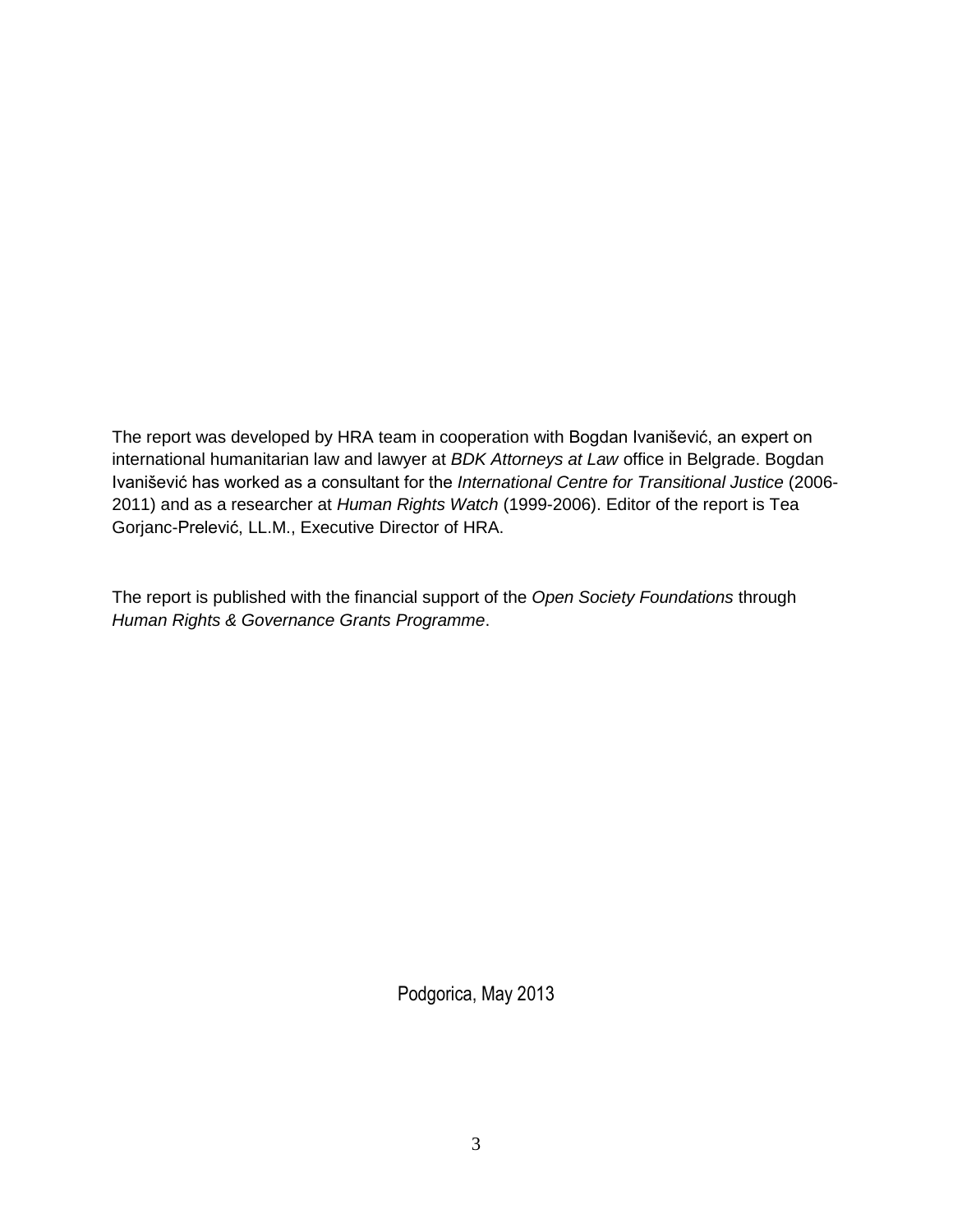The report was developed by HRA team in cooperation with Bogdan Ivanišević, an expert on international humanitarian law and lawyer at *BDK Attorneys at Law* office in Belgrade. Bogdan Ivanišević has worked as a consultant for the *International Centre for Transitional Justice* (2006- 2011) and as a researcher at *Human Rights Watch* (1999-2006). Editor of the report is Tea Gorjanc-Prelević, LL.M., Executive Director of HRA.

The report is published with the financial support of the *Open Society Foundations* through *Human Rights & Governance Grants Programme*.

Podgorica, May 2013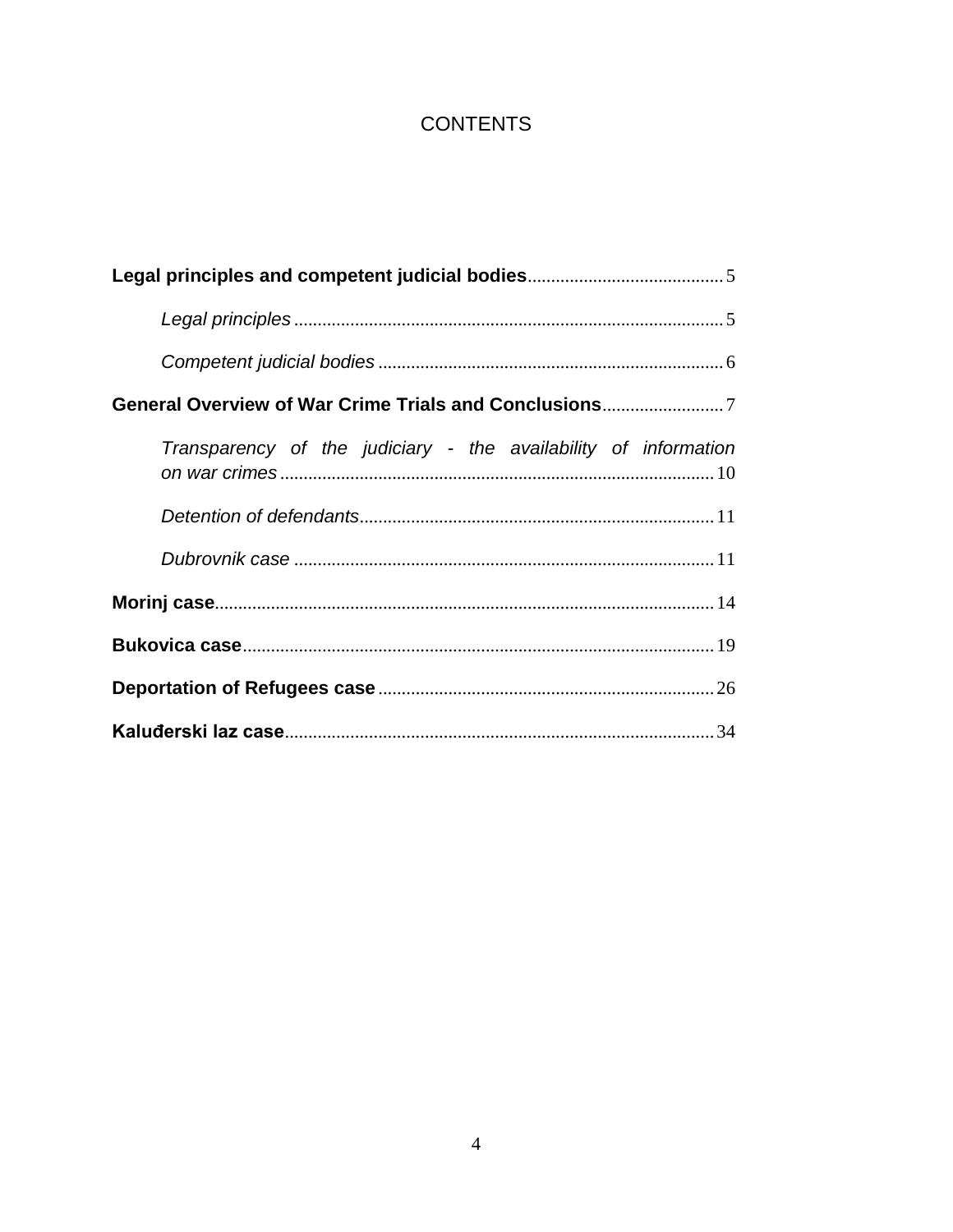## **CONTENTS**

| Transparency of the judiciary - the availability of information |
|-----------------------------------------------------------------|
|                                                                 |
|                                                                 |
|                                                                 |
|                                                                 |
|                                                                 |
|                                                                 |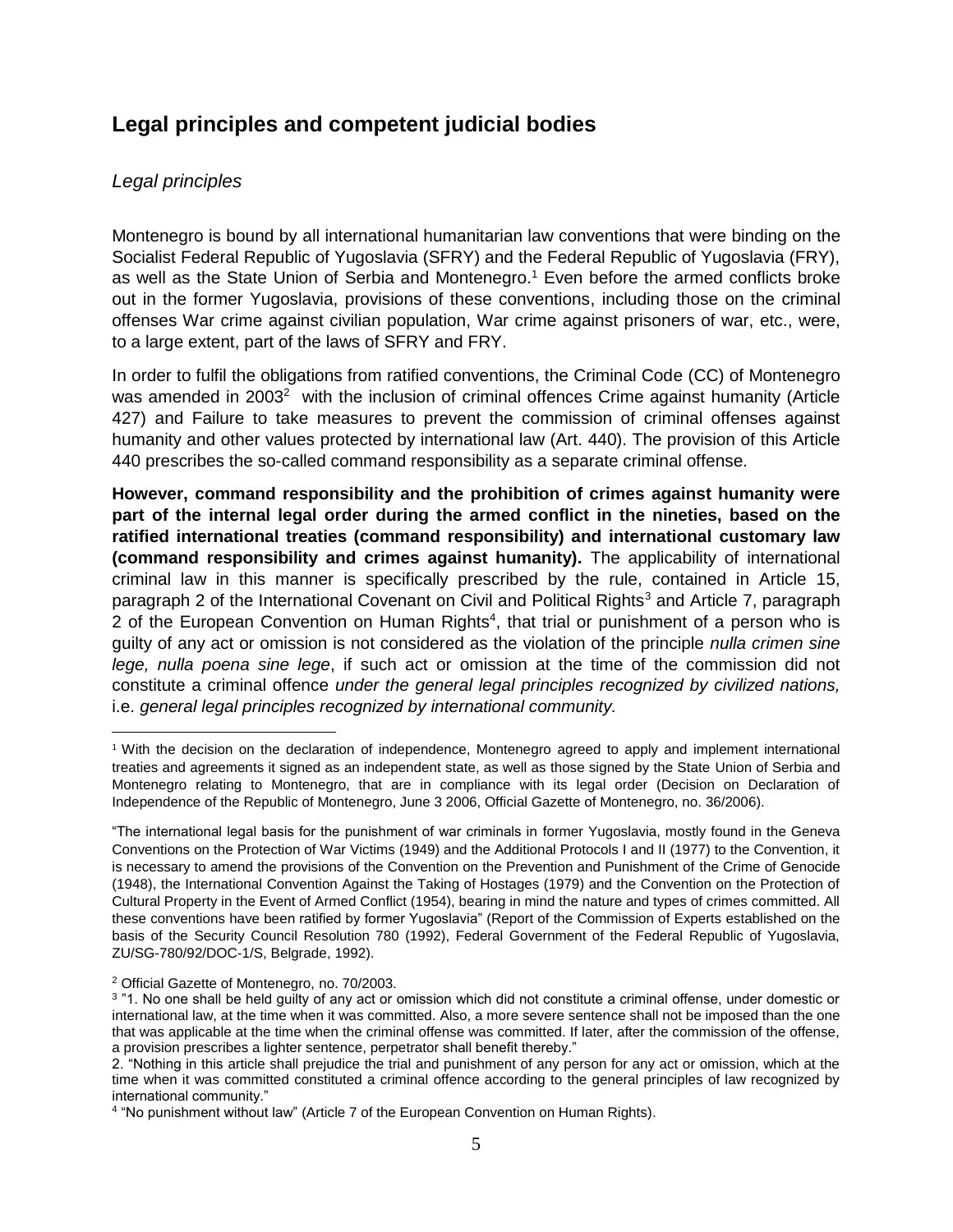## <span id="page-4-0"></span>**Legal principles and competent judicial bodies**

#### <span id="page-4-1"></span>*Legal principles*

 $\overline{\phantom{a}}$ 

Montenegro is bound by all international humanitarian law conventions that were binding on the Socialist Federal Republic of Yugoslavia (SFRY) and the Federal Republic of Yugoslavia (FRY), as well as the State Union of Serbia and Montenegro.<sup>1</sup> Even before the armed conflicts broke out in the former Yugoslavia, provisions of these conventions, including those on the criminal offenses War crime against civilian population, War crime against prisoners of war, etc., were, to a large extent, part of the laws of SFRY and FRY.

In order to fulfil the obligations from ratified conventions, the Criminal Code (CC) of Montenegro was amended in 2003<sup>2</sup> with the inclusion of criminal offences Crime against humanity (Article 427) and Failure to take measures to prevent the commission of criminal offenses against humanity and other values protected by international law (Art. 440). The provision of this Article 440 prescribes the so-called command responsibility as a separate criminal offense.

**However, command responsibility and the prohibition of crimes against humanity were part of the internal legal order during the armed conflict in the nineties, based on the ratified international treaties (command responsibility) and international customary law (command responsibility and crimes against humanity).** The applicability of international criminal law in this manner is specifically prescribed by the rule, contained in Article 15, paragraph 2 of the International Covenant on Civil and Political Rights<sup>3</sup> and Article 7, paragraph 2 of the European Convention on Human Rights<sup>4</sup>, that trial or punishment of a person who is guilty of any act or omission is not considered as the violation of the principle *nulla crimen sine lege, nulla poena sine lege*, if such act or omission at the time of the commission did not constitute a criminal offence *under the general legal principles recognized by civilized nations,* i.e. *general legal principles recognized by international community.*

<sup>1</sup> With the decision on the declaration of independence, Montenegro agreed to apply and implement international treaties and agreements it signed as an independent state, as well as those signed by the State Union of Serbia and Montenegro relating to Montenegro, that are in compliance with its legal order (Decision on Declaration of Independence of the Republic of Montenegro, June 3 2006, Official Gazette of Montenegro, no. 36/2006).

<sup>&</sup>quot;The international legal basis for the punishment of war criminals in former Yugoslavia, mostly found in the Geneva Conventions on the Protection of War Victims (1949) and the Additional Protocols I and II (1977) to the Convention, it is necessary to amend the provisions of the Convention on the Prevention and Punishment of the Crime of Genocide (1948), the International Convention Against the Taking of Hostages (1979) and the Convention on the Protection of Cultural Property in the Event of Armed Conflict (1954), bearing in mind the nature and types of crimes committed. All these conventions have been ratified by former Yugoslavia" (Report of the Commission of Experts established on the basis of the Security Council Resolution 780 (1992), Federal Government of the Federal Republic of Yugoslavia, ZU/SG-780/92/DOC-1/S, Belgrade, 1992).

<sup>2</sup> Official Gazette of Montenegro, no. 70/2003.

<sup>&</sup>lt;sup>3</sup> "1. No one shall be held guilty of any act or omission which did not constitute a criminal offense, under domestic or international law, at the time when it was committed. Also, a more severe sentence shall not be imposed than the one that was applicable at the time when the criminal offense was committed. If later, after the commission of the offense, a provision prescribes a lighter sentence, perpetrator shall benefit thereby."

<sup>2. &</sup>quot;Nothing in this article shall prejudice the trial and punishment of any person for any act or omission, which at the time when it was committed constituted a criminal offence according to the general principles of law recognized by international community."

<sup>4</sup> "No punishment without law" (Article 7 of the European Convention on Human Rights).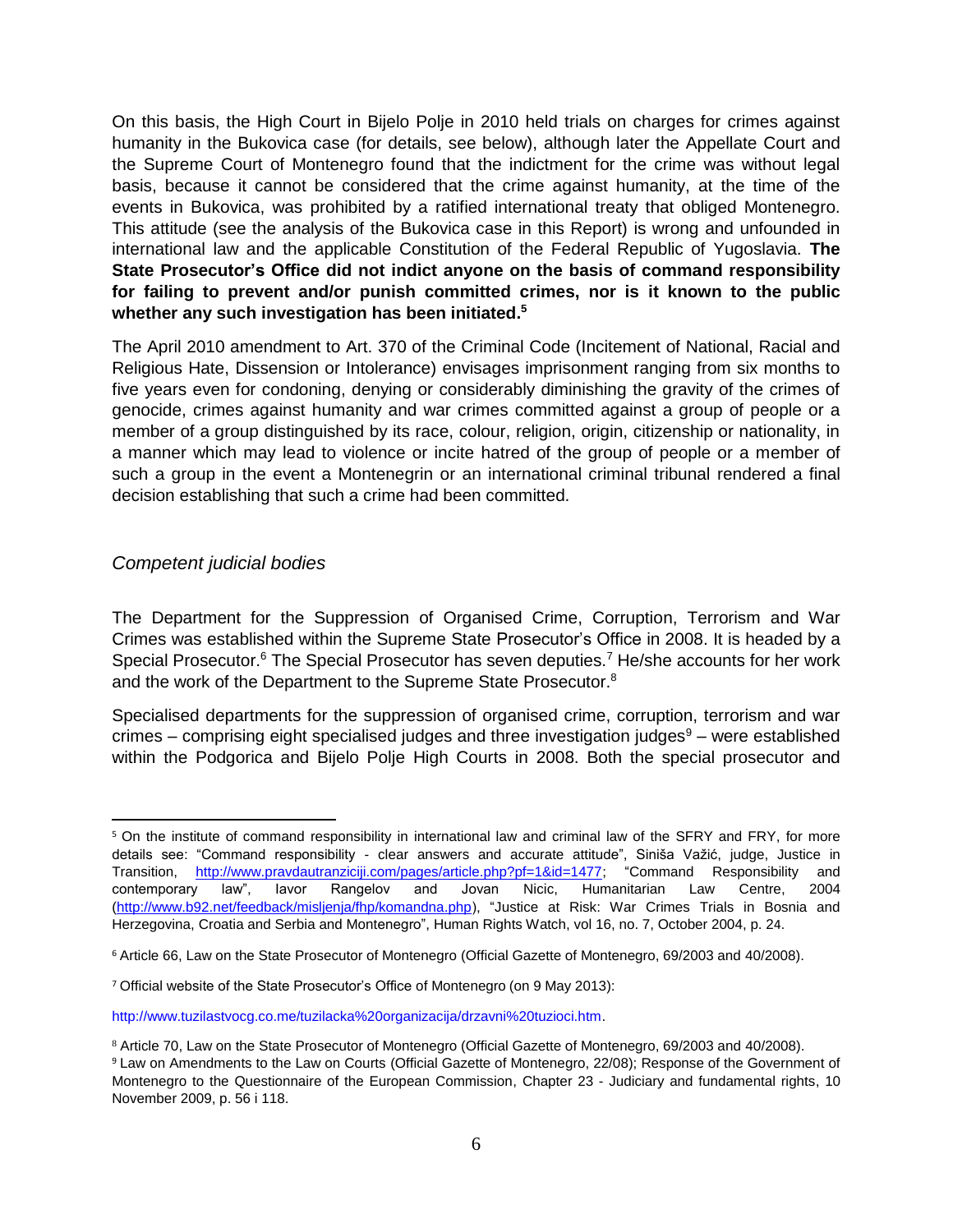On this basis, the High Court in Bijelo Polje in 2010 held trials on charges for crimes against humanity in the Bukovica case (for details, see below), although later the Appellate Court and the Supreme Court of Montenegro found that the indictment for the crime was without legal basis, because it cannot be considered that the crime against humanity, at the time of the events in Bukovica, was prohibited by a ratified international treaty that obliged Montenegro. This attitude (see the analysis of the Bukovica case in this Report) is wrong and unfounded in international law and the applicable Constitution of the Federal Republic of Yugoslavia. **The State Prosecutor's Office did not indict anyone on the basis of command responsibility for failing to prevent and/or punish committed crimes, nor is it known to the public whether any such investigation has been initiated.<sup>5</sup>**

The April 2010 amendment to Art. 370 of the Criminal Code (Incitement of National, Racial and Religious Hate, Dissension or Intolerance) envisages imprisonment ranging from six months to five years even for condoning, denying or considerably diminishing the gravity of the crimes of genocide, crimes against humanity and war crimes committed against a group of people or a member of a group distinguished by its race, colour, religion, origin, citizenship or nationality, in a manner which may lead to violence or incite hatred of the group of people or a member of such a group in the event a Montenegrin or an international criminal tribunal rendered a final decision establishing that such a crime had been committed.

#### <span id="page-5-0"></span>*Competent judicial bodies*

The Department for the Suppression of Organised Crime, Corruption, Terrorism and War Crimes was established within the Supreme State Prosecutor's Office in 2008. It is headed by a Special Prosecutor.<sup>6</sup> The Special Prosecutor has seven deputies.<sup>7</sup> He/she accounts for her work and the work of the Department to the Supreme State Prosecutor.<sup>8</sup>

Specialised departments for the suppression of organised crime, corruption, terrorism and war crimes – comprising eight specialised judges and three investigation judges $9$  – were established within the Podgorica and Bijelo Polje High Courts in 2008. Both the special prosecutor and

 $\overline{\phantom{a}}$ <sup>5</sup> On the institute of command responsibility in international law and criminal law of the SFRY and FRY, for more details see: "Command responsibility - clear answers and accurate attitude", Siniša Važić, judge, Justice in Transition, [http://www.pravdautranziciji.com/pages/article.php?pf=1&id=1477;](http://www.pravdautranziciji.com/pages/article.php?pf=1&id=1477) "Command Responsibility and contemporary law", Iavor Rangelov and Jovan Nicic, Humanitarian Law Centre, 2004 [\(http://www.b92.net/feedback/misljenja/fhp/komandna.php\)](http://www.b92.net/feedback/misljenja/fhp/komandna.php), "Justice at Risk: War Crimes Trials in Bosnia and Herzegovina, Croatia and Serbia and Montenegro", Human Rights Watch, vol 16, no. 7, October 2004, p. 24.

<sup>6</sup> Article 66, Law on the State Prosecutor of Montenegro (Official Gazette of Montenegro, 69/2003 and 40/2008).

<sup>7</sup> Official website of the State Prosecutor's Office of Montenegro (on 9 May 2013):

http://www.tuzilastvocg.co.me/tuzilacka%20organizacija/drzavni%20tuzioci.htm.

<sup>8</sup> Article 70, Law on the State Prosecutor of Montenegro (Official Gazette of Montenegro, 69/2003 and 40/2008).

<sup>9</sup> Law on Amendments to the Law on Courts (Official Gazette of Montenegro, 22/08); Response of the Government of Montenegro to the Questionnaire of the European Commission, Chapter 23 - Judiciary and fundamental rights, 10 November 2009, p. 56 i 118.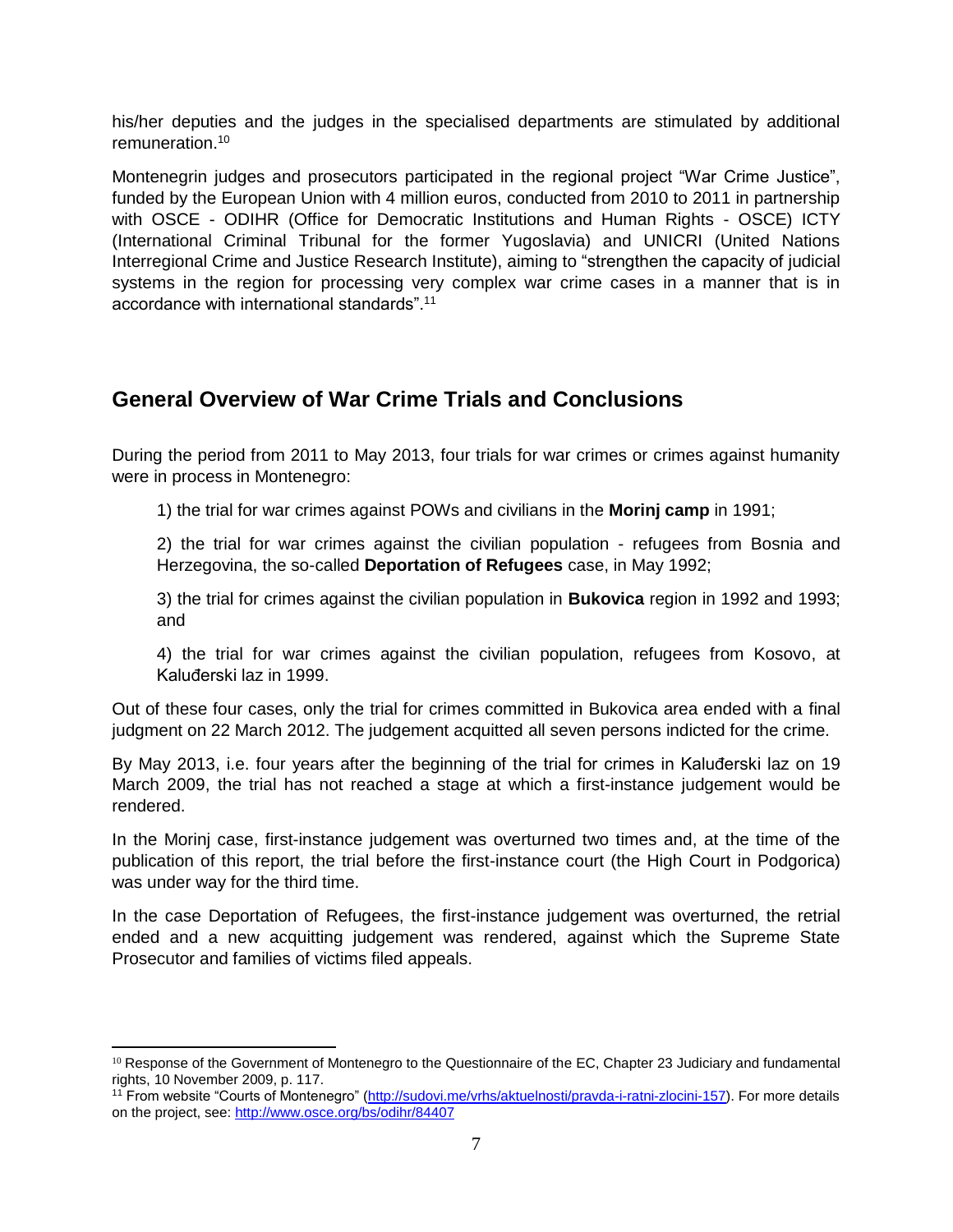his/her deputies and the judges in the specialised departments are stimulated by additional remuneration.<sup>10</sup>

Montenegrin judges and prosecutors participated in the regional project "War Crime Justice", funded by the European Union with 4 million euros, conducted from 2010 to 2011 in partnership with OSCE - ODIHR (Office for Democratic Institutions and Human Rights - OSCE) ICTY (International Criminal Tribunal for the former Yugoslavia) and UNICRI (United Nations Interregional Crime and Justice Research Institute), aiming to "strengthen the capacity of judicial systems in the region for processing very complex war crime cases in a manner that is in accordance with international standards".<sup>11</sup>

## <span id="page-6-0"></span>**General Overview of War Crime Trials and Conclusions**

During the period from 2011 to May 2013, four trials for war crimes or crimes against humanity were in process in Montenegro:

1) the trial for war crimes against POWs and civilians in the **Morinj camp** in 1991;

2) the trial for war crimes against the civilian population - refugees from Bosnia and Herzegovina, the so-called **Deportation of Refugees** case, in May 1992;

3) the trial for crimes against the civilian population in **Bukovica** region in 1992 and 1993; and

4) the trial for war crimes against the civilian population, refugees from Kosovo, at Kaluđerski laz in 1999.

Out of these four cases, only the trial for crimes committed in Bukovica area ended with a final judgment on 22 March 2012. The judgement acquitted all seven persons indicted for the crime.

By May 2013, i.e. four years after the beginning of the trial for crimes in Kaluđerski laz on 19 March 2009, the trial has not reached a stage at which a first-instance judgement would be rendered.

In the Morinj case, first-instance judgement was overturned two times and, at the time of the publication of this report, the trial before the first-instance court (the High Court in Podgorica) was under way for the third time.

In the case Deportation of Refugees, the first-instance judgement was overturned, the retrial ended and a new acquitting judgement was rendered, against which the Supreme State Prosecutor and families of victims filed appeals.

 $\overline{\phantom{a}}$ <sup>10</sup> Response of the Government of Montenegro to the Questionnaire of the EC, Chapter 23 Judiciary and fundamental rights, 10 November 2009, p. 117.

<sup>11</sup> From website "Courts of Montenegro" [\(http://sudovi.me/vrhs/aktuelnosti/pravda-i-ratni-zlocini-157\)](http://sudovi.me/vrhs/aktuelnosti/pravda-i-ratni-zlocini-157). For more details on the project, see:<http://www.osce.org/bs/odihr/84407>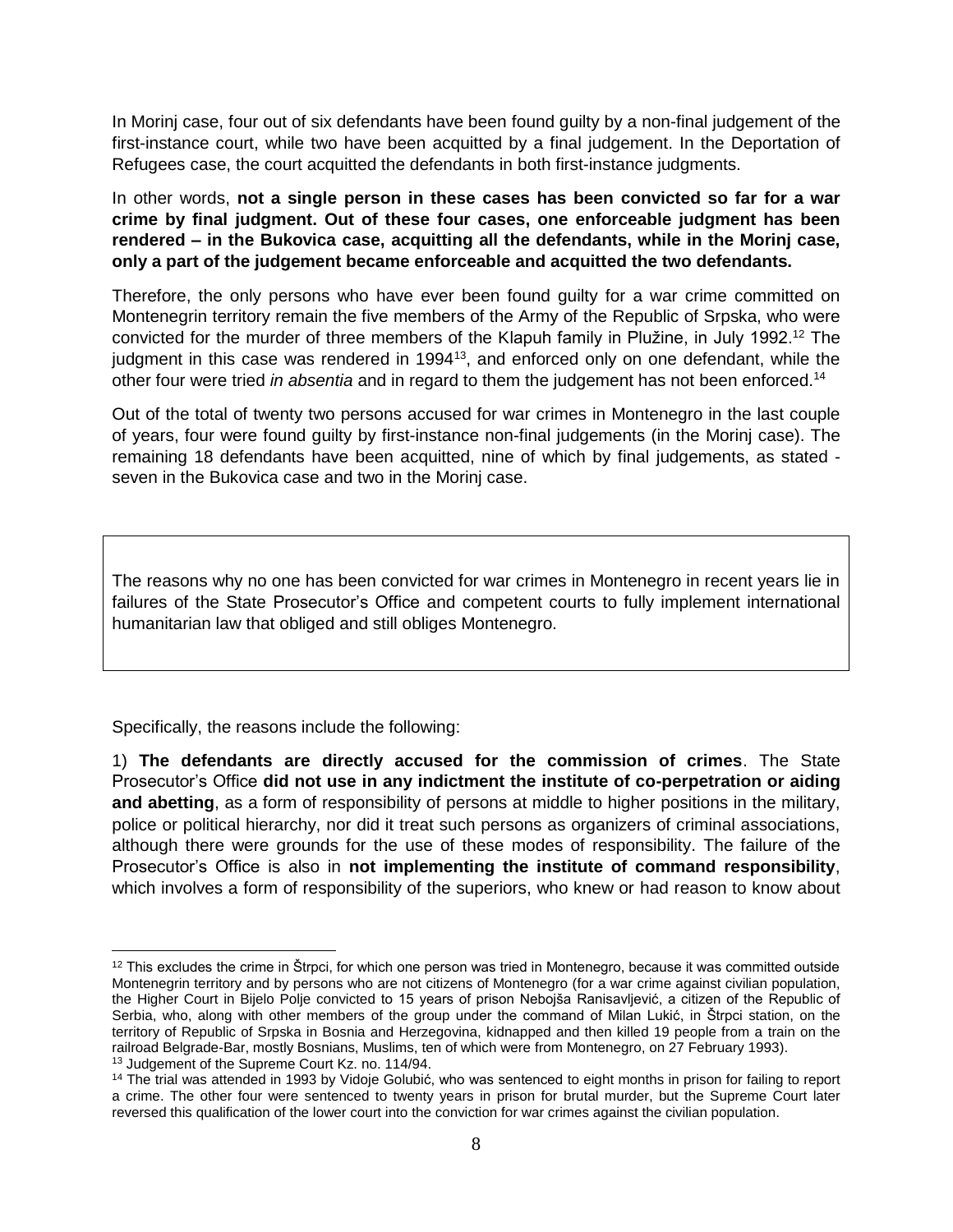In Morinj case, four out of six defendants have been found guilty by a non-final judgement of the first-instance court, while two have been acquitted by a final judgement. In the Deportation of Refugees case, the court acquitted the defendants in both first-instance judgments.

In other words, **not a single person in these cases has been convicted so far for a war crime by final judgment. Out of these four cases, one enforceable judgment has been rendered – in the Bukovica case, acquitting all the defendants, while in the Morinj case, only a part of the judgement became enforceable and acquitted the two defendants.**

Therefore, the only persons who have ever been found guilty for a war crime committed on Montenegrin territory remain the five members of the Army of the Republic of Srpska, who were convicted for the murder of three members of the Klapuh family in Plužine, in July 1992.<sup>12</sup> The judgment in this case was rendered in 1994<sup>13</sup>, and enforced only on one defendant, while the other four were tried *in absentia* and in regard to them the judgement has not been enforced.<sup>14</sup>

Out of the total of twenty two persons accused for war crimes in Montenegro in the last couple of years, four were found guilty by first-instance non-final judgements (in the Morinj case). The remaining 18 defendants have been acquitted, nine of which by final judgements, as stated seven in the Bukovica case and two in the Morinj case.

The reasons why no one has been convicted for war crimes in Montenegro in recent years lie in failures of the State Prosecutor's Office and competent courts to fully implement international humanitarian law that obliged and still obliges Montenegro.

Specifically, the reasons include the following:

1) **The defendants are directly accused for the commission of crimes**. The State Prosecutor's Office **did not use in any indictment the institute of co-perpetration or aiding and abetting**, as a form of responsibility of persons at middle to higher positions in the military, police or political hierarchy, nor did it treat such persons as organizers of criminal associations, although there were grounds for the use of these modes of responsibility. The failure of the Prosecutor's Office is also in **not implementing the institute of command responsibility**, which involves a form of responsibility of the superiors, who knew or had reason to know about

 $12$  This excludes the crime in Štrpci, for which one person was tried in Montenegro, because it was committed outside Montenegrin territory and by persons who are not citizens of Montenegro (for a war crime against civilian population, the Higher Court in Bijelo Polje convicted to 15 years of prison Nebojša Ranisavljević, a citizen of the Republic of Serbia, who, along with other members of the group under the command of Milan Lukić, in Štrpci station, on the territory of Republic of Srpska in Bosnia and Herzegovina, kidnapped and then killed 19 people from a train on the railroad Belgrade-Bar, mostly Bosnians, Muslims, ten of which were from Montenegro, on 27 February 1993).

<sup>13</sup> Judgement of the Supreme Court Kz. no. 114/94.

<sup>&</sup>lt;sup>14</sup> The trial was attended in 1993 by Vidoje Golubić, who was sentenced to eight months in prison for failing to report a crime. The other four were sentenced to twenty years in prison for brutal murder, but the Supreme Court later reversed this qualification of the lower court into the conviction for war crimes against the civilian population.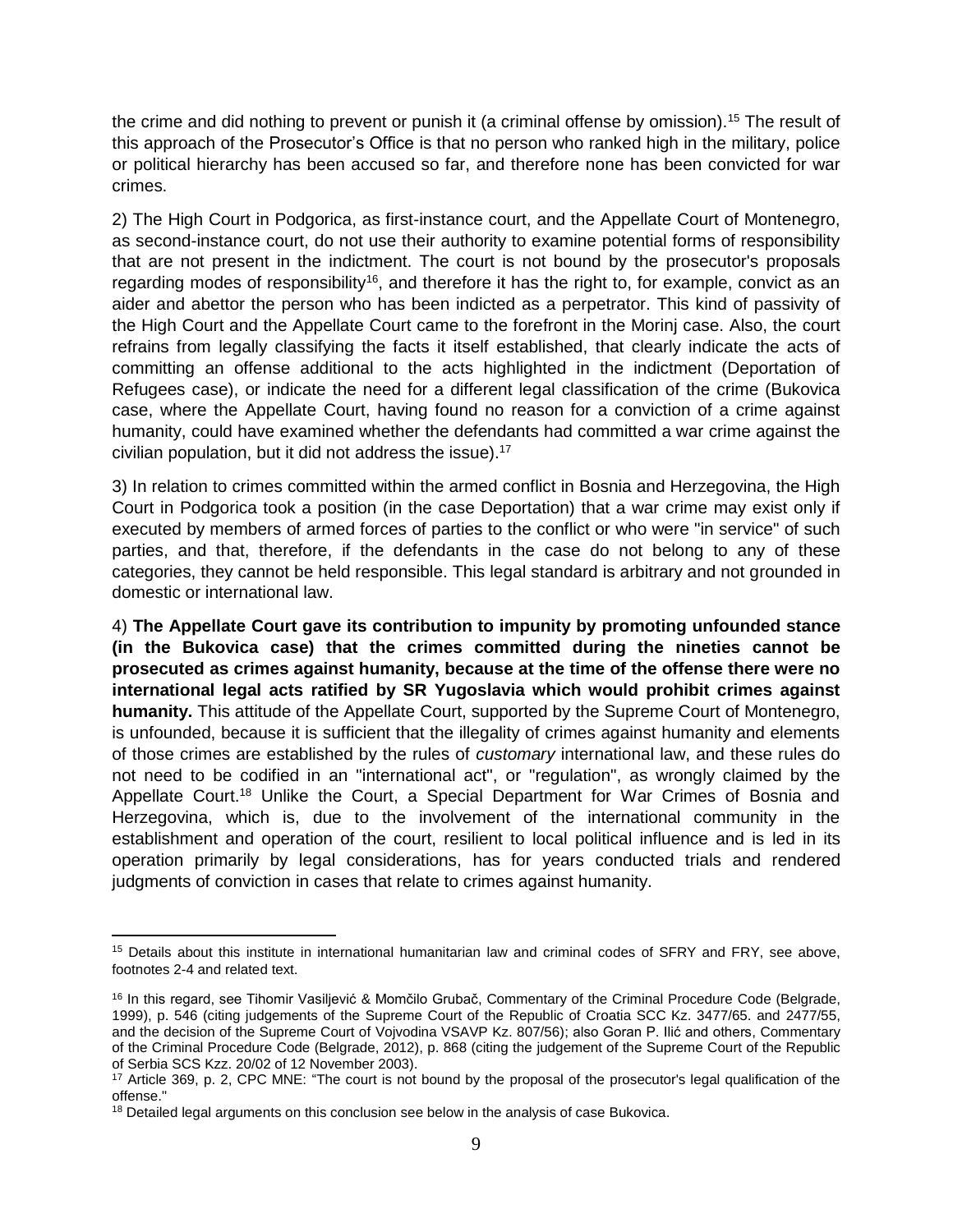the crime and did nothing to prevent or punish it (a criminal offense by omission).<sup>15</sup> The result of this approach of the Prosecutor's Office is that no person who ranked high in the military, police or political hierarchy has been accused so far, and therefore none has been convicted for war crimes.

2) The High Court in Podgorica, as first-instance court, and the Appellate Court of Montenegro, as second-instance court, do not use their authority to examine potential forms of responsibility that are not present in the indictment. The court is not bound by the prosecutor's proposals regarding modes of responsibility<sup>16</sup>, and therefore it has the right to, for example, convict as an aider and abettor the person who has been indicted as a perpetrator. This kind of passivity of the High Court and the Appellate Court came to the forefront in the Morinj case. Also, the court refrains from legally classifying the facts it itself established, that clearly indicate the acts of committing an offense additional to the acts highlighted in the indictment (Deportation of Refugees case), or indicate the need for a different legal classification of the crime (Bukovica case, where the Appellate Court, having found no reason for a conviction of a crime against humanity, could have examined whether the defendants had committed a war crime against the civilian population, but it did not address the issue).<sup>17</sup>

3) In relation to crimes committed within the armed conflict in Bosnia and Herzegovina, the High Court in Podgorica took a position (in the case Deportation) that a war crime may exist only if executed by members of armed forces of parties to the conflict or who were "in service" of such parties, and that, therefore, if the defendants in the case do not belong to any of these categories, they cannot be held responsible. This legal standard is arbitrary and not grounded in domestic or international law.

4) **The Appellate Court gave its contribution to impunity by promoting unfounded stance (in the Bukovica case) that the crimes committed during the nineties cannot be prosecuted as crimes against humanity, because at the time of the offense there were no international legal acts ratified by SR Yugoslavia which would prohibit crimes against humanity.** This attitude of the Appellate Court, supported by the Supreme Court of Montenegro, is unfounded, because it is sufficient that the illegality of crimes against humanity and elements of those crimes are established by the rules of *customary* international law, and these rules do not need to be codified in an "international act", or "regulation", as wrongly claimed by the Appellate Court.<sup>18</sup> Unlike the Court, a Special Department for War Crimes of Bosnia and Herzegovina, which is, due to the involvement of the international community in the establishment and operation of the court, resilient to local political influence and is led in its operation primarily by legal considerations, has for years conducted trials and rendered judgments of conviction in cases that relate to crimes against humanity.

<sup>&</sup>lt;sup>15</sup> Details about this institute in international humanitarian law and criminal codes of SFRY and FRY, see above, footnotes 2-4 and related text.

<sup>&</sup>lt;sup>16</sup> In this regard, see Tihomir Vasiljević & Momčilo Grubač, Commentary of the Criminal Procedure Code (Belgrade, 1999), p. 546 (citing judgements of the Supreme Court of the Republic of Croatia SCC Kz. 3477/65. and 2477/55, and the decision of the Supreme Court of Vojvodina VSAVP Kz. 807/56); also Goran P. Ilić and others, Commentary of the Criminal Procedure Code (Belgrade, 2012), p. 868 (citing the judgement of the Supreme Court of the Republic of Serbia SCS Kzz. 20/02 of 12 November 2003).

<sup>17</sup> Article 369, p. 2, CPC MNE: "The court is not bound by the proposal of the prosecutor's legal qualification of the offense."

<sup>&</sup>lt;sup>18</sup> Detailed legal arguments on this conclusion see below in the analysis of case Bukovica.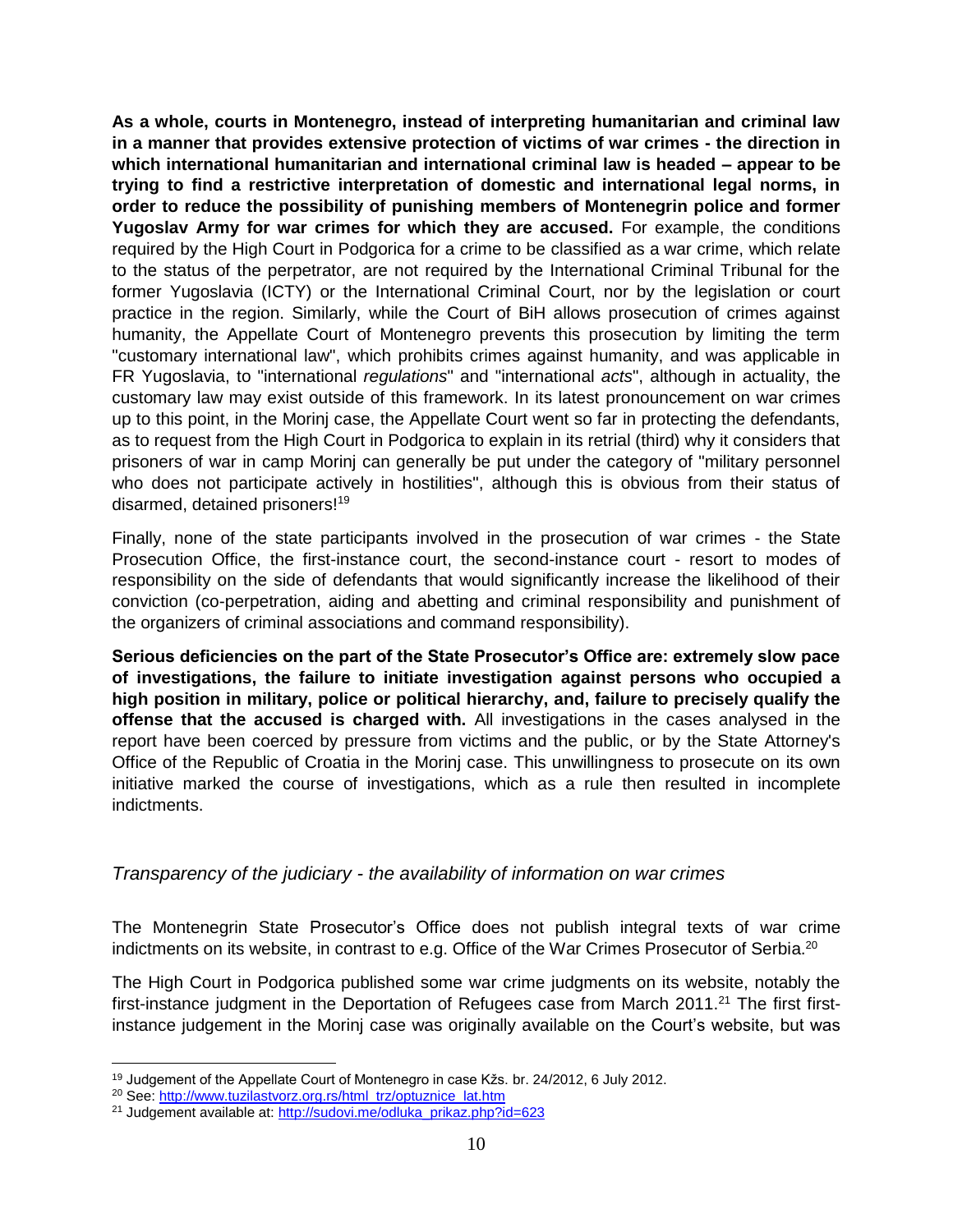**As a whole, courts in Montenegro, instead of interpreting humanitarian and criminal law in a manner that provides extensive protection of victims of war crimes - the direction in which international humanitarian and international criminal law is headed – appear to be trying to find a restrictive interpretation of domestic and international legal norms, in order to reduce the possibility of punishing members of Montenegrin police and former Yugoslav Army for war crimes for which they are accused.** For example, the conditions required by the High Court in Podgorica for a crime to be classified as a war crime, which relate to the status of the perpetrator, are not required by the International Criminal Tribunal for the former Yugoslavia (ICTY) or the International Criminal Court, nor by the legislation or court practice in the region. Similarly, while the Court of BiH allows prosecution of crimes against humanity, the Appellate Court of Montenegro prevents this prosecution by limiting the term "customary international law", which prohibits crimes against humanity, and was applicable in FR Yugoslavia, to "international *regulations*" and "international *acts*", although in actuality, the customary law may exist outside of this framework. In its latest pronouncement on war crimes up to this point, in the Morinj case, the Appellate Court went so far in protecting the defendants, as to request from the High Court in Podgorica to explain in its retrial (third) why it considers that prisoners of war in camp Morinj can generally be put under the category of "military personnel who does not participate actively in hostilities", although this is obvious from their status of disarmed, detained prisoners!<sup>19</sup>

Finally, none of the state participants involved in the prosecution of war crimes - the State Prosecution Office, the first-instance court, the second-instance court - resort to modes of responsibility on the side of defendants that would significantly increase the likelihood of their conviction (co-perpetration, aiding and abetting and criminal responsibility and punishment of the organizers of criminal associations and command responsibility).

**Serious deficiencies on the part of the State Prosecutor's Office are: extremely slow pace of investigations, the failure to initiate investigation against persons who occupied a high position in military, police or political hierarchy, and, failure to precisely qualify the offense that the accused is charged with.** All investigations in the cases analysed in the report have been coerced by pressure from victims and the public, or by the State Attorney's Office of the Republic of Croatia in the Morinj case. This unwillingness to prosecute on its own initiative marked the course of investigations, which as a rule then resulted in incomplete indictments.

#### <span id="page-9-0"></span>*Transparency of the judiciary - the availability of information on war crimes*

The Montenegrin State Prosecutor's Office does not publish integral texts of war crime indictments on its website, in contrast to e.g. Office of the War Crimes Prosecutor of Serbia.<sup>20</sup>

The High Court in Podgorica published some war crime judgments on its website, notably the first-instance judgment in the Deportation of Refugees case from March 2011.<sup>21</sup> The first firstinstance judgement in the Morinj case was originally available on the Court's website, but was

l <sup>19</sup> Judgement of the Appellate Court of Montenegro in case Kžs. br. 24/2012, 6 July 2012.

<sup>&</sup>lt;sup>20</sup> See: [http://www.tuzilastvorz.org.rs/html\\_trz/optuznice\\_lat.htm](http://www.tuzilastvorz.org.rs/html_trz/optuznice_lat.htm)

<sup>&</sup>lt;sup>21</sup> Judgement available at[: http://sudovi.me/odluka\\_prikaz.php?id=623](http://sudovi.me/odluka_prikaz.php?id=623)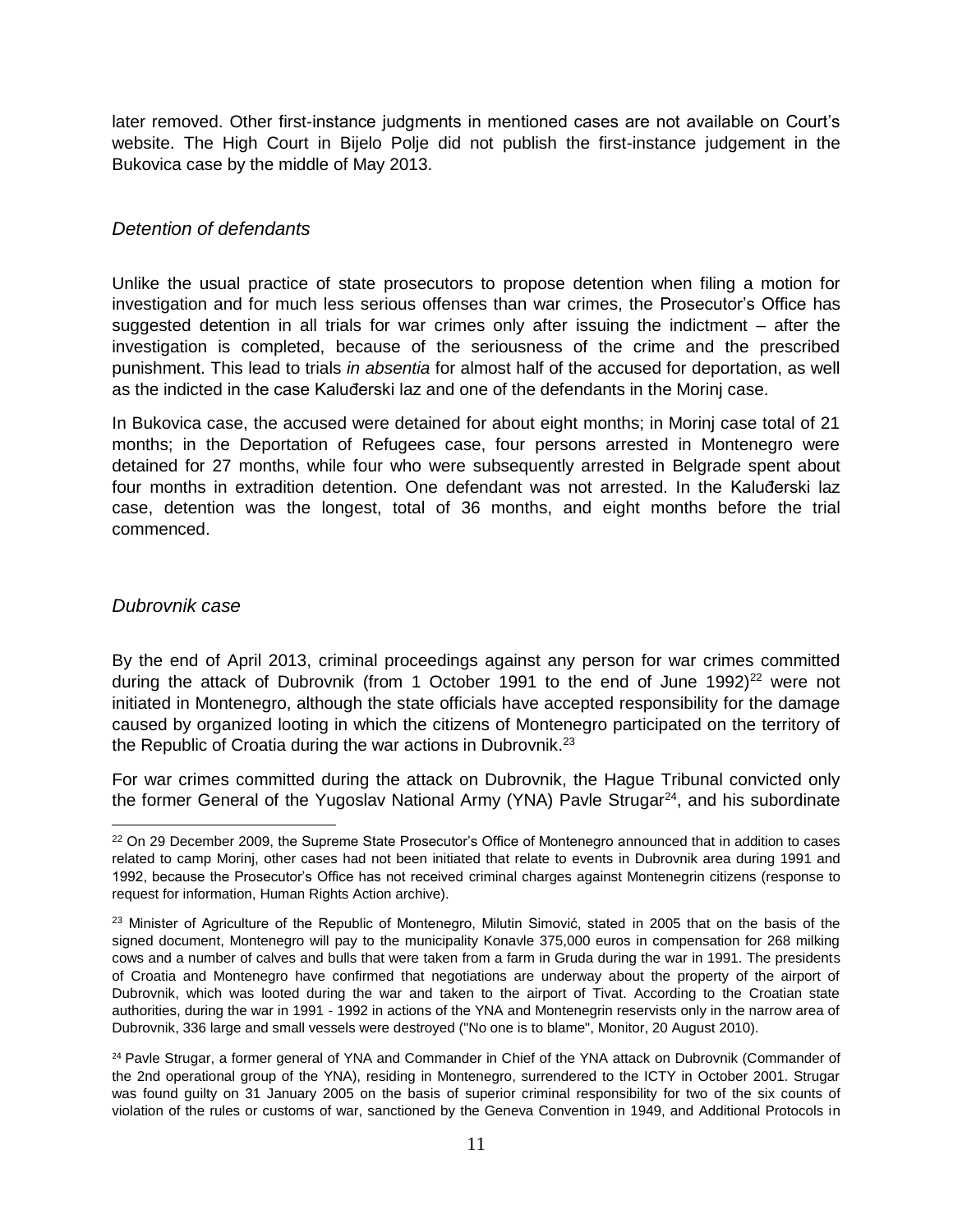later removed. Other first-instance judgments in mentioned cases are not available on Court's website. The High Court in Bijelo Polje did not publish the first-instance judgement in the Bukovica case by the middle of May 2013.

#### <span id="page-10-0"></span>*Detention of defendants*

Unlike the usual practice of state prosecutors to propose detention when filing a motion for investigation and for much less serious offenses than war crimes, the Prosecutor's Office has suggested detention in all trials for war crimes only after issuing the indictment – after the investigation is completed, because of the seriousness of the crime and the prescribed punishment. This lead to trials *in absentia* for almost half of the accused for deportation, as well as the indicted in the case Kaluđerski laz and one of the defendants in the Morinj case.

In Bukovica case, the accused were detained for about eight months; in Morinj case total of 21 months; in the Deportation of Refugees case, four persons arrested in Montenegro were detained for 27 months, while four who were subsequently arrested in Belgrade spent about four months in extradition detention. One defendant was not arrested. In the Kaluđerski laz case, detention was the longest, total of 36 months, and eight months before the trial commenced.

#### <span id="page-10-1"></span>*Dubrovnik case*

By the end of April 2013, criminal proceedings against any person for war crimes committed during the attack of Dubrovnik (from 1 October 1991 to the end of June 1992)<sup>22</sup> were not initiated in Montenegro, although the state officials have accepted responsibility for the damage caused by organized looting in which the citizens of Montenegro participated on the territory of the Republic of Croatia during the war actions in Dubrovnik.<sup>23</sup>

For war crimes committed during the attack on Dubrovnik, the Hague Tribunal convicted only the former General of the Yugoslav National Army (YNA) Pavle Strugar $^{24}$ , and his subordinate

 $\overline{a}$ <sup>22</sup> On 29 December 2009, the Supreme State Prosecutor's Office of Montenegro announced that in addition to cases related to camp Morinj, other cases had not been initiated that relate to events in Dubrovnik area during 1991 and 1992, because the Prosecutor's Office has not received criminal charges against Montenegrin citizens (response to request for information, Human Rights Action archive).

<sup>&</sup>lt;sup>23</sup> Minister of Agriculture of the Republic of Montenegro, Milutin Simović, stated in 2005 that on the basis of the signed document, Montenegro will pay to the municipality Konavle 375,000 euros in compensation for 268 milking cows and a number of calves and bulls that were taken from a farm in Gruda during the war in 1991. The presidents of Croatia and Montenegro have confirmed that negotiations are underway about the property of the airport of Dubrovnik, which was looted during the war and taken to the airport of Tivat. According to the Croatian state authorities, during the war in 1991 - 1992 in actions of the YNA and Montenegrin reservists only in the narrow area of Dubrovnik, 336 large and small vessels were destroyed ("No one is to blame", Monitor, 20 August 2010).

<sup>&</sup>lt;sup>24</sup> Pavle Strugar, a former general of YNA and Commander in Chief of the YNA attack on Dubrovnik (Commander of the 2nd operational group of the YNA), residing in Montenegro, surrendered to the ICTY in October 2001. Strugar was found guilty on 31 January 2005 on the basis of superior criminal responsibility for two of the six counts of violation of the rules or customs of war, sanctioned by the Geneva Convention in 1949, and Additional Protocols in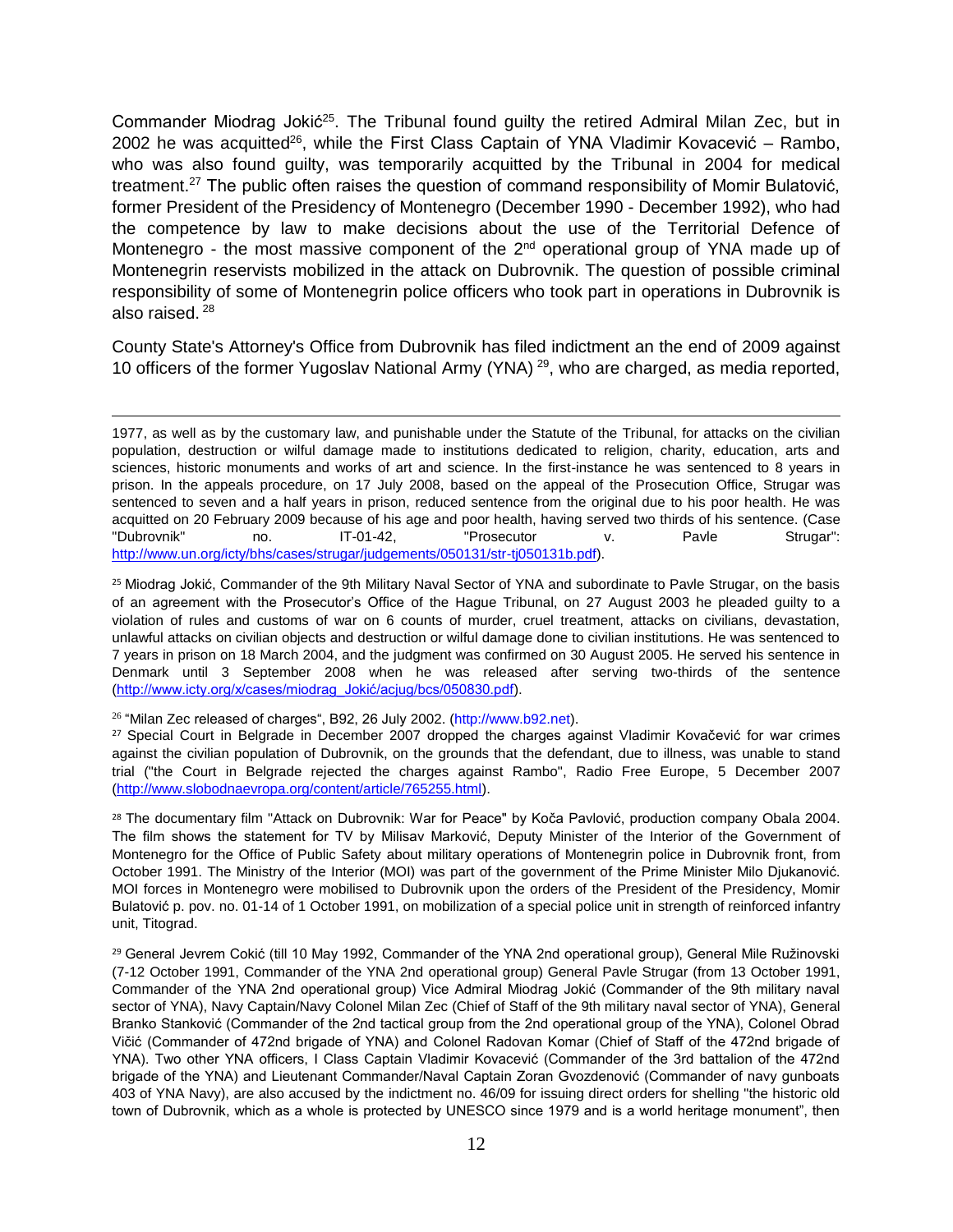Commander Miodrag Jokić<sup>25</sup>. The Tribunal found guilty the retired Admiral Milan Zec, but in 2002 he was acquitted<sup>26</sup>, while the First Class Captain of YNA Vladimir Kovacević – Rambo, who was also found guilty, was temporarily acquitted by the Tribunal in 2004 for medical treatment.<sup>27</sup> The public often raises the question of command responsibility of Momir Bulatović, former President of the Presidency of Montenegro (December 1990 - December 1992), who had the competence by law to make decisions about the use of the Territorial Defence of Montenegro - the most massive component of the  $2<sup>nd</sup>$  operational group of YNA made up of Montenegrin reservists mobilized in the attack on Dubrovnik. The question of possible criminal responsibility of some of Montenegrin police officers who took part in operations in Dubrovnik is also raised. <sup>28</sup>

County State's Attorney's Office from Dubrovnik has filed indictment an the end of 2009 against 10 officers of the former Yugoslav National Army (YNA)<sup>29</sup>, who are charged, as media reported,

 $\overline{a}$ 1977, as well as by the customary law, and punishable under the Statute of the Tribunal, for attacks on the civilian population, destruction or wilful damage made to institutions dedicated to religion, charity, education, arts and sciences, historic monuments and works of art and science. In the first-instance he was sentenced to 8 years in prison. In the appeals procedure, on 17 July 2008, based on the appeal of the Prosecution Office, Strugar was sentenced to seven and a half years in prison, reduced sentence from the original due to his poor health. He was acquitted on 20 February 2009 because of his age and poor health, having served two thirds of his sentence. (Case "Dubrovnik" no. IT-01-42, "Prosecutor v. Pavle Strugar": [http://www.un.org/icty/bhs/cases/strugar/judgements/050131/str-tj050131b.pdf\)](http://www.un.org/icty/bhs/cases/strugar/judgements/050131/str-tj050131b.pdf).

<sup>25</sup> Miodrag Jokić, Commander of the 9th Military Naval Sector of YNA and subordinate to Pavle Strugar, on the basis of an agreement with the Prosecutor's Office of the Hague Tribunal, on 27 August 2003 he pleaded guilty to a violation of rules and customs of war on 6 counts of murder, cruel treatment, attacks on civilians, devastation, unlawful attacks on civilian objects and destruction or wilful damage done to civilian institutions. He was sentenced to 7 years in prison on 18 March 2004, and the judgment was confirmed on 30 August 2005. He served his sentence in Denmark until 3 September 2008 when he was released after serving two-thirds of the sentence [\(http://www.icty.org/x/cases/miodrag\\_Jokić/acjug/bcs/050830.pdf\)](http://www.icty.org/x/cases/miodrag_Jokić/acjug/bcs/050830.pdf).

<sup>26</sup> "Milan Zec released of charges", B92, 26 July 2002. (http://www.b92.net).

<sup>27</sup> Special Court in Belgrade in December 2007 dropped the charges against Vladimir Kovačević for war crimes against the civilian population of Dubrovnik, on the grounds that the defendant, due to illness, was unable to stand trial ("the Court in Belgrade rejected the charges against Rambo", Radio Free Europe, 5 December 2007 [\(http://www.slobodnaevropa.org/content/article/765255.html\)](http://www.slobodnaevropa.org/content/article/765255.html).

<sup>28</sup> The documentary film "Attack on Dubrovnik: War for Peace" by Koča Pavlović, production company Obala 2004. The film shows the statement for TV by Milisav Marković, Deputy Minister of the Interior of the Government of Montenegro for the Office of Public Safety about military operations of Montenegrin police in Dubrovnik front, from October 1991. The Ministry of the Interior (MOI) was part of the government of the Prime Minister Milo Djukanović. MOI forces in Montenegro were mobilised to Dubrovnik upon the orders of the President of the Presidency, Momir Bulatović p. pov. no. 01-14 of 1 October 1991, on mobilization of a special police unit in strength of reinforced infantry unit, Titograd.

<sup>29</sup> General Jevrem Cokić (till 10 May 1992, Commander of the YNA 2nd operational group), General Mile Ružinovski (7-12 October 1991, Commander of the YNA 2nd operational group) General Pavle Strugar (from 13 October 1991, Commander of the YNA 2nd operational group) Vice Admiral Miodrag Jokić (Commander of the 9th military naval sector of YNA), Navy Captain/Navy Colonel Milan Zec (Chief of Staff of the 9th military naval sector of YNA), General Branko Stanković (Commander of the 2nd tactical group from the 2nd operational group of the YNA), Colonel Obrad Vičić (Commander of 472nd brigade of YNA) and Colonel Radovan Komar (Chief of Staff of the 472nd brigade of YNA). Two other YNA officers, I Class Captain Vladimir Kovacević (Commander of the 3rd battalion of the 472nd brigade of the YNA) and Lieutenant Commander/Naval Captain Zoran Gvozdenović (Commander of navy gunboats 403 of YNA Navy), are also accused by the indictment no. 46/09 for issuing direct orders for shelling "the historic old town of Dubrovnik, which as a whole is protected by UNESCO since 1979 and is a world heritage monument", then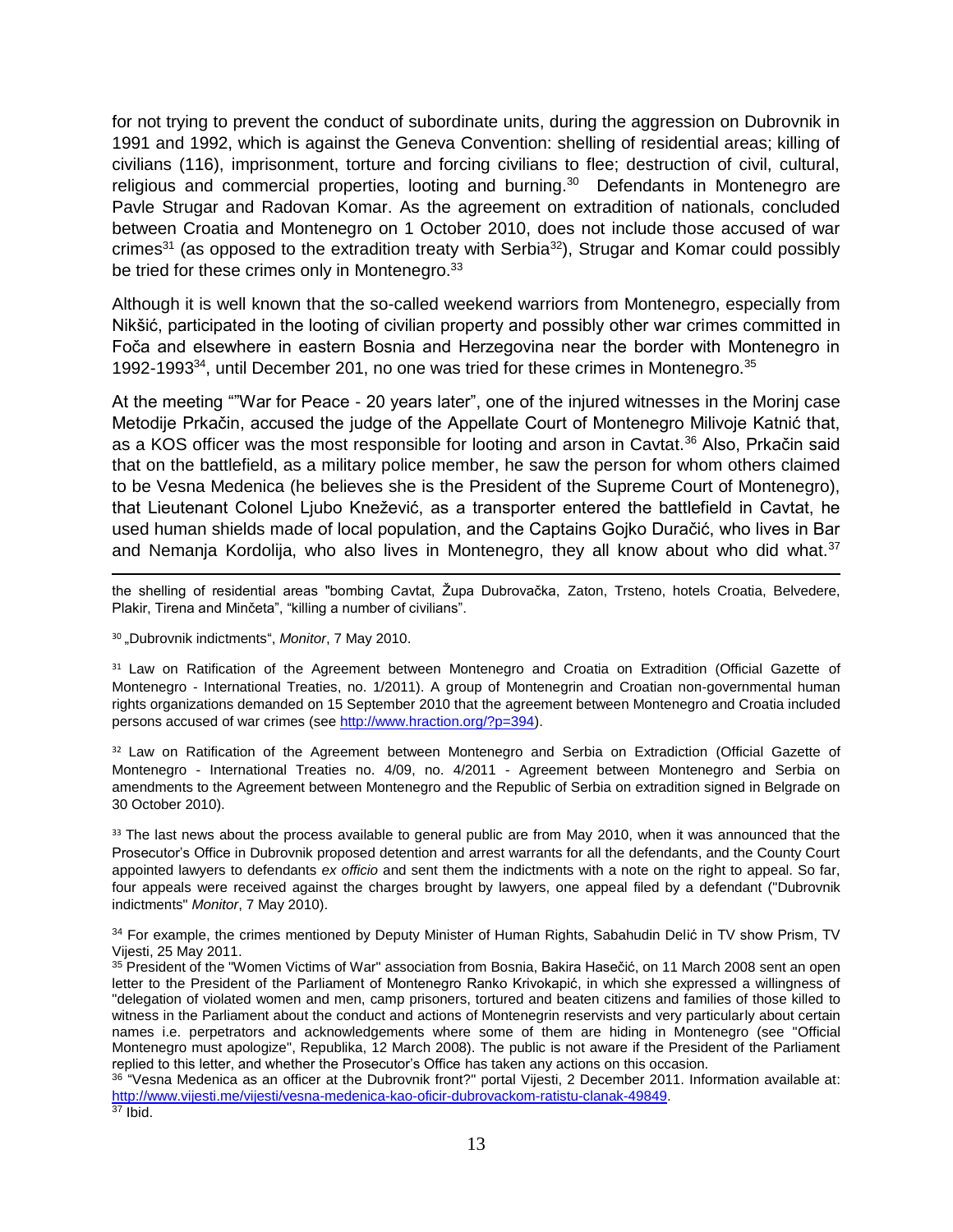for not trying to prevent the conduct of subordinate units, during the aggression on Dubrovnik in 1991 and 1992, which is against the Geneva Convention: shelling of residential areas; killing of civilians (116), imprisonment, torture and forcing civilians to flee; destruction of civil, cultural, religious and commercial properties, looting and burning.<sup>30</sup> Defendants in Montenegro are Pavle Strugar and Radovan Komar. As the agreement on extradition of nationals, concluded between Croatia and Montenegro on 1 October 2010, does not include those accused of war crimes<sup>31</sup> (as opposed to the extradition treaty with Serbia<sup>32</sup>), Strugar and Komar could possibly be tried for these crimes only in Montenegro.<sup>33</sup>

Although it is well known that the so-called weekend warriors from Montenegro, especially from Nikšić, participated in the looting of civilian property and possibly other war crimes committed in Foča and elsewhere in eastern Bosnia and Herzegovina near the border with Montenegro in 1992-1993 $34$ , until December 201, no one was tried for these crimes in Montenegro.  $35$ 

At the meeting ""War for Peace - 20 years later", one of the injured witnesses in the Morinj case Metodije Prkačin, accused the judge of the Appellate Court of Montenegro Milivoje Katnić that, as a KOS officer was the most responsible for looting and arson in Cavtat.<sup>36</sup> Also, Prkačin said that on the battlefield, as a military police member, he saw the person for whom others claimed to be Vesna Medenica (he believes she is the President of the Supreme Court of Montenegro), that Lieutenant Colonel Ljubo Knežević, as a transporter entered the battlefield in Cavtat, he used human shields made of local population, and the Captains Gojko Duračić, who lives in Bar and Nemanja Kordolija, who also lives in Montenegro, they all know about who did what.<sup>37</sup>

 $\overline{\phantom{a}}$ the shelling of residential areas "bombing Cavtat, Župa Dubrovačka, Zaton, Trsteno, hotels Croatia, Belvedere, Plakir, Tirena and Minčeta", "killing a number of civilians".

30 "Dubrovnik indictments", *Monitor*, 7 May 2010.

<sup>31</sup> Law on Ratification of the Agreement between Montenegro and Croatia on Extradition (Official Gazette of Montenegro - International Treaties, no. 1/2011). A group of Montenegrin and Croatian non-governmental human rights organizations demanded on 15 September 2010 that the agreement between Montenegro and Croatia included persons accused of war crimes (see [http://www.hraction.org/?p=394\)](http://www.hraction.org/?p=394).

<sup>32</sup> Law on Ratification of the Agreement between Montenegro and Serbia on Extradiction (Official Gazette of Montenegro - International Treaties no. 4/09, no. 4/2011 - Agreement between Montenegro and Serbia on amendments to the Agreement between Montenegro and the Republic of Serbia on extradition signed in Belgrade on 30 October 2010).

<sup>33</sup> The last news about the process available to general public are from May 2010, when it was announced that the Prosecutor's Office in Dubrovnik proposed detention and arrest warrants for all the defendants, and the County Court appointed lawyers to defendants *ex officio* and sent them the indictments with a note on the right to appeal. So far, four appeals were received against the charges brought by lawyers, one appeal filed by a defendant ("Dubrovnik indictments" *Monitor*, 7 May 2010).

34 For example, the crimes mentioned by Deputy Minister of Human Rights, Sabahudin Delić in TV show Prism, TV Vijesti, 25 May 2011.

<sup>35</sup> President of the "Women Victims of War" association from Bosnia, Bakira Hasečić, on 11 March 2008 sent an open letter to the President of the Parliament of Montenegro Ranko Krivokapić, in which she expressed a willingness of "delegation of violated women and men, camp prisoners, tortured and beaten citizens and families of those killed to witness in the Parliament about the conduct and actions of Montenegrin reservists and very particularly about certain names i.e. perpetrators and acknowledgements where some of them are hiding in Montenegro (see "Official Montenegro must apologize", Republika, 12 March 2008). The public is not aware if the President of the Parliament replied to this letter, and whether the Prosecutor's Office has taken any actions on this occasion.

<sup>36</sup> "Vesna Medenica as an officer at the Dubrovnik front?" portal Vijesti, 2 December 2011. Information available at: [http://www.vijesti.me/vijesti/vesna-medenica-kao-oficir-dubrovackom-ratistu-clanak-49849.](http://www.vijesti.me/vijesti/vesna-medenica-kao-oficir-dubrovackom-ratistu-clanak-49849)  $37$  Ibid.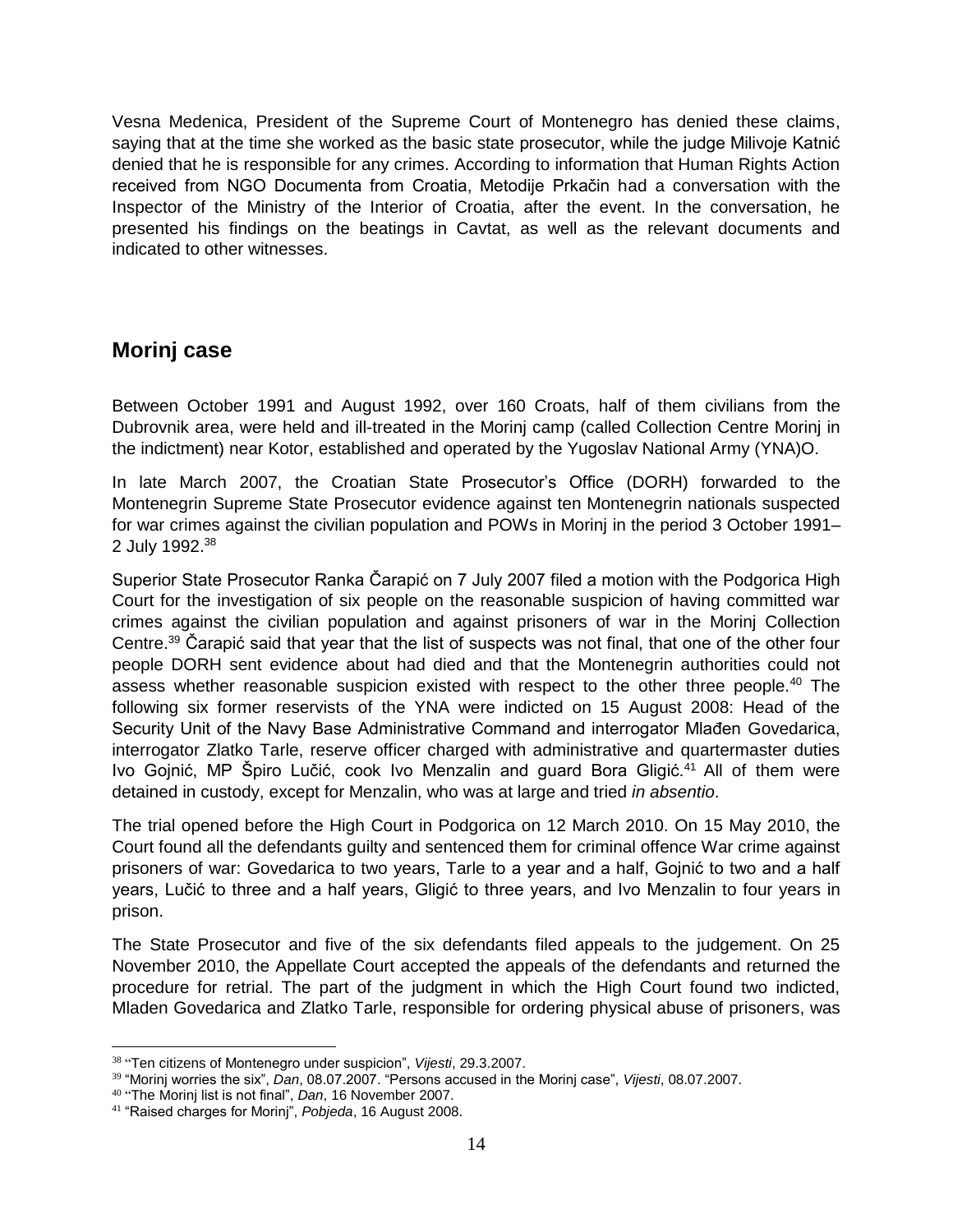Vesna Medenica, President of the Supreme Court of Montenegro has denied these claims, saying that at the time she worked as the basic state prosecutor, while the judge Milivoje Katnić denied that he is responsible for any crimes. According to information that Human Rights Action received from NGO Documenta from Croatia, Metodije Prkačin had a conversation with the Inspector of the Ministry of the Interior of Croatia, after the event. In the conversation, he presented his findings on the beatings in Cavtat, as well as the relevant documents and indicated to other witnesses.

## <span id="page-13-0"></span>**Morinj case**

Between October 1991 and August 1992, over 160 Croats, half of them civilians from the Dubrovnik area, were held and ill-treated in the Morinj camp (called Collection Centre Morinj in the indictment) near Kotor, established and operated by the Yugoslav National Army (YNA)O.

In late March 2007, the Croatian State Prosecutor's Office (DORH) forwarded to the Montenegrin Supreme State Prosecutor evidence against ten Montenegrin nationals suspected for war crimes against the civilian population and POWs in Morinj in the period 3 October 1991– 2 July 1992.<sup>38</sup>

Superior State Prosecutor Ranka Čarapić on 7 July 2007 filed a motion with the Podgorica High Court for the investigation of six people on the reasonable suspicion of having committed war crimes against the civilian population and against prisoners of war in the Morinj Collection Centre.<sup>39</sup> Čarapić said that year that the list of suspects was not final, that one of the other four people DORH sent evidence about had died and that the Montenegrin authorities could not assess whether reasonable suspicion existed with respect to the other three people.<sup>40</sup> The following six former reservists of the YNA were indicted on 15 August 2008: Head of the Security Unit of the Navy Base Administrative Command and interrogator Mlađen Govedarica, interrogator Zlatko Tarle, reserve officer charged with administrative and quartermaster duties Ivo Gojnić, MP Špiro Lučić, cook Ivo Menzalin and guard Bora Gligić.<sup>41</sup> All of them were detained in custody, except for Menzalin, who was at large and tried *in absentio*.

The trial opened before the High Court in Podgorica on 12 March 2010. On 15 May 2010, the Court found all the defendants guilty and sentenced them for criminal offence War crime against prisoners of war: Govedarica to two years, Tarle to a year and a half, Gojnić to two and a half years, Lučić to three and a half years, Gligić to three years, and Ivo Menzalin to four years in prison.

The State Prosecutor and five of the six defendants filed appeals to the judgement. On 25 November 2010, the Appellate Court accepted the appeals of the defendants and returned the procedure for retrial. The part of the judgment in which the High Court found two indicted, Mladen Govedarica and Zlatko Tarle, responsible for ordering physical abuse of prisoners, was

<sup>38</sup> "Ten citizens of Montenegro under suspicion", *Vijesti*, 29.3.2007.

<sup>39</sup> "Morinj worries the six", *Dan*, 08.07.2007. "Persons accused in the Morinj case", *Vijesti*, 08.07.2007.

<sup>40</sup> "The Morinj list is not final", *Dan*, 16 November 2007.

<sup>41</sup> "Raised charges for Morinj", *Pobjeda*, 16 August 2008.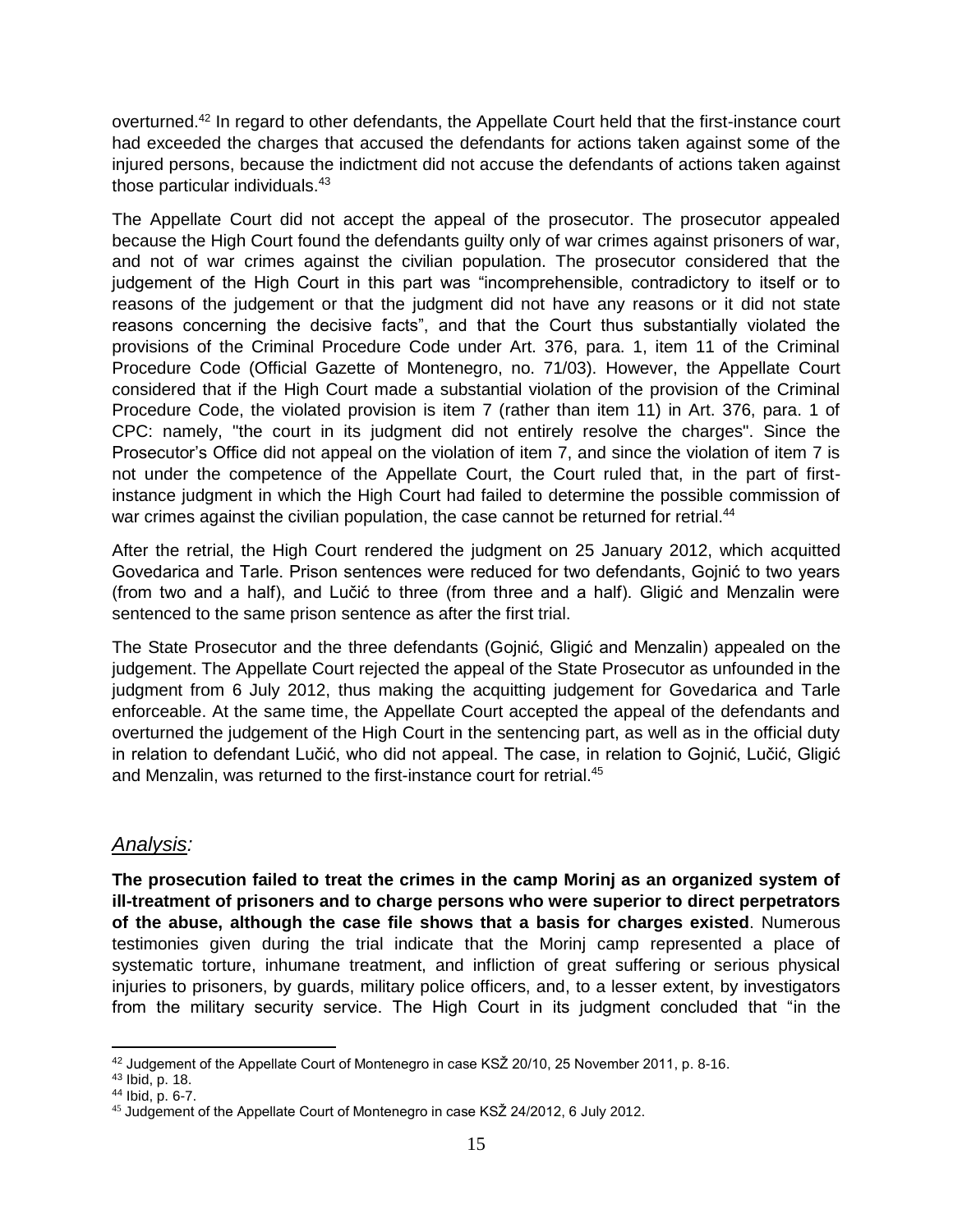overturned.<sup>42</sup> In regard to other defendants, the Appellate Court held that the first-instance court had exceeded the charges that accused the defendants for actions taken against some of the injured persons, because the indictment did not accuse the defendants of actions taken against those particular individuals.<sup>43</sup>

The Appellate Court did not accept the appeal of the prosecutor. The prosecutor appealed because the High Court found the defendants guilty only of war crimes against prisoners of war, and not of war crimes against the civilian population. The prosecutor considered that the judgement of the High Court in this part was "incomprehensible, contradictory to itself or to reasons of the judgement or that the judgment did not have any reasons or it did not state reasons concerning the decisive facts", and that the Court thus substantially violated the provisions of the Criminal Procedure Code under Art. 376, para. 1, item 11 of the Criminal Procedure Code (Official Gazette of Montenegro, no. 71/03). However, the Appellate Court considered that if the High Court made a substantial violation of the provision of the Criminal Procedure Code, the violated provision is item 7 (rather than item 11) in Art. 376, para. 1 of CPC: namely, "the court in its judgment did not entirely resolve the charges". Since the Prosecutor's Office did not appeal on the violation of item 7, and since the violation of item 7 is not under the competence of the Appellate Court, the Court ruled that, in the part of firstinstance judgment in which the High Court had failed to determine the possible commission of war crimes against the civilian population, the case cannot be returned for retrial.<sup>44</sup>

After the retrial, the High Court rendered the judgment on 25 January 2012, which acquitted Govedarica and Tarle. Prison sentences were reduced for two defendants, Gojnić to two years (from two and a half), and Lučić to three (from three and a half). Gligić and Menzalin were sentenced to the same prison sentence as after the first trial.

The State Prosecutor and the three defendants (Gojnić, Gligić and Menzalin) appealed on the judgement. The Appellate Court rejected the appeal of the State Prosecutor as unfounded in the judgment from 6 July 2012, thus making the acquitting judgement for Govedarica and Tarle enforceable. At the same time, the Appellate Court accepted the appeal of the defendants and overturned the judgement of the High Court in the sentencing part, as well as in the official duty in relation to defendant Lučić, who did not appeal. The case, in relation to Gojnić, Lučić, Gligić and Menzalin, was returned to the first-instance court for retrial.<sup>45</sup>

#### *Analysis:*

**The prosecution failed to treat the crimes in the camp Morinj as an organized system of ill-treatment of prisoners and to charge persons who were superior to direct perpetrators of the abuse, although the case file shows that a basis for charges existed**. Numerous testimonies given during the trial indicate that the Morinj camp represented a place of systematic torture, inhumane treatment, and infliction of great suffering or serious physical injuries to prisoners, by guards, military police officers, and, to a lesser extent, by investigators from the military security service. The High Court in its judgment concluded that "in the

 $\overline{\phantom{a}}$ 42 Judgement of the Appellate Court of Montenegro in case KSŽ 20/10, 25 November 2011, p. 8-16.

<sup>43</sup> Ibid, p. 18.

<sup>44</sup> Ibid, p. 6-7.

<sup>45</sup> Judgement of the Appellate Court of Montenegro in case KSŽ 24/2012, 6 July 2012.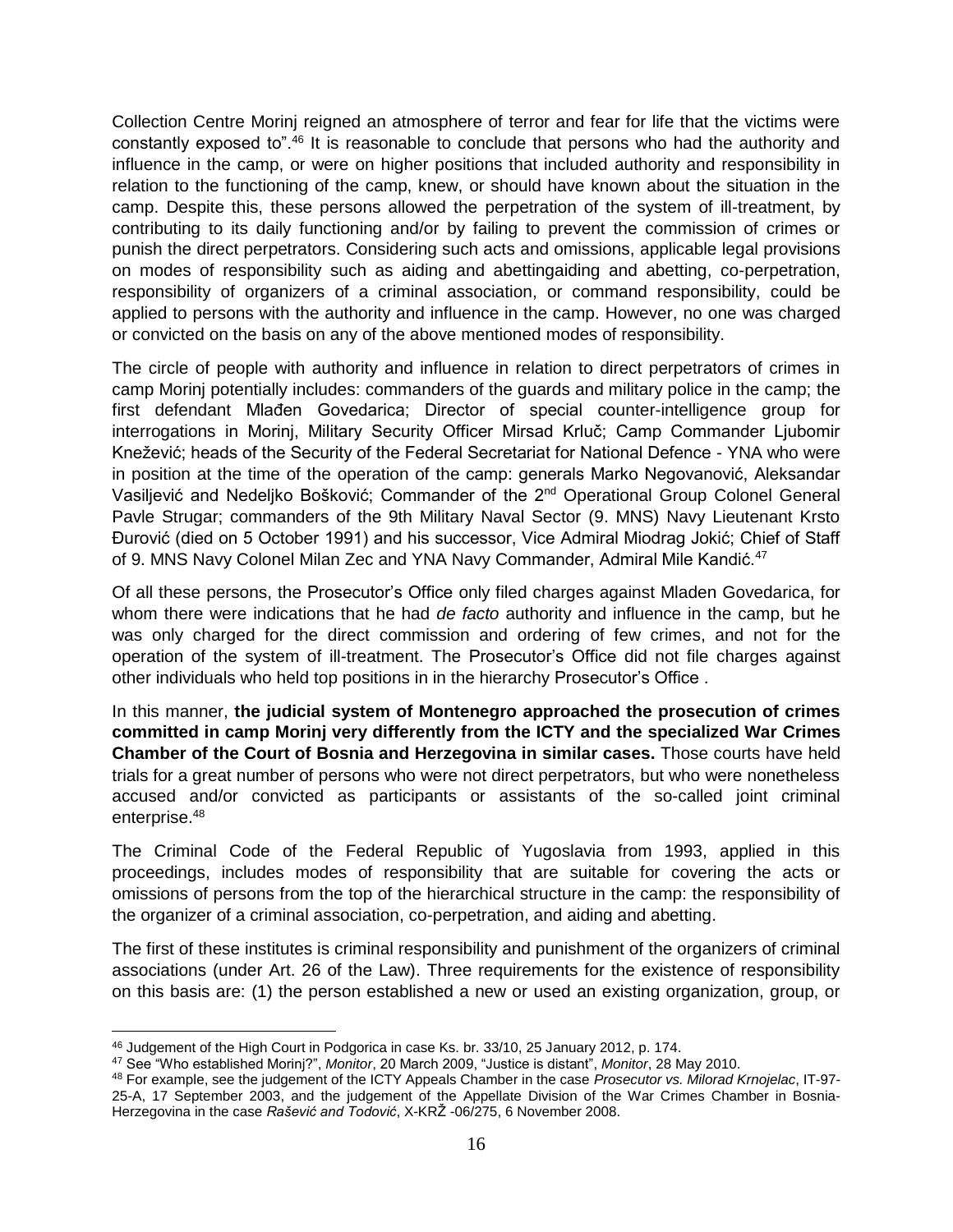Collection Centre Morinj reigned an atmosphere of terror and fear for life that the victims were constantly exposed to".<sup>46</sup> It is reasonable to conclude that persons who had the authority and influence in the camp, or were on higher positions that included authority and responsibility in relation to the functioning of the camp, knew, or should have known about the situation in the camp. Despite this, these persons allowed the perpetration of the system of ill-treatment, by contributing to its daily functioning and/or by failing to prevent the commission of crimes or punish the direct perpetrators. Considering such acts and omissions, applicable legal provisions on modes of responsibility such as aiding and abettingaiding and abetting, co-perpetration, responsibility of organizers of a criminal association, or command responsibility, could be applied to persons with the authority and influence in the camp. However, no one was charged or convicted on the basis on any of the above mentioned modes of responsibility.

The circle of people with authority and influence in relation to direct perpetrators of crimes in camp Morinj potentially includes: commanders of the guards and military police in the camp; the first defendant Mlađen Govedarica; Director of special counter-intelligence group for interrogations in Morinj, Military Security Officer Mirsad Krluč; Camp Commander Ljubomir Knežević; heads of the Security of the Federal Secretariat for National Defence - YNA who were in position at the time of the operation of the camp: generals Marko Negovanović, Aleksandar Vasiljević and Nedeljko Bošković; Commander of the 2nd Operational Group Colonel General Pavle Strugar; commanders of the 9th Military Naval Sector (9. MNS) Navy Lieutenant Krsto Đurović (died on 5 October 1991) and his successor, Vice Admiral Miodrag Jokić; Chief of Staff of 9. MNS Navy Colonel Milan Zec and YNA Navy Commander, Admiral Mile Kandić.<sup>47</sup>

Of all these persons, the Prosecutor's Office only filed charges against Mladen Govedarica, for whom there were indications that he had *de facto* authority and influence in the camp, but he was only charged for the direct commission and ordering of few crimes, and not for the operation of the system of ill-treatment. The Prosecutor's Office did not file charges against other individuals who held top positions in in the hierarchy Prosecutor's Office .

In this manner, **the judicial system of Montenegro approached the prosecution of crimes committed in camp Morinj very differently from the ICTY and the specialized War Crimes Chamber of the Court of Bosnia and Herzegovina in similar cases.** Those courts have held trials for a great number of persons who were not direct perpetrators, but who were nonetheless accused and/or convicted as participants or assistants of the so-called joint criminal enterprise.<sup>48</sup>

The Criminal Code of the Federal Republic of Yugoslavia from 1993, applied in this proceedings, includes modes of responsibility that are suitable for covering the acts or omissions of persons from the top of the hierarchical structure in the camp: the responsibility of the organizer of a criminal association, co-perpetration, and aiding and abetting.

The first of these institutes is criminal responsibility and punishment of the organizers of criminal associations (under Art. 26 of the Law). Three requirements for the existence of responsibility on this basis are: (1) the person established a new or used an existing organization, group, or

l <sup>46</sup> Judgement of the High Court in Podgorica in case Ks. br. 33/10, 25 January 2012, p. 174.

<sup>47</sup> See "Who established Morinj?", *Monitor*, 20 March 2009, "Justice is distant", *Monitor*, 28 May 2010.

<sup>48</sup> For example, see the judgement of the ICTY Appeals Chamber in the case *Prosecutor vs. Milorad Krnojelac*, IT-97- 25-A, 17 September 2003, and the judgement of the Appellate Division of the War Crimes Chamber in Bosnia-Herzegovina in the case *Rašević and Todović*, X-KRŽ -06/275, 6 November 2008.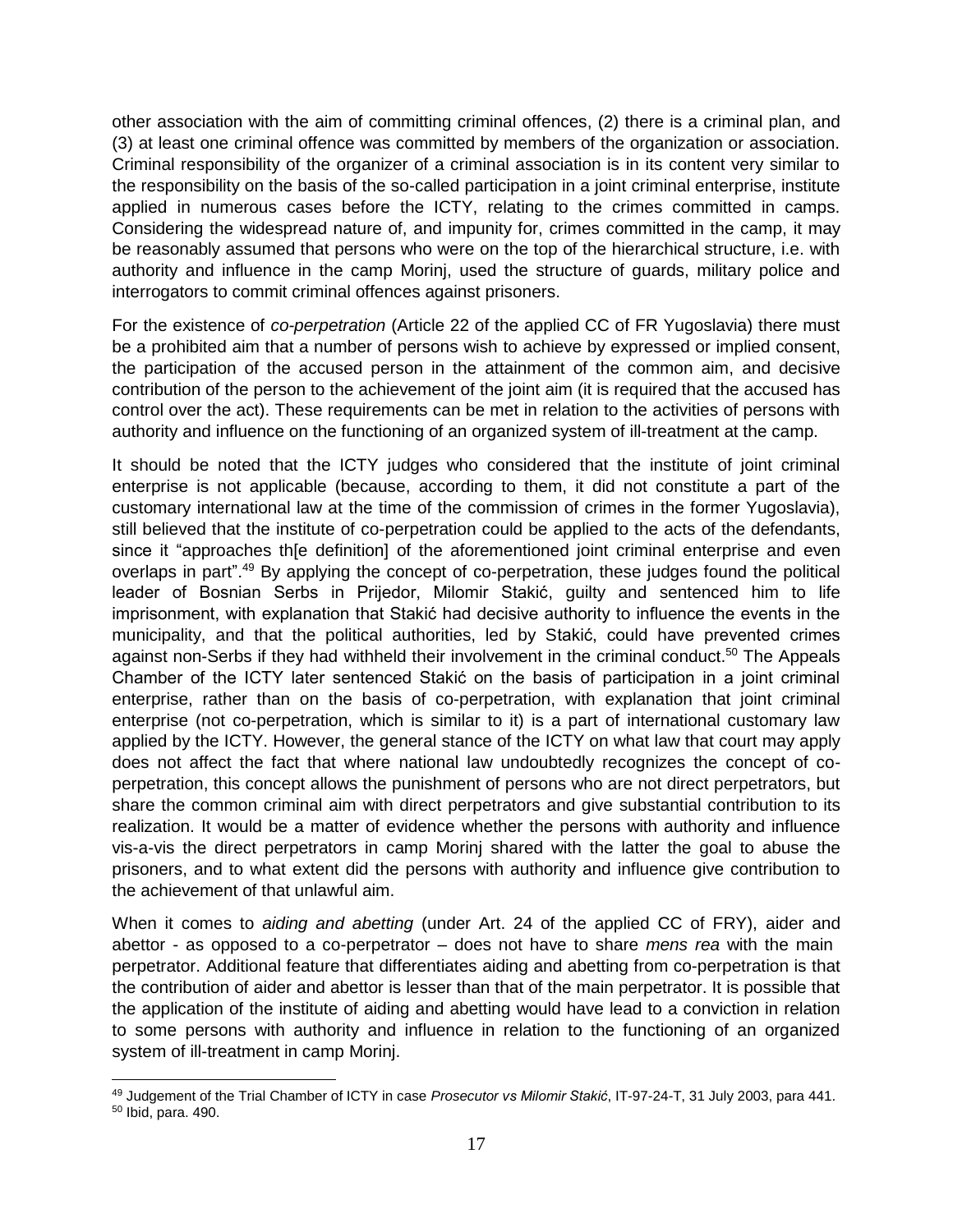other association with the aim of committing criminal offences, (2) there is a criminal plan, and (3) at least one criminal offence was committed by members of the organization or association. Criminal responsibility of the organizer of a criminal association is in its content very similar to the responsibility on the basis of the so-called participation in a joint criminal enterprise, institute applied in numerous cases before the ICTY, relating to the crimes committed in camps. Considering the widespread nature of, and impunity for, crimes committed in the camp, it may be reasonably assumed that persons who were on the top of the hierarchical structure, i.e. with authority and influence in the camp Morinj, used the structure of guards, military police and interrogators to commit criminal offences against prisoners.

For the existence of *co-perpetration* (Article 22 of the applied CC of FR Yugoslavia) there must be a prohibited aim that a number of persons wish to achieve by expressed or implied consent, the participation of the accused person in the attainment of the common aim, and decisive contribution of the person to the achievement of the joint aim (it is required that the accused has control over the act). These requirements can be met in relation to the activities of persons with authority and influence on the functioning of an organized system of ill-treatment at the camp.

It should be noted that the ICTY judges who considered that the institute of joint criminal enterprise is not applicable (because, according to them, it did not constitute a part of the customary international law at the time of the commission of crimes in the former Yugoslavia), still believed that the institute of co-perpetration could be applied to the acts of the defendants, since it "approaches thie definition] of the aforementioned joint criminal enterprise and even overlaps in part<sup>", 49</sup> By applying the concept of co-perpetration, these judges found the political leader of Bosnian Serbs in Prijedor, Milomir Stakić, guilty and sentenced him to life imprisonment, with explanation that Stakić had decisive authority to influence the events in the municipality, and that the political authorities, led by Stakić, could have prevented crimes against non-Serbs if they had withheld their involvement in the criminal conduct.<sup>50</sup> The Appeals Chamber of the ICTY later sentenced Stakić on the basis of participation in a joint criminal enterprise, rather than on the basis of co-perpetration, with explanation that joint criminal enterprise (not co-perpetration, which is similar to it) is a part of international customary law applied by the ICTY. However, the general stance of the ICTY on what law that court may apply does not affect the fact that where national law undoubtedly recognizes the concept of coperpetration, this concept allows the punishment of persons who are not direct perpetrators, but share the common criminal aim with direct perpetrators and give substantial contribution to its realization. It would be a matter of evidence whether the persons with authority and influence vis-a-vis the direct perpetrators in camp Morinj shared with the latter the goal to abuse the prisoners, and to what extent did the persons with authority and influence give contribution to the achievement of that unlawful aim.

When it comes to *aiding and abetting* (under Art. 24 of the applied CC of FRY), aider and abettor - as opposed to a co-perpetrator – does not have to share *mens rea* with the main perpetrator. Additional feature that differentiates aiding and abetting from co-perpetration is that the contribution of aider and abettor is lesser than that of the main perpetrator. It is possible that the application of the institute of aiding and abetting would have lead to a conviction in relation to some persons with authority and influence in relation to the functioning of an organized system of ill-treatment in camp Morinj.

 $\overline{a}$ <sup>49</sup> Judgement of the Trial Chamber of ICTY in case *Prosecutor vs Milomir Stakić*, IT-97-24-T, 31 July 2003, para 441. <sup>50</sup> Ibid, para. 490.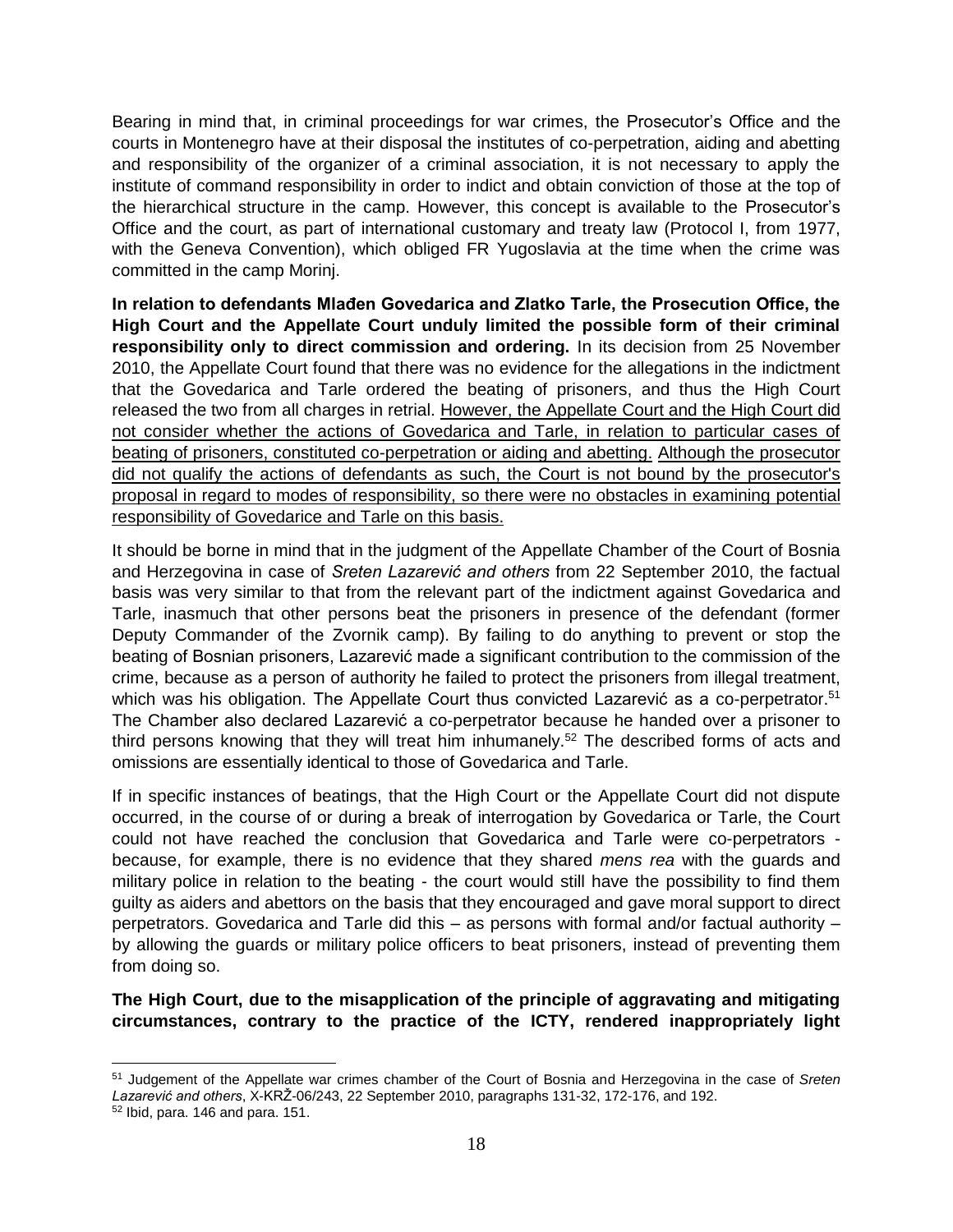Bearing in mind that, in criminal proceedings for war crimes, the Prosecutor's Office and the courts in Montenegro have at their disposal the institutes of co-perpetration, aiding and abetting and responsibility of the organizer of a criminal association, it is not necessary to apply the institute of command responsibility in order to indict and obtain conviction of those at the top of the hierarchical structure in the camp. However, this concept is available to the Prosecutor's Office and the court, as part of international customary and treaty law (Protocol I, from 1977, with the Geneva Convention), which obliged FR Yugoslavia at the time when the crime was committed in the camp Morinj.

**In relation to defendants Mlađen Govedarica and Zlatko Tarle, the Prosecution Office, the High Court and the Appellate Court unduly limited the possible form of their criminal responsibility only to direct commission and ordering.** In its decision from 25 November 2010, the Appellate Court found that there was no evidence for the allegations in the indictment that the Govedarica and Tarle ordered the beating of prisoners, and thus the High Court released the two from all charges in retrial. However, the Appellate Court and the High Court did not consider whether the actions of Govedarica and Tarle, in relation to particular cases of beating of prisoners, constituted co-perpetration or aiding and abetting. Although the prosecutor did not qualify the actions of defendants as such, the Court is not bound by the prosecutor's proposal in regard to modes of responsibility, so there were no obstacles in examining potential responsibility of Govedarice and Tarle on this basis.

It should be borne in mind that in the judgment of the Appellate Chamber of the Court of Bosnia and Herzegovina in case of *Sreten Lazarević and others* from 22 September 2010, the factual basis was very similar to that from the relevant part of the indictment against Govedarica and Tarle, inasmuch that other persons beat the prisoners in presence of the defendant (former Deputy Commander of the Zvornik camp). By failing to do anything to prevent or stop the beating of Bosnian prisoners, Lazarević made a significant contribution to the commission of the crime, because as a person of authority he failed to protect the prisoners from illegal treatment, which was his obligation. The Appellate Court thus convicted Lazarević as a co-perpetrator.<sup>51</sup> The Chamber also declared Lazarević a co-perpetrator because he handed over a prisoner to third persons knowing that they will treat him inhumanely.<sup>52</sup> The described forms of acts and omissions are essentially identical to those of Govedarica and Tarle.

If in specific instances of beatings, that the High Court or the Appellate Court did not dispute occurred, in the course of or during a break of interrogation by Govedarica or Tarle, the Court could not have reached the conclusion that Govedarica and Tarle were co-perpetrators because, for example, there is no evidence that they shared *mens rea* with the guards and military police in relation to the beating - the court would still have the possibility to find them guilty as aiders and abettors on the basis that they encouraged and gave moral support to direct perpetrators. Govedarica and Tarle did this – as persons with formal and/or factual authority – by allowing the guards or military police officers to beat prisoners, instead of preventing them from doing so.

**The High Court, due to the misapplication of the principle of aggravating and mitigating circumstances, contrary to the practice of the ICTY, rendered inappropriately light** 

l

<sup>51</sup> Judgement of the Appellate war crimes chamber of the Court of Bosnia and Herzegovina in the case of *Sreten Lazarević and others*, X-KRŽ-06/243, 22 September 2010, paragraphs 131-32, 172-176, and 192.

<sup>52</sup> Ibid, para. 146 and para. 151.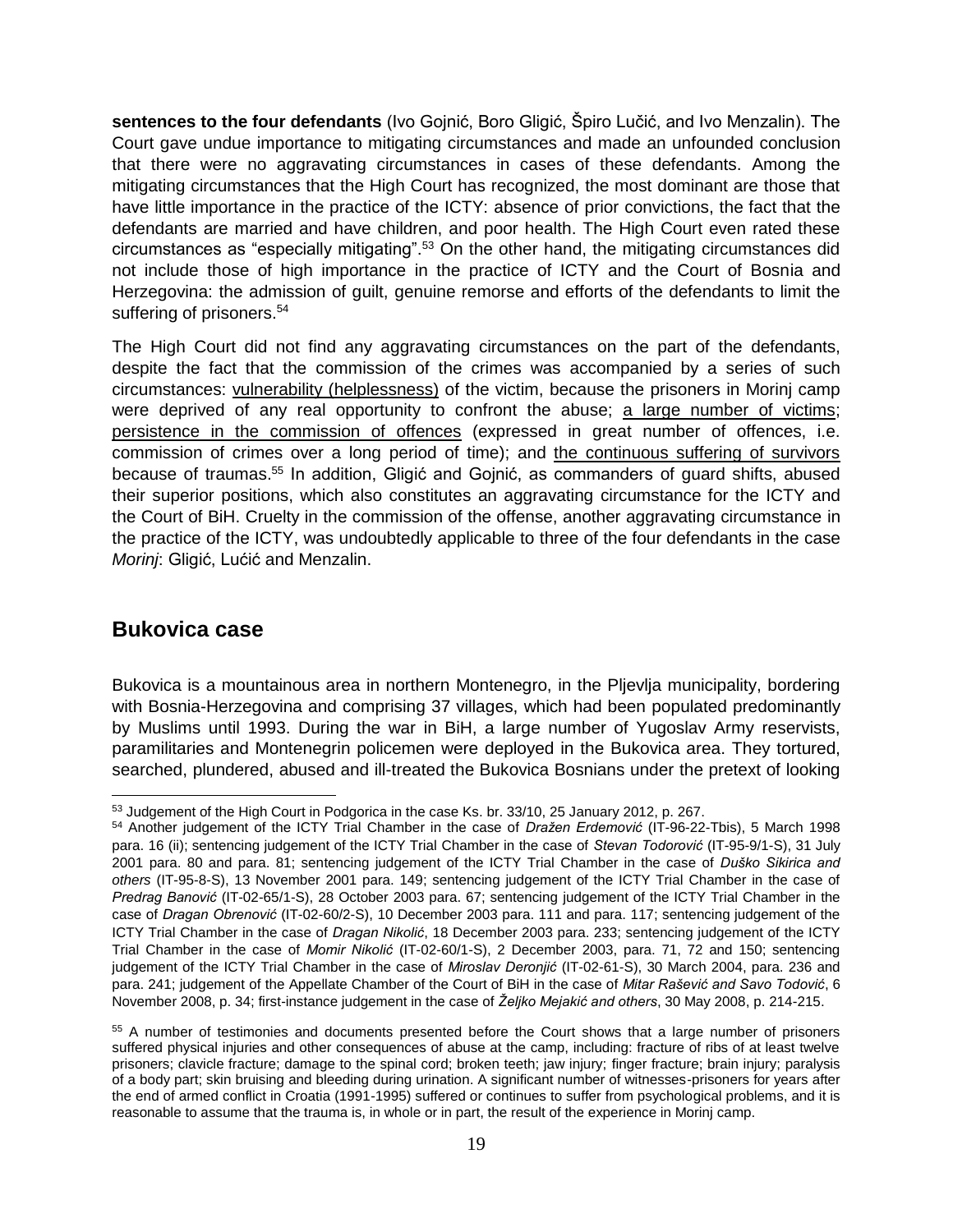**sentences to the four defendants** (Ivo Gojnić, Boro Gligić, Špiro Lučić, and Ivo Menzalin). The Court gave undue importance to mitigating circumstances and made an unfounded conclusion that there were no aggravating circumstances in cases of these defendants. Among the mitigating circumstances that the High Court has recognized, the most dominant are those that have little importance in the practice of the ICTY: absence of prior convictions, the fact that the defendants are married and have children, and poor health. The High Court even rated these circumstances as "especially mitigating".<sup>53</sup> On the other hand, the mitigating circumstances did not include those of high importance in the practice of ICTY and the Court of Bosnia and Herzegovina: the admission of guilt, genuine remorse and efforts of the defendants to limit the suffering of prisoners.<sup>54</sup>

The High Court did not find any aggravating circumstances on the part of the defendants, despite the fact that the commission of the crimes was accompanied by a series of such circumstances: vulnerability (helplessness) of the victim, because the prisoners in Morinj camp were deprived of any real opportunity to confront the abuse; a large number of victims; persistence in the commission of offences (expressed in great number of offences, i.e. commission of crimes over a long period of time); and the continuous suffering of survivors because of traumas. <sup>55</sup> In addition, Gligić and Gojnić, as commanders of guard shifts, abused their superior positions, which also constitutes an aggravating circumstance for the ICTY and the Court of BiH. Cruelty in the commission of the offense, another aggravating circumstance in the practice of the ICTY, was undoubtedly applicable to three of the four defendants in the case *Morinj*: Gligić, Lućić and Menzalin.

## <span id="page-18-0"></span>**Bukovica case**

Bukovica is a mountainous area in northern Montenegro, in the Pljevlja municipality, bordering with Bosnia-Herzegovina and comprising 37 villages, which had been populated predominantly by Muslims until 1993. During the war in BiH, a large number of Yugoslav Army reservists, paramilitaries and Montenegrin policemen were deployed in the Bukovica area. They tortured, searched, plundered, abused and ill-treated the Bukovica Bosnians under the pretext of looking

 $\overline{a}$ 53 Judgement of the High Court in Podgorica in the case Ks. br. 33/10, 25 January 2012, p. 267.

<sup>54</sup> Another judgement of the ICTY Trial Chamber in the case of *Dražen Erdemović* (IT-96-22-Tbis), 5 March 1998 para. 16 (ii); sentencing judgement of the ICTY Trial Chamber in the case of *Stevan Todorović* (IT-95-9/1-S), 31 July 2001 para. 80 and para. 81; sentencing judgement of the ICTY Trial Chamber in the case of *Duško Sikirica and others* (IT-95-8-S), 13 November 2001 para. 149; sentencing judgement of the ICTY Trial Chamber in the case of *Predrag Banović* (IT-02-65/1-S), 28 October 2003 para. 67; sentencing judgement of the ICTY Trial Chamber in the case of *Dragan Obrenović* (IT-02-60/2-S), 10 December 2003 para. 111 and para. 117; sentencing judgement of the ICTY Trial Chamber in the case of *Dragan Nikolić*, 18 December 2003 para. 233; sentencing judgement of the ICTY Trial Chamber in the case of *Momir Nikolić* (IT-02-60/1-S), 2 December 2003, para. 71, 72 and 150; sentencing judgement of the ICTY Trial Chamber in the case of *Miroslav Deronjić* (IT-02-61-S), 30 March 2004, para. 236 and para. 241; judgement of the Appellate Chamber of the Court of BiH in the case of *Mitar Rašević and Savo Todović*, 6 November 2008, p. 34; first-instance judgement in the case of *Željko Mejakić and others*, 30 May 2008, p. 214-215.

<sup>55</sup> A number of testimonies and documents presented before the Court shows that a large number of prisoners suffered physical injuries and other consequences of abuse at the camp, including: fracture of ribs of at least twelve prisoners; clavicle fracture; damage to the spinal cord; broken teeth; jaw injury; finger fracture; brain injury; paralysis of a body part; skin bruising and bleeding during urination. A significant number of witnesses-prisoners for years after the end of armed conflict in Croatia (1991-1995) suffered or continues to suffer from psychological problems, and it is reasonable to assume that the trauma is, in whole or in part, the result of the experience in Morinj camp.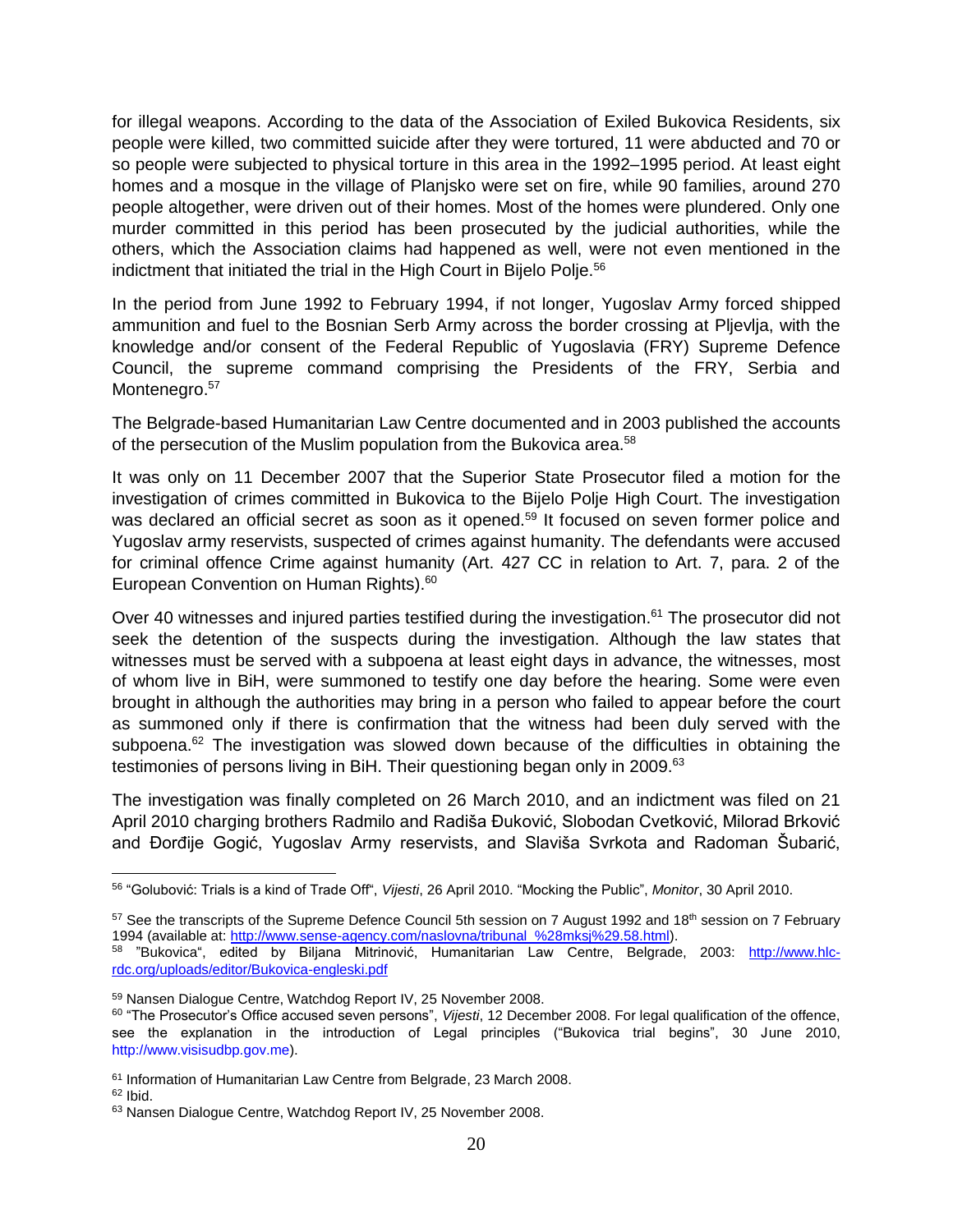for illegal weapons. According to the data of the Association of Exiled Bukovica Residents, six people were killed, two committed suicide after they were tortured, 11 were abducted and 70 or so people were subjected to physical torture in this area in the 1992–1995 period. At least eight homes and a mosque in the village of Planjsko were set on fire, while 90 families, around 270 people altogether, were driven out of their homes. Most of the homes were plundered. Only one murder committed in this period has been prosecuted by the judicial authorities, while the others, which the Association claims had happened as well, were not even mentioned in the indictment that initiated the trial in the High Court in Bijelo Polje.<sup>56</sup>

In the period from June 1992 to February 1994, if not longer, Yugoslav Army forced shipped ammunition and fuel to the Bosnian Serb Army across the border crossing at Pljevlja, with the knowledge and/or consent of the Federal Republic of Yugoslavia (FRY) Supreme Defence Council, the supreme command comprising the Presidents of the FRY, Serbia and Montenegro.<sup>57</sup>

The Belgrade-based Humanitarian Law Centre documented and in 2003 published the accounts of the persecution of the Muslim population from the Bukovica area.<sup>58</sup>

It was only on 11 December 2007 that the Superior State Prosecutor filed a motion for the investigation of crimes committed in Bukovica to the Bijelo Polje High Court. The investigation was declared an official secret as soon as it opened.<sup>59</sup> It focused on seven former police and Yugoslav army reservists, suspected of crimes against humanity. The defendants were accused for criminal offence Crime against humanity (Art. 427 CC in relation to Art. 7, para. 2 of the European Convention on Human Rights). 60

Over 40 witnesses and injured parties testified during the investigation.<sup>61</sup> The prosecutor did not seek the detention of the suspects during the investigation. Although the law states that witnesses must be served with a subpoena at least eight days in advance, the witnesses, most of whom live in BiH, were summoned to testify one day before the hearing. Some were even brought in although the authorities may bring in a person who failed to appear before the court as summoned only if there is confirmation that the witness had been duly served with the subpoena.<sup>62</sup> The investigation was slowed down because of the difficulties in obtaining the testimonies of persons living in BiH. Their questioning began only in 2009.<sup>63</sup>

The investigation was finally completed on 26 March 2010, and an indictment was filed on 21 April 2010 charging brothers Radmilo and Radiša Đuković, Slobodan Cvetković, Milorad Brković and Đorđije Gogić, Yugoslav Army reservists, and Slaviša Svrkota and Radoman Šubarić,

 $62$  Ibid.

<sup>56</sup> "Golubović: Trials is a kind of Trade Off", *Vijesti*, 26 April 2010. "Mocking the Public", *Monitor*, 30 April 2010.

 $57$  See the transcripts of the Supreme Defence Council 5th session on 7 August 1992 and 18<sup>th</sup> session on 7 February 1994 (available at: [http://www.sense-agency.com/naslovna/tribunal\\_%28mksj%29.58.html\)](http://www.sense-agency.com/naslovna/tribunal_%28mksj%29.58.html).

<sup>&</sup>lt;sup>58</sup> "Bukovica", edited by Biljana Mitrinović, Humanitarian Law Centre, Belgrade, 2003: [http://www.hlc](http://www.hlc-rdc.org/uploads/editor/Bukovica-engleski.pdf)[rdc.org/uploads/editor/Bukovica-engleski.pdf](http://www.hlc-rdc.org/uploads/editor/Bukovica-engleski.pdf)

<sup>59</sup> Nansen Dialogue Centre, Watchdog Report IV, 25 November 2008.

<sup>60</sup> "The Prosecutor's Office accused seven persons", *Vijesti*, 12 December 2008. For legal qualification of the offence, see the explanation in the introduction of Legal principles ("Bukovica trial begins", 30 June 2010, http://www.visisudbp.gov.me).

<sup>61</sup> Information of Humanitarian Law Centre from Belgrade, 23 March 2008.

<sup>63</sup> Nansen Dialogue Centre, Watchdog Report IV, 25 November 2008.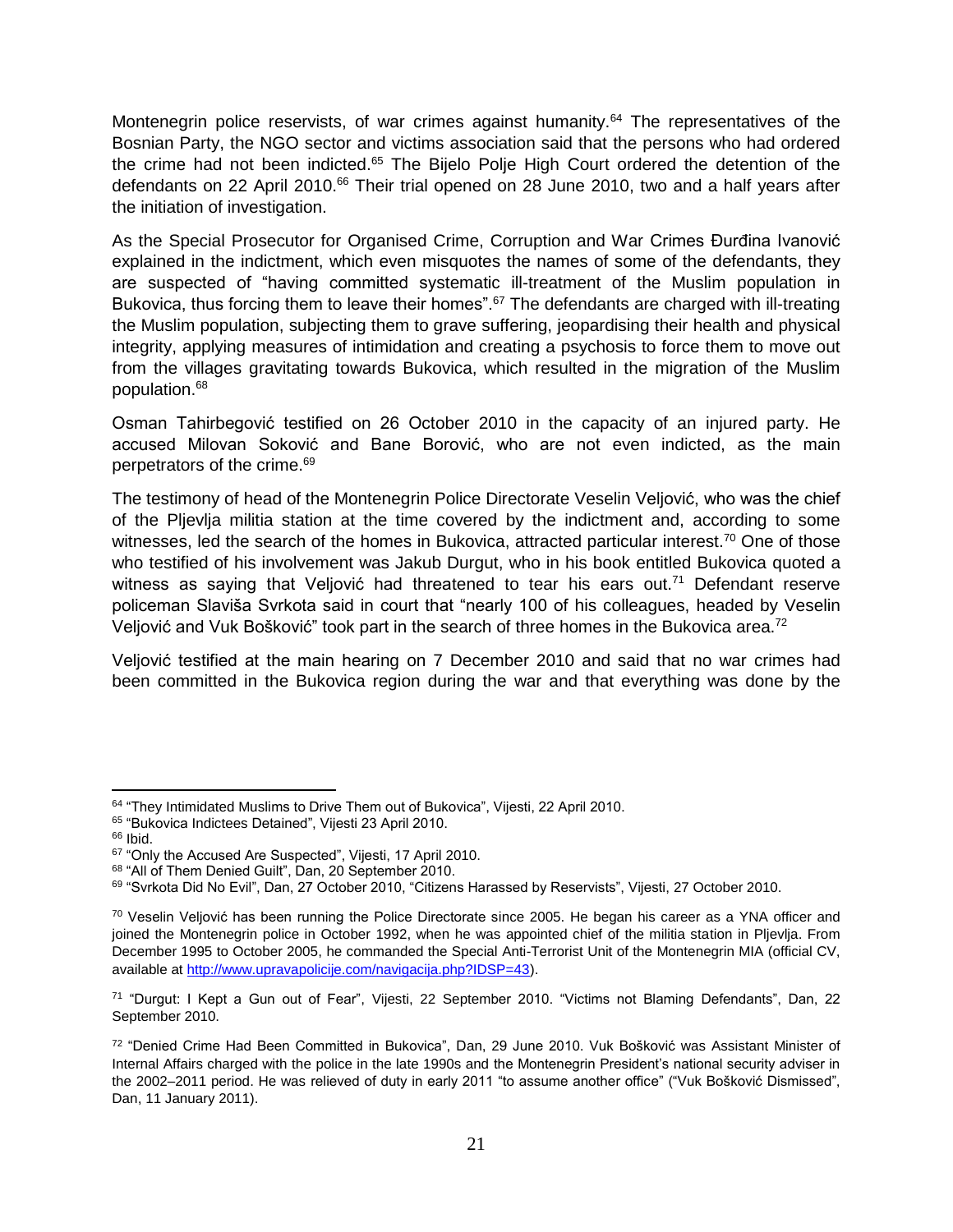Montenegrin police reservists, of war crimes against humanity.<sup>64</sup> The representatives of the Bosnian Party, the NGO sector and victims association said that the persons who had ordered the crime had not been indicted.<sup>65</sup> The Bijelo Polje High Court ordered the detention of the defendants on 22 April 2010.<sup>66</sup> Their trial opened on 28 June 2010, two and a half years after the initiation of investigation.

As the Special Prosecutor for Organised Crime, Corruption and War Crimes Đurđina Ivanović explained in the indictment, which even misquotes the names of some of the defendants, they are suspected of "having committed systematic ill-treatment of the Muslim population in Bukovica, thus forcing them to leave their homes".<sup>67</sup> The defendants are charged with ill-treating the Muslim population, subjecting them to grave suffering, jeopardising their health and physical integrity, applying measures of intimidation and creating a psychosis to force them to move out from the villages gravitating towards Bukovica, which resulted in the migration of the Muslim population.<sup>68</sup>

Osman Tahirbegović testified on 26 October 2010 in the capacity of an injured party. He accused Milovan Soković and Bane Borović, who are not even indicted, as the main perpetrators of the crime.<sup>69</sup>

The testimony of head of the Montenegrin Police Directorate Veselin Veljović, who was the chief of the Pljevlja militia station at the time covered by the indictment and, according to some witnesses. led the search of the homes in Bukovica, attracted particular interest.<sup>70</sup> One of those who testified of his involvement was Jakub Durgut, who in his book entitled Bukovica quoted a witness as saying that Veljović had threatened to tear his ears out.<sup>71</sup> Defendant reserve policeman Slaviša Svrkota said in court that "nearly 100 of his colleagues, headed by Veselin Veljović and Vuk Bošković" took part in the search of three homes in the Bukovica area.<sup>72</sup>

Veljović testified at the main hearing on 7 December 2010 and said that no war crimes had been committed in the Bukovica region during the war and that everything was done by the

 $\overline{a}$ 

<sup>&</sup>lt;sup>64</sup> "They Intimidated Muslims to Drive Them out of Bukovica", Vijesti, 22 April 2010.

<sup>65</sup> "Bukovica Indictees Detained", Vijesti 23 April 2010.

<sup>66</sup> Ibid.

<sup>&</sup>lt;sup>67</sup> "Only the Accused Are Suspected", Vijesti, 17 April 2010.

<sup>68</sup> "All of Them Denied Guilt", Dan, 20 September 2010.

<sup>69</sup> "Svrkota Did No Evil", Dan, 27 October 2010, "Citizens Harassed by Reservists", Vijesti, 27 October 2010.

 $70$  Veselin Veljović has been running the Police Directorate since 2005. He began his career as a YNA officer and joined the Montenegrin police in October 1992, when he was appointed chief of the militia station in Pljevlja. From December 1995 to October 2005, he commanded the Special Anti-Terrorist Unit of the Montenegrin MIA (official CV, available at [http://www.upravapolicije.com/navigacija.php?IDSP=43\)](http://www.upravapolicije.com/navigacija.php?IDSP=43).

<sup>71</sup> "Durgut: I Kept a Gun out of Fear", Vijesti, 22 September 2010. "Victims not Blaming Defendants", Dan, 22 September 2010.

<sup>72</sup> "Denied Crime Had Been Committed in Bukovica", Dan, 29 June 2010. Vuk Bošković was Assistant Minister of Internal Affairs charged with the police in the late 1990s and the Montenegrin President's national security adviser in the 2002–2011 period. He was relieved of duty in early 2011 "to assume another office" ("Vuk Bošković Dismissed", Dan, 11 January 2011).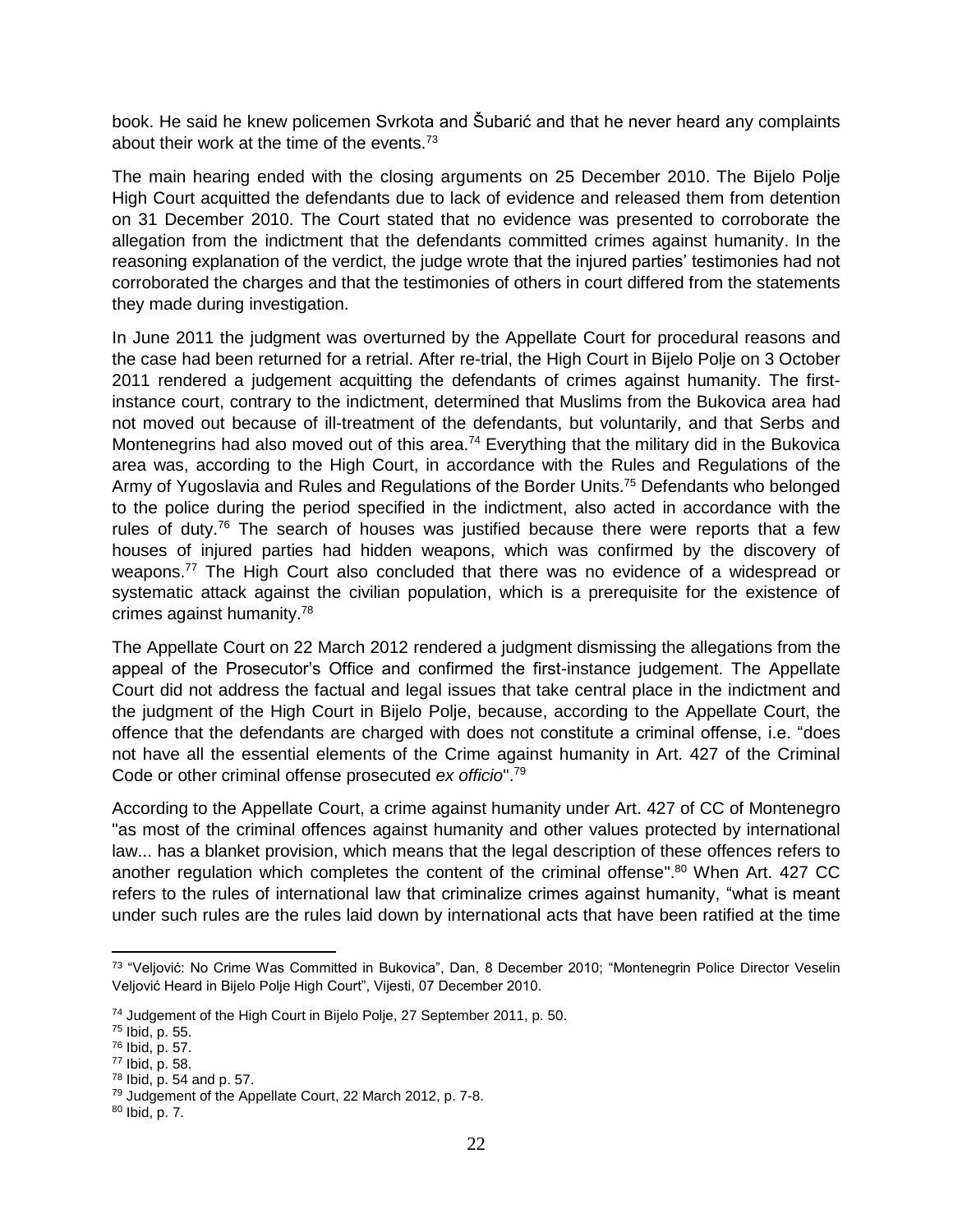book. He said he knew policemen Svrkota and Šubarić and that he never heard any complaints about their work at the time of the events.<sup>73</sup>

The main hearing ended with the closing arguments on 25 December 2010. The Bijelo Polje High Court acquitted the defendants due to lack of evidence and released them from detention on 31 December 2010. The Court stated that no evidence was presented to corroborate the allegation from the indictment that the defendants committed crimes against humanity. In the reasoning explanation of the verdict, the judge wrote that the injured parties' testimonies had not corroborated the charges and that the testimonies of others in court differed from the statements they made during investigation.

In June 2011 the judgment was overturned by the Appellate Court for procedural reasons and the case had been returned for a retrial. After re-trial, the High Court in Bijelo Polje on 3 October 2011 rendered a judgement acquitting the defendants of crimes against humanity. The firstinstance court, contrary to the indictment, determined that Muslims from the Bukovica area had not moved out because of ill-treatment of the defendants, but voluntarily, and that Serbs and Montenegrins had also moved out of this area.<sup>74</sup> Everything that the military did in the Bukovica area was, according to the High Court, in accordance with the Rules and Regulations of the Army of Yugoslavia and Rules and Regulations of the Border Units.<sup>75</sup> Defendants who belonged to the police during the period specified in the indictment, also acted in accordance with the rules of duty.<sup>76</sup> The search of houses was justified because there were reports that a few houses of injured parties had hidden weapons, which was confirmed by the discovery of weapons.<sup>77</sup> The High Court also concluded that there was no evidence of a widespread or systematic attack against the civilian population, which is a prerequisite for the existence of crimes against humanity.<sup>78</sup>

The Appellate Court on 22 March 2012 rendered a judgment dismissing the allegations from the appeal of the Prosecutor's Office and confirmed the first-instance judgement. The Appellate Court did not address the factual and legal issues that take central place in the indictment and the judgment of the High Court in Bijelo Polje, because, according to the Appellate Court, the offence that the defendants are charged with does not constitute a criminal offense, i.e. "does not have all the essential elements of the Crime against humanity in Art. 427 of the Criminal Code or other criminal offense prosecuted *ex officio*". 79

According to the Appellate Court, a crime against humanity under Art. 427 of CC of Montenegro "as most of the criminal offences against humanity and other values protected by international law... has a blanket provision, which means that the legal description of these offences refers to another regulation which completes the content of the criminal offense". <sup>80</sup> When Art. 427 CC refers to the rules of international law that criminalize crimes against humanity, "what is meant under such rules are the rules laid down by international acts that have been ratified at the time

l <sup>73</sup> "Veljović: No Crime Was Committed in Bukovica", Dan, 8 December 2010; "Montenegrin Police Director Veselin Veljović Heard in Bijelo Polje High Court", Vijesti, 07 December 2010.

<sup>&</sup>lt;sup>74</sup> Judgement of the High Court in Bijelo Polje, 27 September 2011, p. 50.

<sup>75</sup> Ibid, p. 55.

<sup>76</sup> Ibid, p. 57.

<sup>77</sup> Ibid, p. 58.

<sup>78</sup> Ibid, p. 54 and p. 57.

<sup>79</sup> Judgement of the Appellate Court, 22 March 2012, p. 7-8.

<sup>80</sup> Ibid, p. 7.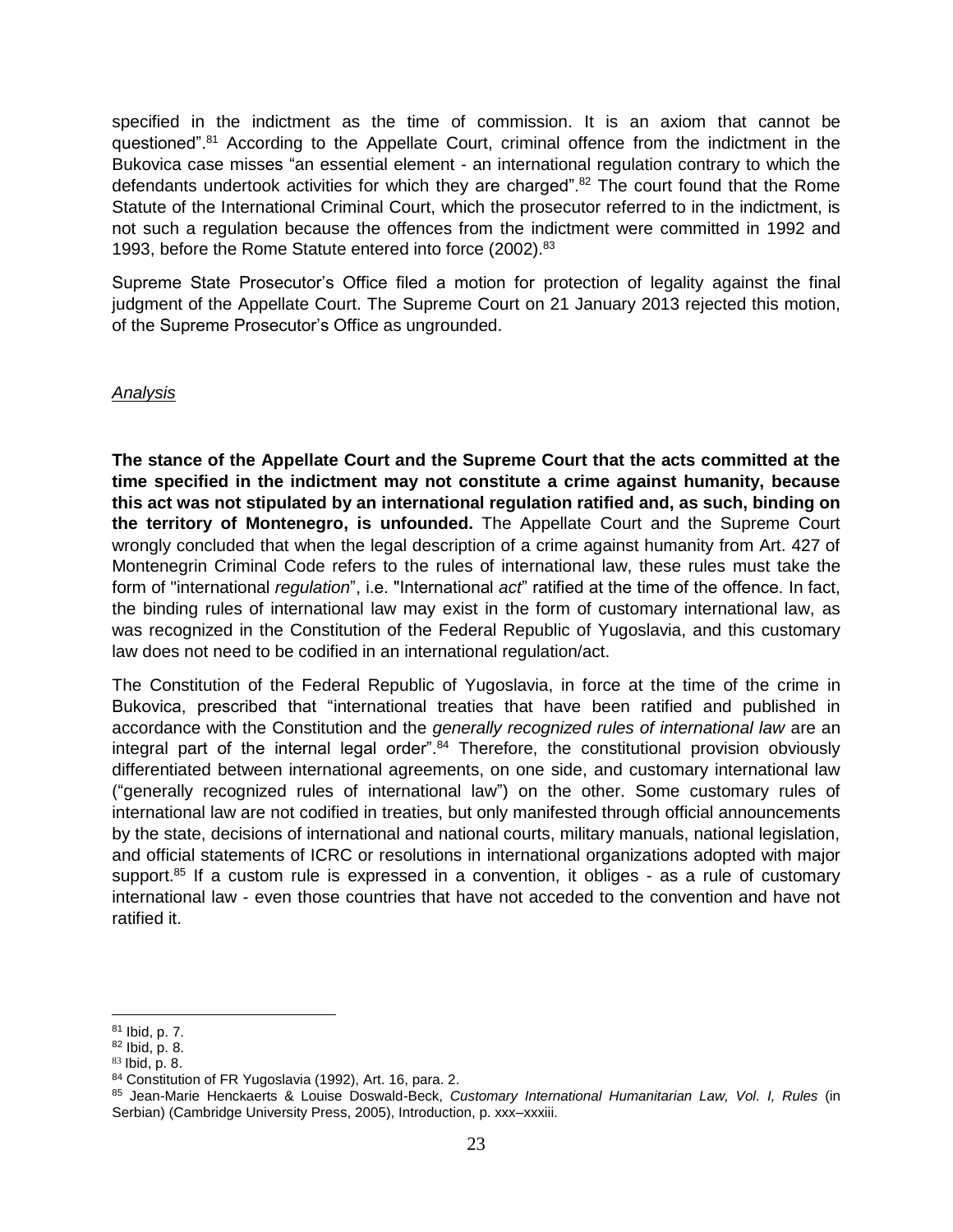specified in the indictment as the time of commission. It is an axiom that cannot be questioned".<sup>81</sup> According to the Appellate Court, criminal offence from the indictment in the Bukovica case misses "an essential element - an international regulation contrary to which the defendants undertook activities for which they are charged".<sup>82</sup> The court found that the Rome Statute of the International Criminal Court, which the prosecutor referred to in the indictment, is not such a regulation because the offences from the indictment were committed in 1992 and 1993, before the Rome Statute entered into force (2002).<sup>83</sup>

Supreme State Prosecutor's Office filed a motion for protection of legality against the final judgment of the Appellate Court. The Supreme Court on 21 January 2013 rejected this motion, of the Supreme Prosecutor's Office as ungrounded.

#### *Analysis*

**The stance of the Appellate Court and the Supreme Court that the acts committed at the time specified in the indictment may not constitute a crime against humanity, because this act was not stipulated by an international regulation ratified and, as such, binding on the territory of Montenegro, is unfounded.** The Appellate Court and the Supreme Court wrongly concluded that when the legal description of a crime against humanity from Art. 427 of Montenegrin Criminal Code refers to the rules of international law, these rules must take the form of "international *regulation*", i.e. "International *act*" ratified at the time of the offence. In fact, the binding rules of international law may exist in the form of customary international law, as was recognized in the Constitution of the Federal Republic of Yugoslavia, and this customary law does not need to be codified in an international regulation/act.

The Constitution of the Federal Republic of Yugoslavia, in force at the time of the crime in Bukovica, prescribed that "international treaties that have been ratified and published in accordance with the Constitution and the *generally recognized rules of international law* are an integral part of the internal legal order". $84$  Therefore, the constitutional provision obviously differentiated between international agreements, on one side, and customary international law ("generally recognized rules of international law") on the other. Some customary rules of international law are not codified in treaties, but only manifested through official announcements by the state, decisions of international and national courts, military manuals, national legislation, and official statements of ICRC or resolutions in international organizations adopted with major support.<sup>85</sup> If a custom rule is expressed in a convention, it obliges - as a rule of customary international law - even those countries that have not acceded to the convention and have not ratified it.

<sup>81</sup> Ibid, p. 7.

<sup>82</sup> Ibid, p. 8.

 $83$  Ibid, p. 8.

<sup>84</sup> Constitution of FR Yugoslavia (1992), Art. 16, para. 2.

<sup>85</sup> Jean-Marie Henckaerts & Louise Doswald-Beck, *Customary International Humanitarian Law, Vol. I, Rules* (in Serbian) (Cambridge University Press, 2005), Introduction, p. xxx–xxxiii.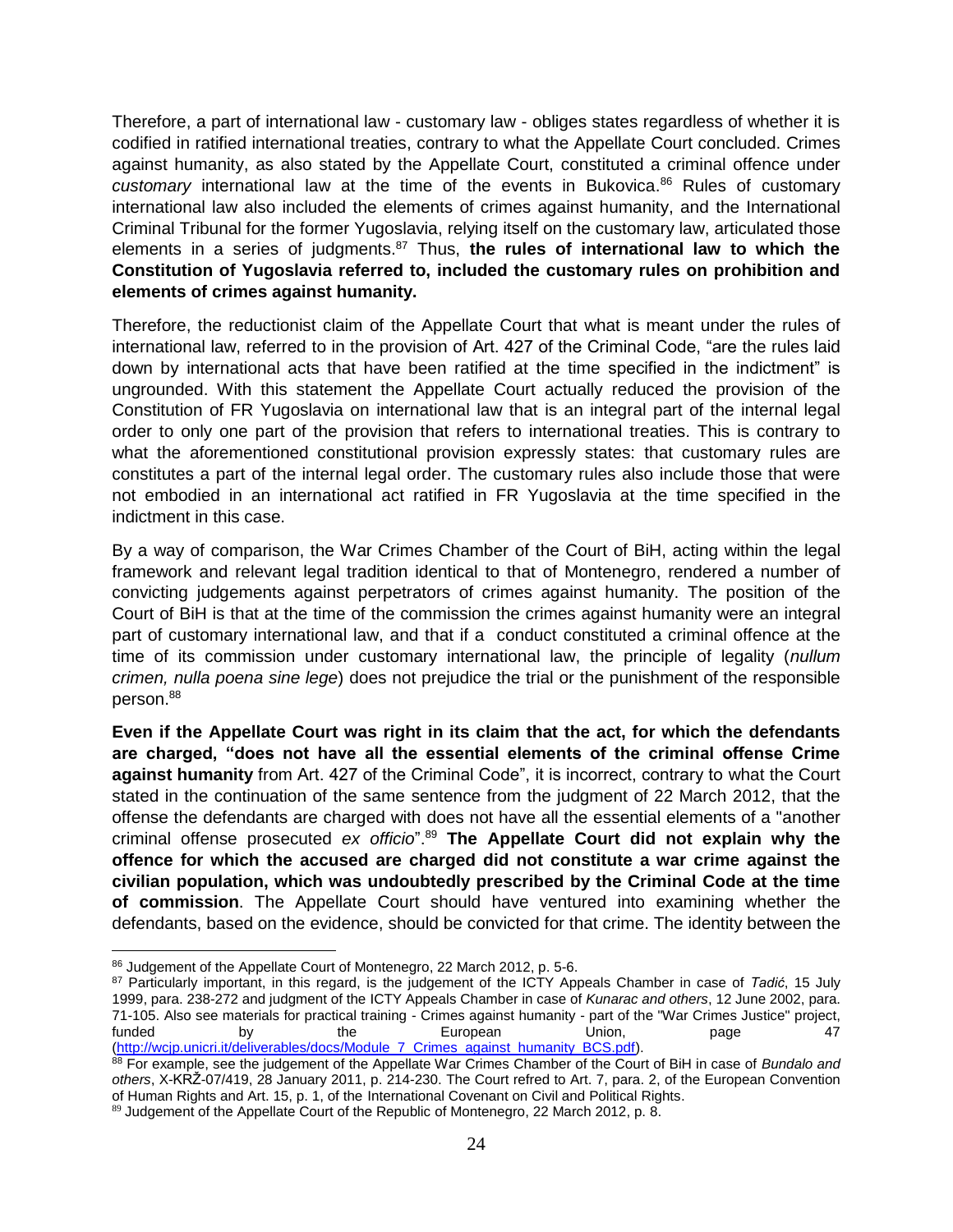Therefore, a part of international law - customary law - obliges states regardless of whether it is codified in ratified international treaties, contrary to what the Appellate Court concluded. Crimes against humanity, as also stated by the Appellate Court, constituted a criminal offence under *customary* international law at the time of the events in Bukovica. <sup>86</sup> Rules of customary international law also included the elements of crimes against humanity, and the International Criminal Tribunal for the former Yugoslavia, relying itself on the customary law, articulated those elements in a series of judgments.<sup>87</sup> Thus, **the rules of international law to which the Constitution of Yugoslavia referred to, included the customary rules on prohibition and elements of crimes against humanity.**

Therefore, the reductionist claim of the Appellate Court that what is meant under the rules of international law, referred to in the provision of Art. 427 of the Criminal Code, "are the rules laid down by international acts that have been ratified at the time specified in the indictment" is ungrounded. With this statement the Appellate Court actually reduced the provision of the Constitution of FR Yugoslavia on international law that is an integral part of the internal legal order to only one part of the provision that refers to international treaties. This is contrary to what the aforementioned constitutional provision expressly states: that customary rules are constitutes a part of the internal legal order. The customary rules also include those that were not embodied in an international act ratified in FR Yugoslavia at the time specified in the indictment in this case.

By a way of comparison, the War Crimes Chamber of the Court of BiH, acting within the legal framework and relevant legal tradition identical to that of Montenegro, rendered a number of convicting judgements against perpetrators of crimes against humanity. The position of the Court of BiH is that at the time of the commission the crimes against humanity were an integral part of customary international law, and that if a conduct constituted a criminal offence at the time of its commission under customary international law, the principle of legality (*nullum crimen, nulla poena sine lege*) does not prejudice the trial or the punishment of the responsible person.<sup>88</sup>

**Even if the Appellate Court was right in its claim that the act, for which the defendants are charged, "does not have all the essential elements of the criminal offense Crime against humanity** from Art. 427 of the Criminal Code", it is incorrect, contrary to what the Court stated in the continuation of the same sentence from the judgment of 22 March 2012, that the offense the defendants are charged with does not have all the essential elements of a "another criminal offense prosecuted *ex officio*".<sup>89</sup> **The Appellate Court did not explain why the offence for which the accused are charged did not constitute a war crime against the civilian population, which was undoubtedly prescribed by the Criminal Code at the time of commission**. The Appellate Court should have ventured into examining whether the defendants, based on the evidence, should be convicted for that crime. The identity between the

 $\overline{a}$ 86 Judgement of the Appellate Court of Montenegro, 22 March 2012, p. 5-6.

<sup>87</sup> Particularly important, in this regard, is the judgement of the ICTY Appeals Chamber in case of *Tadić*, 15 July 1999, para. 238-272 and judgment of the ICTY Appeals Chamber in case of *Kunarac and others*, 12 June 2002, para. 71-105. Also see materials for practical training - Crimes against humanity - part of the "War Crimes Justice" project,<br>147<br>
747 funded by the European Union, page 47 [\(http://wcjp.unicri.it/deliverables/docs/Module\\_7\\_Crimes\\_against\\_humanity\\_BCS.pdf\)](http://wcjp.unicri.it/deliverables/docs/Module_7_Crimes_against_humanity_BCS.pdf).

<sup>88</sup> For example, see the judgement of the Appellate War Crimes Chamber of the Court of BiH in case of *Bundalo and others*, X-KRŽ-07/419, 28 January 2011, p. 214-230. The Court refred to Art. 7, para. 2, of the European Convention of Human Rights and Art. 15, p. 1, of the International Covenant on Civil and Political Rights.

<sup>89</sup> Judgement of the Appellate Court of the Republic of Montenegro, 22 March 2012, p. 8.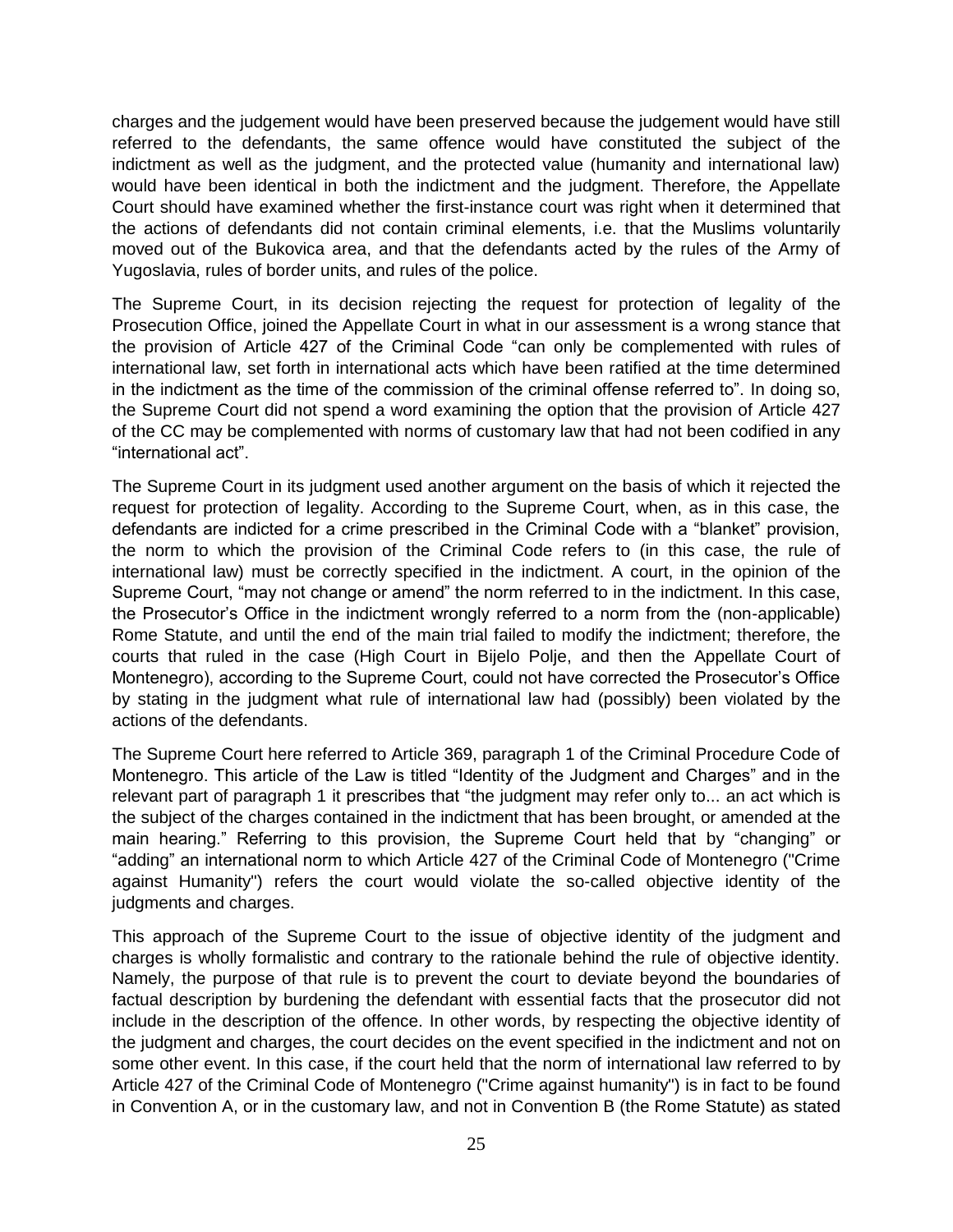charges and the judgement would have been preserved because the judgement would have still referred to the defendants, the same offence would have constituted the subject of the indictment as well as the judgment, and the protected value (humanity and international law) would have been identical in both the indictment and the judgment. Therefore, the Appellate Court should have examined whether the first-instance court was right when it determined that the actions of defendants did not contain criminal elements, i.e. that the Muslims voluntarily moved out of the Bukovica area, and that the defendants acted by the rules of the Army of Yugoslavia, rules of border units, and rules of the police.

The Supreme Court, in its decision rejecting the request for protection of legality of the Prosecution Office, joined the Appellate Court in what in our assessment is a wrong stance that the provision of Article 427 of the Criminal Code "can only be complemented with rules of international law, set forth in international acts which have been ratified at the time determined in the indictment as the time of the commission of the criminal offense referred to". In doing so, the Supreme Court did not spend a word examining the option that the provision of Article 427 of the CC may be complemented with norms of customary law that had not been codified in any "international act".

The Supreme Court in its judgment used another argument on the basis of which it rejected the request for protection of legality. According to the Supreme Court, when, as in this case, the defendants are indicted for a crime prescribed in the Criminal Code with a "blanket" provision, the norm to which the provision of the Criminal Code refers to (in this case, the rule of international law) must be correctly specified in the indictment. A court, in the opinion of the Supreme Court, "may not change or amend" the norm referred to in the indictment. In this case, the Prosecutor's Office in the indictment wrongly referred to a norm from the (non-applicable) Rome Statute, and until the end of the main trial failed to modify the indictment; therefore, the courts that ruled in the case (High Court in Bijelo Polje, and then the Appellate Court of Montenegro), according to the Supreme Court, could not have corrected the Prosecutor's Office by stating in the judgment what rule of international law had (possibly) been violated by the actions of the defendants.

The Supreme Court here referred to Article 369, paragraph 1 of the Criminal Procedure Code of Montenegro. This article of the Law is titled "Identity of the Judgment and Charges" and in the relevant part of paragraph 1 it prescribes that "the judgment may refer only to... an act which is the subject of the charges contained in the indictment that has been brought, or amended at the main hearing." Referring to this provision, the Supreme Court held that by "changing" or "adding" an international norm to which Article 427 of the Criminal Code of Montenegro ("Crime against Humanity") refers the court would violate the so-called objective identity of the judgments and charges.

This approach of the Supreme Court to the issue of objective identity of the judgment and charges is wholly formalistic and contrary to the rationale behind the rule of objective identity. Namely, the purpose of that rule is to prevent the court to deviate beyond the boundaries of factual description by burdening the defendant with essential facts that the prosecutor did not include in the description of the offence. In other words, by respecting the objective identity of the judgment and charges, the court decides on the event specified in the indictment and not on some other event. In this case, if the court held that the norm of international law referred to by Article 427 of the Criminal Code of Montenegro ("Crime against humanity") is in fact to be found in Convention A, or in the customary law, and not in Convention B (the Rome Statute) as stated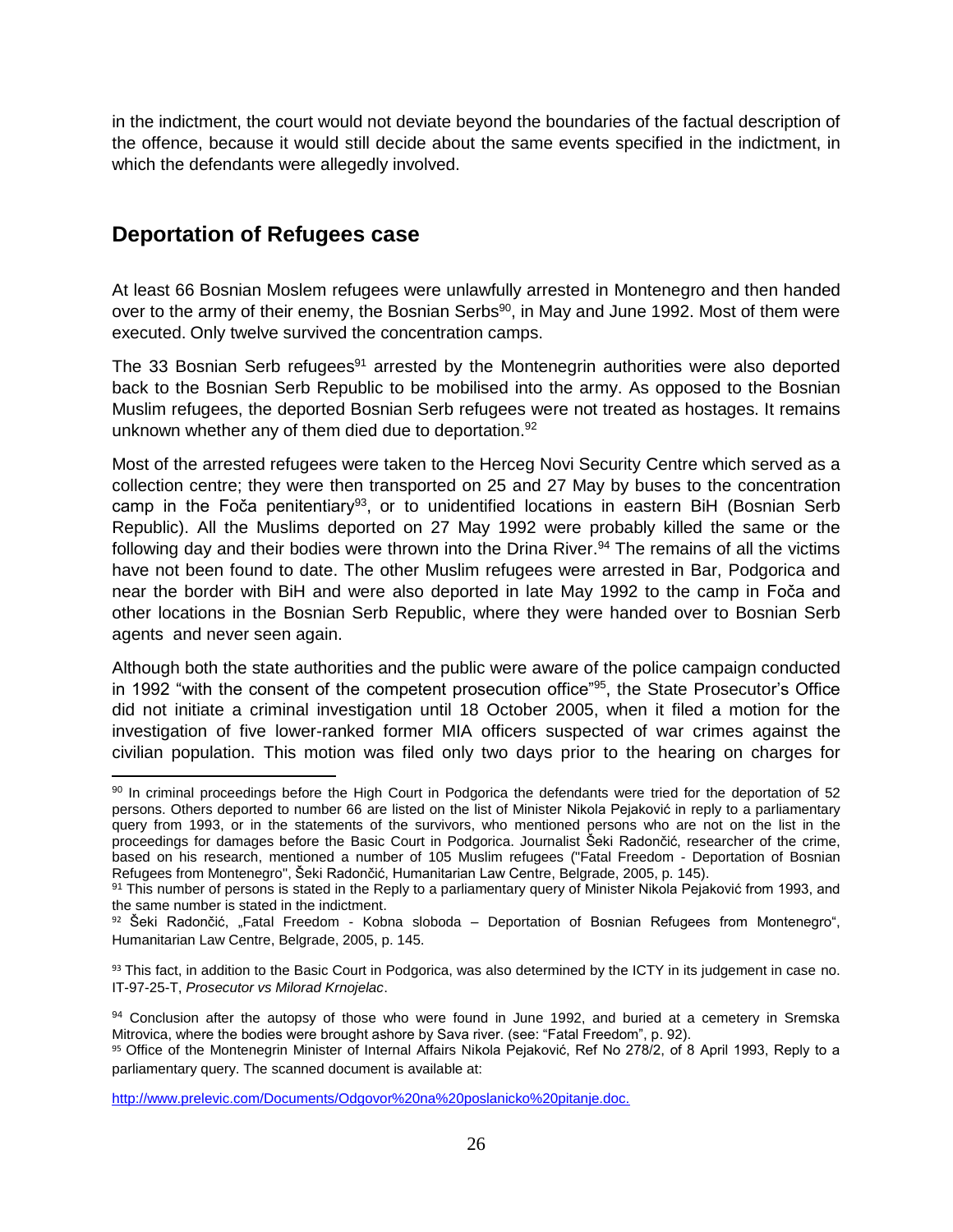in the indictment, the court would not deviate beyond the boundaries of the factual description of the offence, because it would still decide about the same events specified in the indictment, in which the defendants were allegedly involved.

## <span id="page-25-0"></span>**Deportation of Refugees case**

 $\overline{\phantom{a}}$ 

At least 66 Bosnian Moslem refugees were unlawfully arrested in Montenegro and then handed over to the army of their enemy, the Bosnian Serbs<sup>90</sup>, in May and June 1992. Most of them were executed. Only twelve survived the concentration camps.

The 33 Bosnian Serb refugees $91$  arrested by the Montenegrin authorities were also deported back to the Bosnian Serb Republic to be mobilised into the army. As opposed to the Bosnian Muslim refugees, the deported Bosnian Serb refugees were not treated as hostages. It remains unknown whether any of them died due to deportation.<sup>92</sup>

Most of the arrested refugees were taken to the Herceg Novi Security Centre which served as a collection centre; they were then transported on 25 and 27 May by buses to the concentration camp in the Foča penitentiary<sup>93</sup>, or to unidentified locations in eastern BiH (Bosnian Serb Republic). All the Muslims deported on 27 May 1992 were probably killed the same or the following day and their bodies were thrown into the Drina River.<sup>94</sup> The remains of all the victims have not been found to date. The other Muslim refugees were arrested in Bar, Podgorica and near the border with BiH and were also deported in late May 1992 to the camp in Foča and other locations in the Bosnian Serb Republic, where they were handed over to Bosnian Serb agents and never seen again.

Although both the state authorities and the public were aware of the police campaign conducted in 1992 "with the consent of the competent prosecution office"<sup>95</sup>, the State Prosecutor's Office did not initiate a criminal investigation until 18 October 2005, when it filed a motion for the investigation of five lower-ranked former MIA officers suspected of war crimes against the civilian population. This motion was filed only two days prior to the hearing on charges for

<sup>90</sup> In criminal proceedings before the High Court in Podgorica the defendants were tried for the deportation of 52 persons. Others deported to number 66 are listed on the list of Minister Nikola Pejaković in reply to a parliamentary query from 1993, or in the statements of the survivors, who mentioned persons who are not on the list in the proceedings for damages before the Basic Court in Podgorica. Journalist Šeki Radončić, researcher of the crime, based on his research, mentioned a number of 105 Muslim refugees ("Fatal Freedom - Deportation of Bosnian Refugees from Montenegro", Šeki Radončić, Humanitarian Law Centre, Belgrade, 2005, p. 145).

<sup>91</sup> This number of persons is stated in the Reply to a parliamentary query of Minister Nikola Pejaković from 1993, and the same number is stated in the indictment.

 $92$  Šeki Radončić, "Fatal Freedom - Kobna sloboda – Deportation of Bosnian Refugees from Montenegro", Humanitarian Law Centre, Belgrade, 2005, p. 145.

<sup>93</sup> This fact, in addition to the Basic Court in Podgorica, was also determined by the ICTY in its judgement in case no. IT-97-25-T, *Prosecutor vs Milorad Krnojelac*.

<sup>94</sup> Conclusion after the autopsy of those who were found in June 1992, and buried at a cemetery in Sremska Mitrovica, where the bodies were brought ashore by Sava river. (see: "Fatal Freedom", p. 92).

<sup>95</sup> Office of the Montenegrin Minister of Internal Affairs Nikola Pejaković, Ref No 278/2, of 8 April 1993, Reply to a parliamentary query. The scanned document is available at:

<http://www.prelevic.com/Documents/Odgovor%20na%20poslanicko%20pitanje.doc.>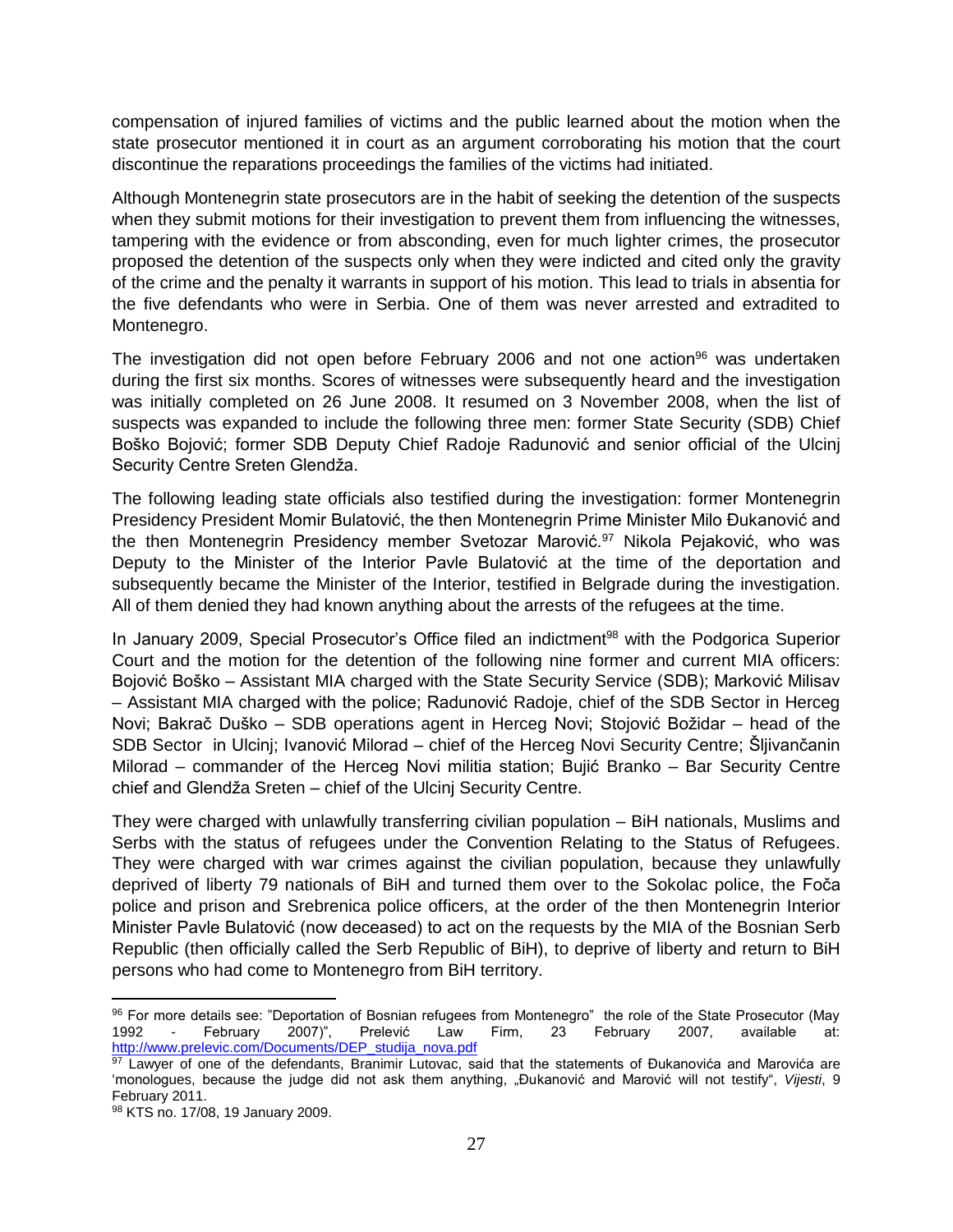compensation of injured families of victims and the public learned about the motion when the state prosecutor mentioned it in court as an argument corroborating his motion that the court discontinue the reparations proceedings the families of the victims had initiated.

Although Montenegrin state prosecutors are in the habit of seeking the detention of the suspects when they submit motions for their investigation to prevent them from influencing the witnesses, tampering with the evidence or from absconding, even for much lighter crimes, the prosecutor proposed the detention of the suspects only when they were indicted and cited only the gravity of the crime and the penalty it warrants in support of his motion. This lead to trials in absentia for the five defendants who were in Serbia. One of them was never arrested and extradited to Montenegro.

The investigation did not open before February 2006 and not one action<sup>96</sup> was undertaken during the first six months. Scores of witnesses were subsequently heard and the investigation was initially completed on 26 June 2008. It resumed on 3 November 2008, when the list of suspects was expanded to include the following three men: former State Security (SDB) Chief Boško Bojović; former SDB Deputy Chief Radoje Radunović and senior official of the Ulcinj Security Centre Sreten Glendža.

The following leading state officials also testified during the investigation: former Montenegrin Presidency President Momir Bulatović, the then Montenegrin Prime Minister Milo Đukanović and the then Montenegrin Presidency member Svetozar Marović.<sup>97</sup> Nikola Pejaković, who was Deputy to the Minister of the Interior Pavle Bulatović at the time of the deportation and subsequently became the Minister of the Interior, testified in Belgrade during the investigation. All of them denied they had known anything about the arrests of the refugees at the time.

In January 2009, Special Prosecutor's Office filed an indictment<sup>98</sup> with the Podgorica Superior Court and the motion for the detention of the following nine former and current MIA officers: Bojović Boško – Assistant MIA charged with the State Security Service (SDB); Marković Milisav – Assistant MIA charged with the police; Radunović Radoje, chief of the SDB Sector in Herceg Novi; Bakrač Duško – SDB operations agent in Herceg Novi; Stojović Božidar – head of the SDB Sector in Ulcinj; Ivanović Milorad – chief of the Herceg Novi Security Centre; Šljivančanin Milorad – commander of the Herceg Novi militia station; Bujić Branko – Bar Security Centre chief and Glendža Sreten – chief of the Ulcinj Security Centre.

They were charged with unlawfully transferring civilian population – BiH nationals, Muslims and Serbs with the status of refugees under the Convention Relating to the Status of Refugees. They were charged with war crimes against the civilian population, because they unlawfully deprived of liberty 79 nationals of BiH and turned them over to the Sokolac police, the Foča police and prison and Srebrenica police officers, at the order of the then Montenegrin Interior Minister Pavle Bulatović (now deceased) to act on the requests by the MIA of the Bosnian Serb Republic (then officially called the Serb Republic of BiH), to deprive of liberty and return to BiH persons who had come to Montenegro from BiH territory.

 $\overline{a}$ 

<sup>96</sup> For more details see: "Deportation of Bosnian refugees from Montenegro" the role of the State Prosecutor (May 1992 - February 2007)", Prelević Law Firm, 23 February 2007, available at: [http://www.prelevic.com/Documents/DEP\\_studija\\_nova.pdf](http://www.prelevic.com/Documents/DEP_studija_nova.pdf)

<sup>97</sup> Lawyer of one of the defendants, Branimir Lutovac, said that the statements of Đukanovića and Marovića are 'monologues, because the judge did not ask them anything, "Đukanović and Marović will not testify", *Vijesti*, 9 February 2011.

<sup>98</sup> KTS no. 17/08, 19 January 2009.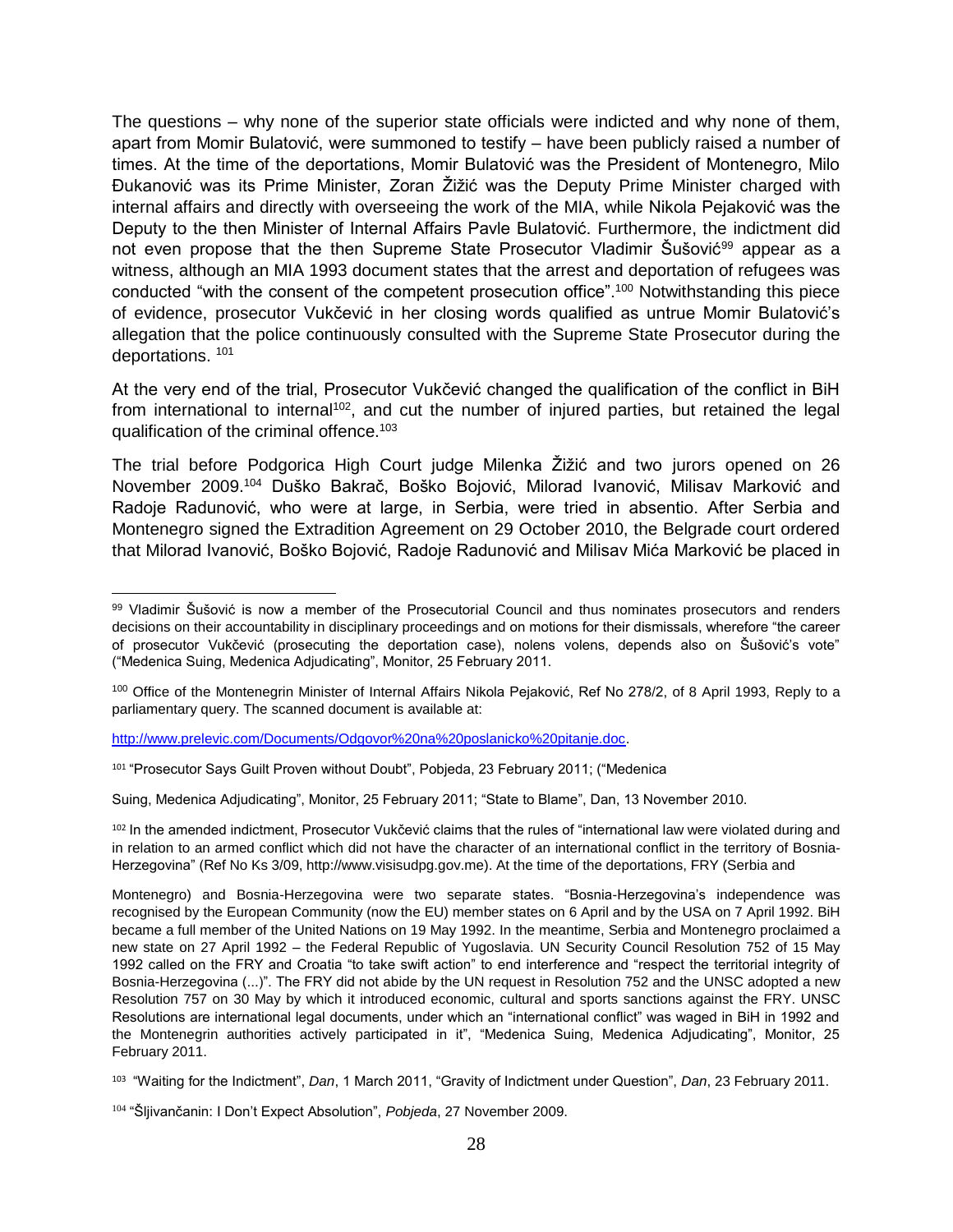The questions – why none of the superior state officials were indicted and why none of them, apart from Momir Bulatović, were summoned to testify – have been publicly raised a number of times. At the time of the deportations, Momir Bulatović was the President of Montenegro, Milo Đukanović was its Prime Minister, Zoran Žižić was the Deputy Prime Minister charged with internal affairs and directly with overseeing the work of the MIA, while Nikola Pejaković was the Deputy to the then Minister of Internal Affairs Pavle Bulatović. Furthermore, the indictment did not even propose that the then Supreme State Prosecutor Vladimir Šušović<sup>99</sup> appear as a witness, although an MIA 1993 document states that the arrest and deportation of refugees was conducted "with the consent of the competent prosecution office".<sup>100</sup> Notwithstanding this piece of evidence, prosecutor Vukčević in her closing words qualified as untrue Momir Bulatović's allegation that the police continuously consulted with the Supreme State Prosecutor during the deportations. <sup>101</sup>

At the very end of the trial, Prosecutor Vukčević changed the qualification of the conflict in BiH from international to internal<sup>102</sup>, and cut the number of injured parties, but retained the legal qualification of the criminal offence.<sup>103</sup>

The trial before Podgorica High Court judge Milenka Žižić and two jurors opened on 26 November 2009. <sup>104</sup> Duško Bakrač, Boško Bojović, Milorad Ivanović, Milisav Marković and Radoje Radunović, who were at large, in Serbia, were tried in absentio. After Serbia and Montenegro signed the Extradition Agreement on 29 October 2010, the Belgrade court ordered that Milorad Ivanović, Boško Bojović, Radoje Radunović and Milisav Mića Marković be placed in

[http://www.prelevic.com/Documents/Odgovor%20na%20poslanicko%20pitanje.doc.](http://www.prelevic.com/Documents/Odgovor%20na%20poslanicko%20pitanje.doc)

Suing, Medenica Adjudicating", Monitor, 25 February 2011; "State to Blame", Dan, 13 November 2010.

<sup>102</sup> In the amended indictment, Prosecutor Vukčević claims that the rules of "international law were violated during and in relation to an armed conflict which did not have the character of an international conflict in the territory of Bosnia-Herzegovina" (Ref No Ks 3/09, http://www.visisudpg.gov.me). At the time of the deportations, FRY (Serbia and

 $\overline{\phantom{a}}$ 99 Vladimir Šušović is now a member of the Prosecutorial Council and thus nominates prosecutors and renders decisions on their accountability in disciplinary proceedings and on motions for their dismissals, wherefore "the career of prosecutor Vukčević (prosecuting the deportation case), nolens volens, depends also on Šušović's vote" ("Medenica Suing, Medenica Adjudicating", Monitor, 25 February 2011.

<sup>100</sup> Office of the Montenegrin Minister of Internal Affairs Nikola Pejaković, Ref No 278/2, of 8 April 1993, Reply to a parliamentary query. The scanned document is available at:

<sup>101</sup> "Prosecutor Says Guilt Proven without Doubt", Pobjeda, 23 February 2011; ("Medenica

Montenegro) and Bosnia-Herzegovina were two separate states. "Bosnia-Herzegovina's independence was recognised by the European Community (now the EU) member states on 6 April and by the USA on 7 April 1992. BiH became a full member of the United Nations on 19 May 1992. In the meantime, Serbia and Montenegro proclaimed a new state on 27 April 1992 – the Federal Republic of Yugoslavia. UN Security Council Resolution 752 of 15 May 1992 called on the FRY and Croatia "to take swift action" to end interference and "respect the territorial integrity of Bosnia-Herzegovina (...)". The FRY did not abide by the UN request in Resolution 752 and the UNSC adopted a new Resolution 757 on 30 May by which it introduced economic, cultural and sports sanctions against the FRY. UNSC Resolutions are international legal documents, under which an "international conflict" was waged in BiH in 1992 and the Montenegrin authorities actively participated in it", "Medenica Suing, Medenica Adjudicating", Monitor, 25 February 2011.

<sup>103</sup> "Waiting for the Indictment", *Dan*, 1 March 2011, "Gravity of Indictment under Question", *Dan*, 23 February 2011.

<sup>104</sup> "Šljivančanin: I Don't Expect Absolution", *Pobjeda*, 27 November 2009.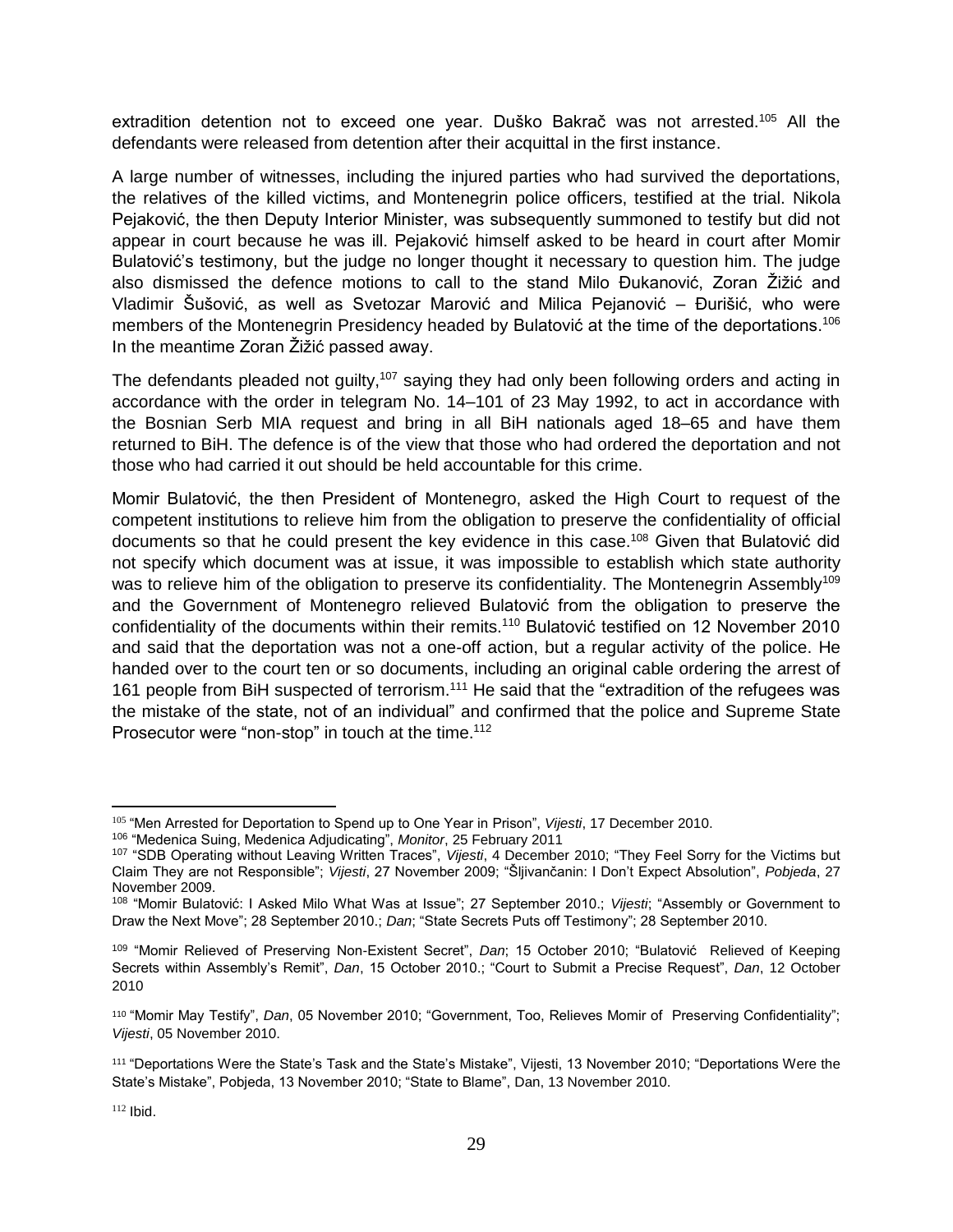extradition detention not to exceed one year. Duško Bakrač was not arrested.<sup>105</sup> All the defendants were released from detention after their acquittal in the first instance.

A large number of witnesses, including the injured parties who had survived the deportations, the relatives of the killed victims, and Montenegrin police officers, testified at the trial. Nikola Pejaković, the then Deputy Interior Minister, was subsequently summoned to testify but did not appear in court because he was ill. Pejaković himself asked to be heard in court after Momir Bulatović's testimony, but the judge no longer thought it necessary to question him. The judge also dismissed the defence motions to call to the stand Milo Đukanović, Zoran Žižić and Vladimir Šušović, as well as Svetozar Marović and Milica Pejanović – Đurišić, who were members of the Montenegrin Presidency headed by Bulatović at the time of the deportations.<sup>106</sup> In the meantime Zoran Žižić passed away.

The defendants pleaded not guilty,<sup>107</sup> saying they had only been following orders and acting in accordance with the order in telegram No. 14–101 of 23 May 1992, to act in accordance with the Bosnian Serb MIA request and bring in all BiH nationals aged 18–65 and have them returned to BiH. The defence is of the view that those who had ordered the deportation and not those who had carried it out should be held accountable for this crime.

Momir Bulatović, the then President of Montenegro, asked the High Court to request of the competent institutions to relieve him from the obligation to preserve the confidentiality of official documents so that he could present the key evidence in this case. <sup>108</sup> Given that Bulatović did not specify which document was at issue, it was impossible to establish which state authority was to relieve him of the obligation to preserve its confidentiality. The Montenegrin Assembly<sup>109</sup> and the Government of Montenegro relieved Bulatović from the obligation to preserve the confidentiality of the documents within their remits.<sup>110</sup> Bulatović testified on 12 November 2010 and said that the deportation was not a one-off action, but a regular activity of the police. He handed over to the court ten or so documents, including an original cable ordering the arrest of 161 people from BiH suspected of terrorism.<sup>111</sup> He said that the "extradition of the refugees was the mistake of the state, not of an individual" and confirmed that the police and Supreme State Prosecutor were "non-stop" in touch at the time.<sup>112</sup>

<sup>105</sup> "Men Arrested for Deportation to Spend up to One Year in Prison", *Vijesti*, 17 December 2010.

<sup>106</sup> "Medenica Suing, Medenica Adjudicating", *Monitor*, 25 February 2011

<sup>107</sup> "SDB Operating without Leaving Written Traces", *Vijesti*, 4 December 2010; "They Feel Sorry for the Victims but Claim They are not Responsible"; *Vijesti*, 27 November 2009; "Šljivančanin: I Don't Expect Absolution", *Pobjeda*, 27 November 2009.

<sup>108</sup> "Momir Bulatović: I Asked Milo What Was at Issue"; 27 September 2010.; *Vijesti*; "Assembly or Government to Draw the Next Move"; 28 September 2010.; *Dan*; "State Secrets Puts off Testimony"; 28 September 2010.

<sup>109</sup> "Momir Relieved of Preserving Non-Existent Secret", *Dan*; 15 October 2010; "Bulatović Relieved of Keeping Secrets within Assembly's Remit", *Dan*, 15 October 2010.; "Court to Submit a Precise Request", *Dan*, 12 October 2010

<sup>110</sup> "Momir May Testify", *Dan*, 05 November 2010; "Government, Too, Relieves Momir of Preserving Confidentiality"; *Vijesti*, 05 November 2010.

<sup>111</sup> "Deportations Were the State's Task and the State's Mistake", Vijesti, 13 November 2010; "Deportations Were the State's Mistake", Pobjeda, 13 November 2010; "State to Blame", Dan, 13 November 2010.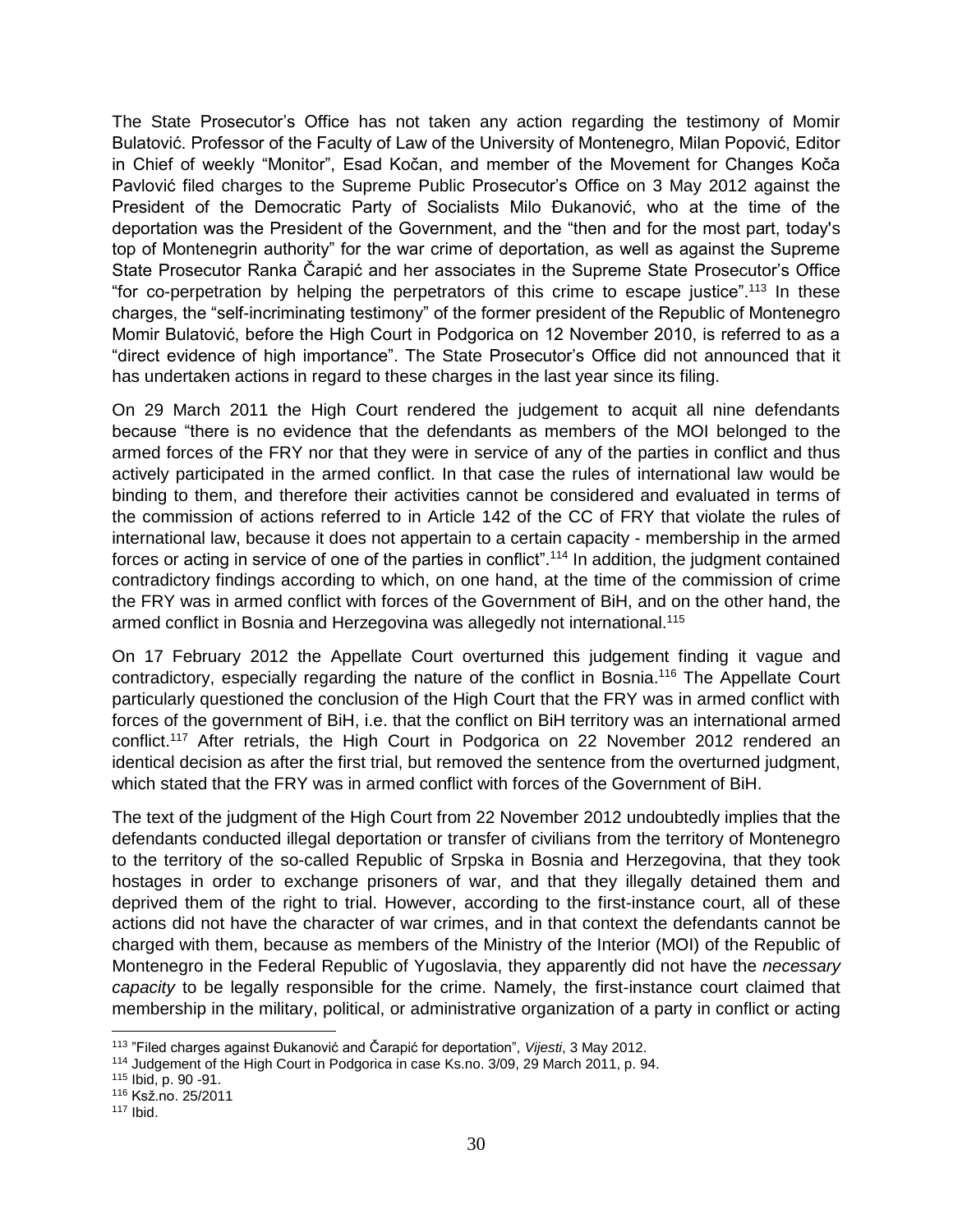The State Prosecutor's Office has not taken any action regarding the testimony of Momir Bulatović. Professor of the Faculty of Law of the University of Montenegro, Milan Popović, Editor in Chief of weekly "Monitor", Esad Kočan, and member of the Movement for Changes Koča Pavlović filed charges to the Supreme Public Prosecutor's Office on 3 May 2012 against the President of the Democratic Party of Socialists Milo Đukanović, who at the time of the deportation was the President of the Government, and the "then and for the most part, today's top of Montenegrin authority" for the war crime of deportation, as well as against the Supreme State Prosecutor Ranka Čarapić and her associates in the Supreme State Prosecutor's Office "for co-perpetration by helping the perpetrators of this crime to escape justice".<sup>113</sup> In these charges, the "self-incriminating testimony" of the former president of the Republic of Montenegro Momir Bulatović, before the High Court in Podgorica on 12 November 2010, is referred to as a "direct evidence of high importance". The State Prosecutor's Office did not announced that it has undertaken actions in regard to these charges in the last year since its filing.

On 29 March 2011 the High Court rendered the judgement to acquit all nine defendants because "there is no evidence that the defendants as members of the MOI belonged to the armed forces of the FRY nor that they were in service of any of the parties in conflict and thus actively participated in the armed conflict. In that case the rules of international law would be binding to them, and therefore their activities cannot be considered and evaluated in terms of the commission of actions referred to in Article 142 of the CC of FRY that violate the rules of international law, because it does not appertain to a certain capacity - membership in the armed forces or acting in service of one of the parties in conflict".<sup>114</sup> In addition, the judgment contained contradictory findings according to which, on one hand, at the time of the commission of crime the FRY was in armed conflict with forces of the Government of BiH, and on the other hand, the armed conflict in Bosnia and Herzegovina was allegedly not international.<sup>115</sup>

On 17 February 2012 the Appellate Court overturned this judgement finding it vague and contradictory, especially regarding the nature of the conflict in Bosnia.<sup>116</sup> The Appellate Court particularly questioned the conclusion of the High Court that the FRY was in armed conflict with forces of the government of BiH, i.e. that the conflict on BiH territory was an international armed conflict.<sup>117</sup> After retrials, the High Court in Podgorica on 22 November 2012 rendered an identical decision as after the first trial, but removed the sentence from the overturned judgment, which stated that the FRY was in armed conflict with forces of the Government of BiH.

The text of the judgment of the High Court from 22 November 2012 undoubtedly implies that the defendants conducted illegal deportation or transfer of civilians from the territory of Montenegro to the territory of the so-called Republic of Srpska in Bosnia and Herzegovina, that they took hostages in order to exchange prisoners of war, and that they illegally detained them and deprived them of the right to trial. However, according to the first-instance court, all of these actions did not have the character of war crimes, and in that context the defendants cannot be charged with them, because as members of the Ministry of the Interior (MOI) of the Republic of Montenegro in the Federal Republic of Yugoslavia, they apparently did not have the *necessary capacity* to be legally responsible for the crime. Namely, the first-instance court claimed that membership in the military, political, or administrative organization of a party in conflict or acting

 113 "Filed charges against Đukanović and Čarapić for deportation", *Vijesti*, 3 May 2012.

<sup>114</sup> Judgement of the High Court in Podgorica in case Ks.no. 3/09, 29 March 2011, p. 94.

<sup>115</sup> Ibid, p. 90 -91.

<sup>116</sup> Ksž.no. 25/2011

<sup>117</sup> Ibid.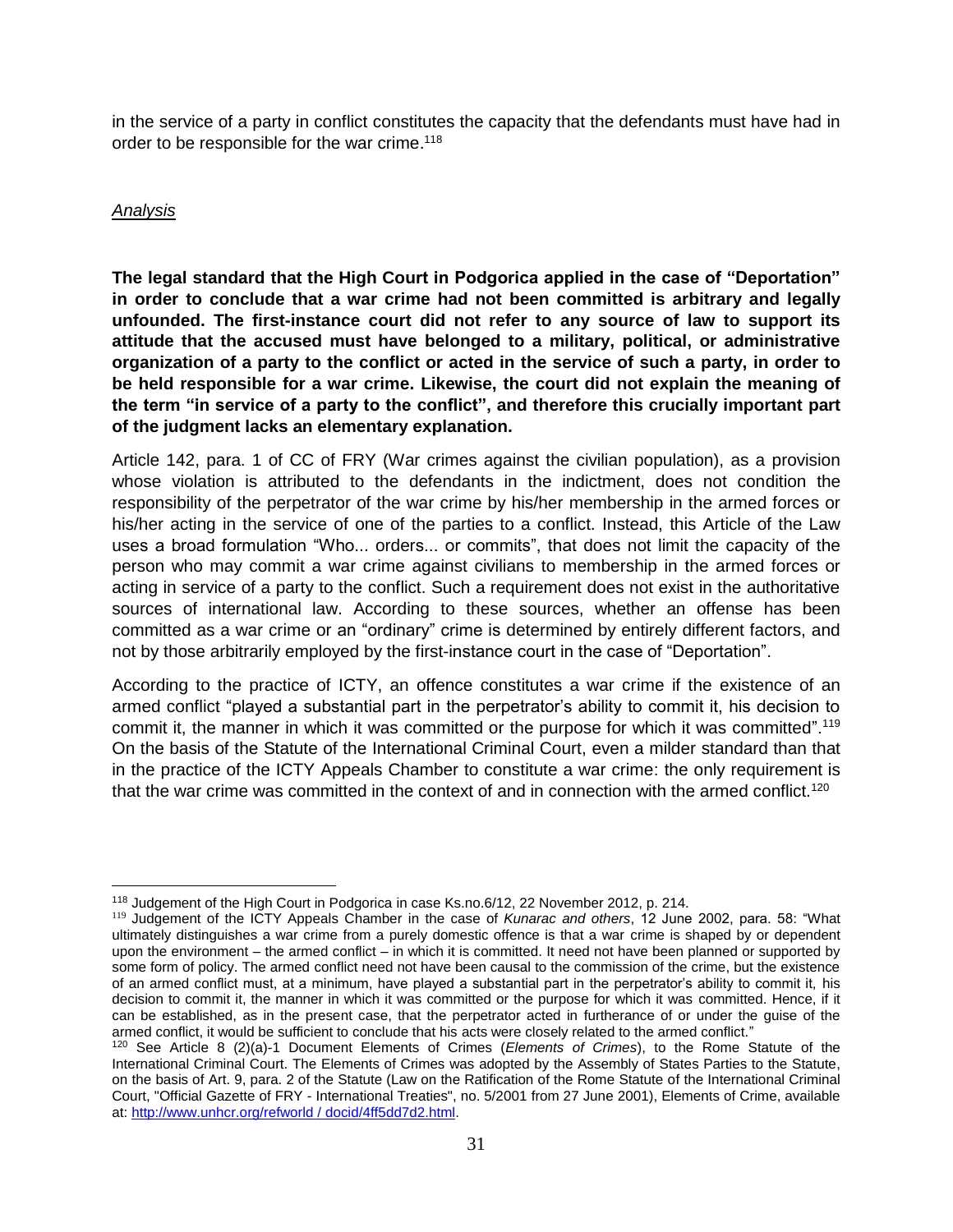in the service of a party in conflict constitutes the capacity that the defendants must have had in order to be responsible for the war crime.<sup>118</sup>

#### *Analysis*

**The legal standard that the High Court in Podgorica applied in the case of "Deportation" in order to conclude that a war crime had not been committed is arbitrary and legally unfounded. The first-instance court did not refer to any source of law to support its attitude that the accused must have belonged to a military, political, or administrative organization of a party to the conflict or acted in the service of such a party, in order to be held responsible for a war crime. Likewise, the court did not explain the meaning of the term "in service of a party to the conflict", and therefore this crucially important part of the judgment lacks an elementary explanation.**

Article 142, para. 1 of CC of FRY (War crimes against the civilian population), as a provision whose violation is attributed to the defendants in the indictment, does not condition the responsibility of the perpetrator of the war crime by his/her membership in the armed forces or his/her acting in the service of one of the parties to a conflict. Instead, this Article of the Law uses a broad formulation "Who... orders... or commits", that does not limit the capacity of the person who may commit a war crime against civilians to membership in the armed forces or acting in service of a party to the conflict. Such a requirement does not exist in the authoritative sources of international law. According to these sources, whether an offense has been committed as a war crime or an "ordinary" crime is determined by entirely different factors, and not by those arbitrarily employed by the first-instance court in the case of "Deportation".

According to the practice of ICTY, an offence constitutes a war crime if the existence of an armed conflict "played a substantial part in the perpetrator's ability to commit it, his decision to commit it, the manner in which it was committed or the purpose for which it was committed".<sup>119</sup> On the basis of the Statute of the International Criminal Court, even a milder standard than that in the practice of the ICTY Appeals Chamber to constitute a war crime: the only requirement is that the war crime was committed in the context of and in connection with the armed conflict.<sup>120</sup>

 $\overline{\phantom{a}}$ <sup>118</sup> Judgement of the High Court in Podgorica in case Ks.no.6/12, 22 November 2012, p. 214.

<sup>119</sup> Judgement of the ICTY Appeals Chamber in the case of *Kunarac and others*, 12 June 2002, para. 58: "What ultimately distinguishes a war crime from a purely domestic offence is that a war crime is shaped by or dependent upon the environment – the armed conflict – in which it is committed. It need not have been planned or supported by some form of policy. The armed conflict need not have been causal to the commission of the crime, but the existence of an armed conflict must, at a minimum, have played a substantial part in the perpetrator's ability to commit it, his decision to commit it, the manner in which it was committed or the purpose for which it was committed. Hence, if it can be established, as in the present case, that the perpetrator acted in furtherance of or under the guise of the armed conflict, it would be sufficient to conclude that his acts were closely related to the armed conflict."

<sup>120</sup> See Article 8 (2)(a)-1 Document Elements of Crimes (*Elements of Crimes*), to the Rome Statute of the International Criminal Court. The Elements of Crimes was adopted by the Assembly of States Parties to the Statute, on the basis of Art. 9, para. 2 of the Statute (Law on the Ratification of the Rome Statute of the International Criminal Court, "Official Gazette of FRY - International Treaties", no. 5/2001 from 27 June 2001), Elements of Crime, available at: [http://www.unhcr.org/refworld / docid/4ff5dd7d2.html.](http://www.unhcr.org/refworld%20/%20docid/4ff5dd7d2.html)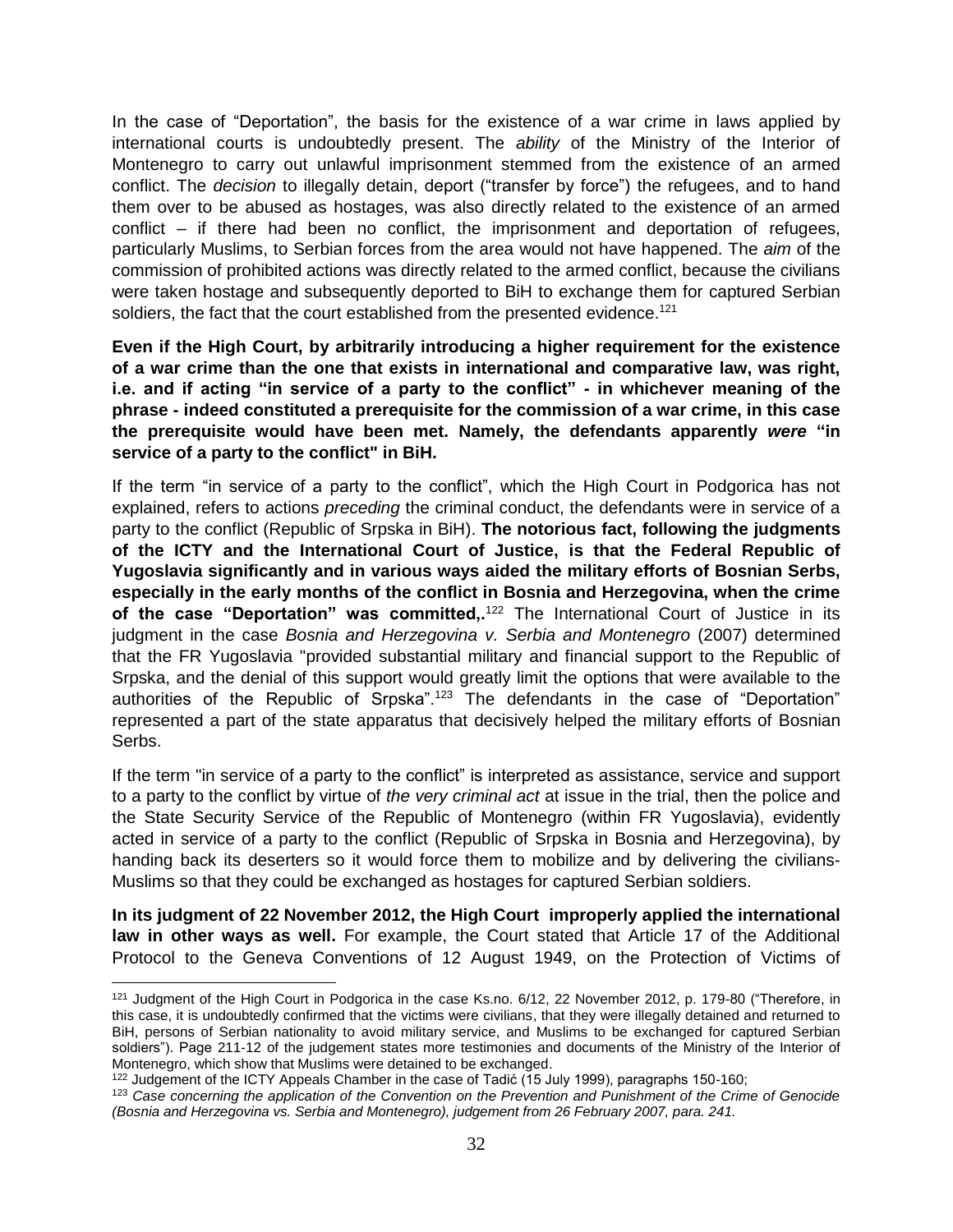In the case of "Deportation", the basis for the existence of a war crime in laws applied by international courts is undoubtedly present. The *ability* of the Ministry of the Interior of Montenegro to carry out unlawful imprisonment stemmed from the existence of an armed conflict. The *decision* to illegally detain, deport ("transfer by force") the refugees, and to hand them over to be abused as hostages, was also directly related to the existence of an armed conflict – if there had been no conflict, the imprisonment and deportation of refugees, particularly Muslims, to Serbian forces from the area would not have happened. The *aim* of the commission of prohibited actions was directly related to the armed conflict, because the civilians were taken hostage and subsequently deported to BiH to exchange them for captured Serbian soldiers, the fact that the court established from the presented evidence.<sup>121</sup>

**Even if the High Court, by arbitrarily introducing a higher requirement for the existence of a war crime than the one that exists in international and comparative law, was right, i.e. and if acting "in service of a party to the conflict" - in whichever meaning of the phrase - indeed constituted a prerequisite for the commission of a war crime, in this case the prerequisite would have been met. Namely, the defendants apparently** *were* **"in service of a party to the conflict" in BiH.**

If the term "in service of a party to the conflict", which the High Court in Podgorica has not explained, refers to actions *preceding* the criminal conduct, the defendants were in service of a party to the conflict (Republic of Srpska in BiH). **The notorious fact, following the judgments of the ICTY and the International Court of Justice, is that the Federal Republic of Yugoslavia significantly and in various ways aided the military efforts of Bosnian Serbs, especially in the early months of the conflict in Bosnia and Herzegovina, when the crime**  of the case "Deportation" was committed,.<sup>122</sup> The International Court of Justice in its judgment in the case *Bosnia and Herzegovina v. Serbia and Montenegro* (2007) determined that the FR Yugoslavia "provided substantial military and financial support to the Republic of Srpska, and the denial of this support would greatly limit the options that were available to the authorities of the Republic of Srpska".<sup>123</sup> The defendants in the case of "Deportation" represented a part of the state apparatus that decisively helped the military efforts of Bosnian Serbs.

If the term "in service of a party to the conflict" is interpreted as assistance, service and support to a party to the conflict by virtue of *the very criminal act* at issue in the trial, then the police and the State Security Service of the Republic of Montenegro (within FR Yugoslavia), evidently acted in service of a party to the conflict (Republic of Srpska in Bosnia and Herzegovina), by handing back its deserters so it would force them to mobilize and by delivering the civilians-Muslims so that they could be exchanged as hostages for captured Serbian soldiers.

**In its judgment of 22 November 2012, the High Court improperly applied the international law in other ways as well.** For example, the Court stated that Article 17 of the Additional Protocol to the Geneva Conventions of 12 August 1949, on the Protection of Victims of

<sup>121</sup> Judgment of the High Court in Podgorica in the case Ks.no. 6/12, 22 November 2012, p. 179-80 ("Therefore, in this case, it is undoubtedly confirmed that the victims were civilians, that they were illegally detained and returned to BiH, persons of Serbian nationality to avoid military service, and Muslims to be exchanged for captured Serbian soldiers"). Page 211-12 of the judgement states more testimonies and documents of the Ministry of the Interior of Montenegro, which show that Muslims were detained to be exchanged.

<sup>&</sup>lt;sup>122</sup> Judgement of the ICTY Appeals Chamber in the case of Tadić (15 July 1999), paragraphs 150-160;

<sup>123</sup> *Case concerning the application of the Convention on the Prevention and Punishment of the Crime of Genocide (Bosnia and Herzegovina vs. Serbia and Montenegro), judgement from 26 February 2007, para. 241.*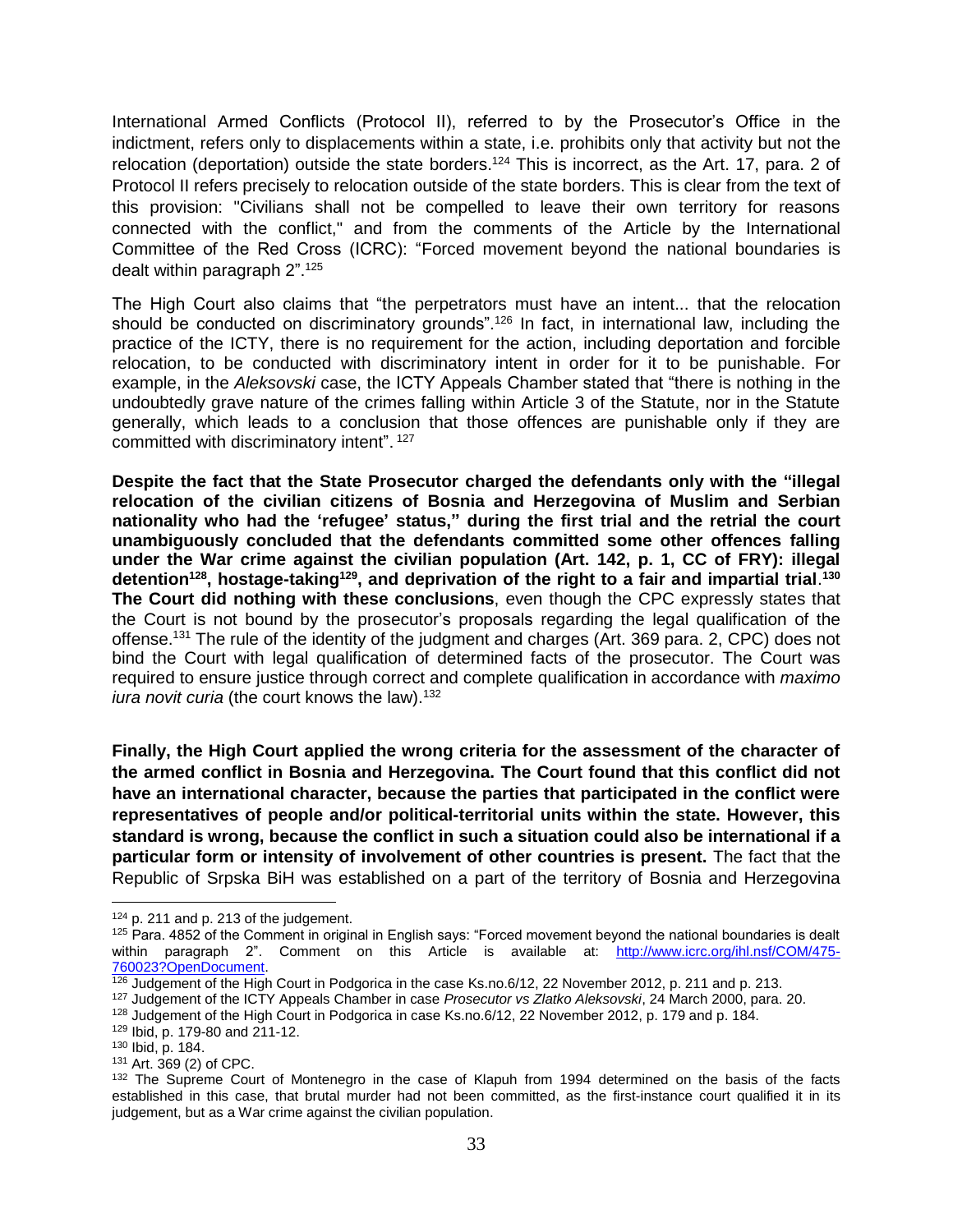International Armed Conflicts (Protocol II), referred to by the Prosecutor's Office in the indictment, refers only to displacements within a state, i.e. prohibits only that activity but not the relocation (deportation) outside the state borders.<sup>124</sup> This is incorrect, as the Art. 17, para. 2 of Protocol II refers precisely to relocation outside of the state borders. This is clear from the text of this provision: "Civilians shall not be compelled to leave their own territory for reasons connected with the conflict," and from the comments of the Article by the International Committee of the Red Cross (ICRC): "Forced movement beyond the national boundaries is dealt within paragraph 2".<sup>125</sup>

The High Court also claims that "the perpetrators must have an intent... that the relocation should be conducted on discriminatory grounds".<sup>126</sup> In fact, in international law, including the practice of the ICTY, there is no requirement for the action, including deportation and forcible relocation, to be conducted with discriminatory intent in order for it to be punishable. For example, in the *Aleksovski* case, the ICTY Appeals Chamber stated that "there is nothing in the undoubtedly grave nature of the crimes falling within Article 3 of the Statute, nor in the Statute generally, which leads to a conclusion that those offences are punishable only if they are committed with discriminatory intent". <sup>127</sup>

**Despite the fact that the State Prosecutor charged the defendants only with the "illegal relocation of the civilian citizens of Bosnia and Herzegovina of Muslim and Serbian nationality who had the 'refugee' status," during the first trial and the retrial the court unambiguously concluded that the defendants committed some other offences falling under the War crime against the civilian population (Art. 142, p. 1, CC of FRY): illegal detention<sup>128</sup>, hostage-taking<sup>129</sup>, and deprivation of the right to a fair and impartial trial**. **130 The Court did nothing with these conclusions**, even though the CPC expressly states that the Court is not bound by the prosecutor's proposals regarding the legal qualification of the offense.<sup>131</sup> The rule of the identity of the judgment and charges (Art. 369 para. 2, CPC) does not bind the Court with legal qualification of determined facts of the prosecutor. The Court was required to ensure justice through correct and complete qualification in accordance with *maximo iura novit curia* (the court knows the law).<sup>132</sup>

**Finally, the High Court applied the wrong criteria for the assessment of the character of the armed conflict in Bosnia and Herzegovina. The Court found that this conflict did not have an international character, because the parties that participated in the conflict were representatives of people and/or political-territorial units within the state. However, this standard is wrong, because the conflict in such a situation could also be international if a particular form or intensity of involvement of other countries is present.** The fact that the Republic of Srpska BiH was established on a part of the territory of Bosnia and Herzegovina

 $124$  p. 211 and p. 213 of the judgement.

<sup>125</sup> Para. 4852 of the Comment in original in English says: "Forced movement beyond the national boundaries is dealt within paragraph 2". Comment on this Article is available at: [http://www.icrc.org/ihl.nsf/COM/475-](http://www.icrc.org/ihl.nsf/COM/475-760023?OpenDocument) [760023?OpenDocument.](http://www.icrc.org/ihl.nsf/COM/475-760023?OpenDocument)

<sup>126</sup> Judgement of the High Court in Podgorica in the case Ks.no.6/12, 22 November 2012, p. 211 and p. 213.

<sup>127</sup> Judgement of the ICTY Appeals Chamber in case *Prosecutor vs Zlatko Aleksovski*, 24 March 2000, para. 20.

<sup>128</sup> Judgement of the High Court in Podgorica in case Ks.no.6/12, 22 November 2012, p. 179 and p. 184.

<sup>129</sup> Ibid, p. 179-80 and 211-12.

<sup>130</sup> Ibid, p. 184.

<sup>131</sup> Art. 369 (2) of CPC.

<sup>&</sup>lt;sup>132</sup> The Supreme Court of Montenegro in the case of Klapuh from 1994 determined on the basis of the facts established in this case, that brutal murder had not been committed, as the first-instance court qualified it in its judgement, but as a War crime against the civilian population.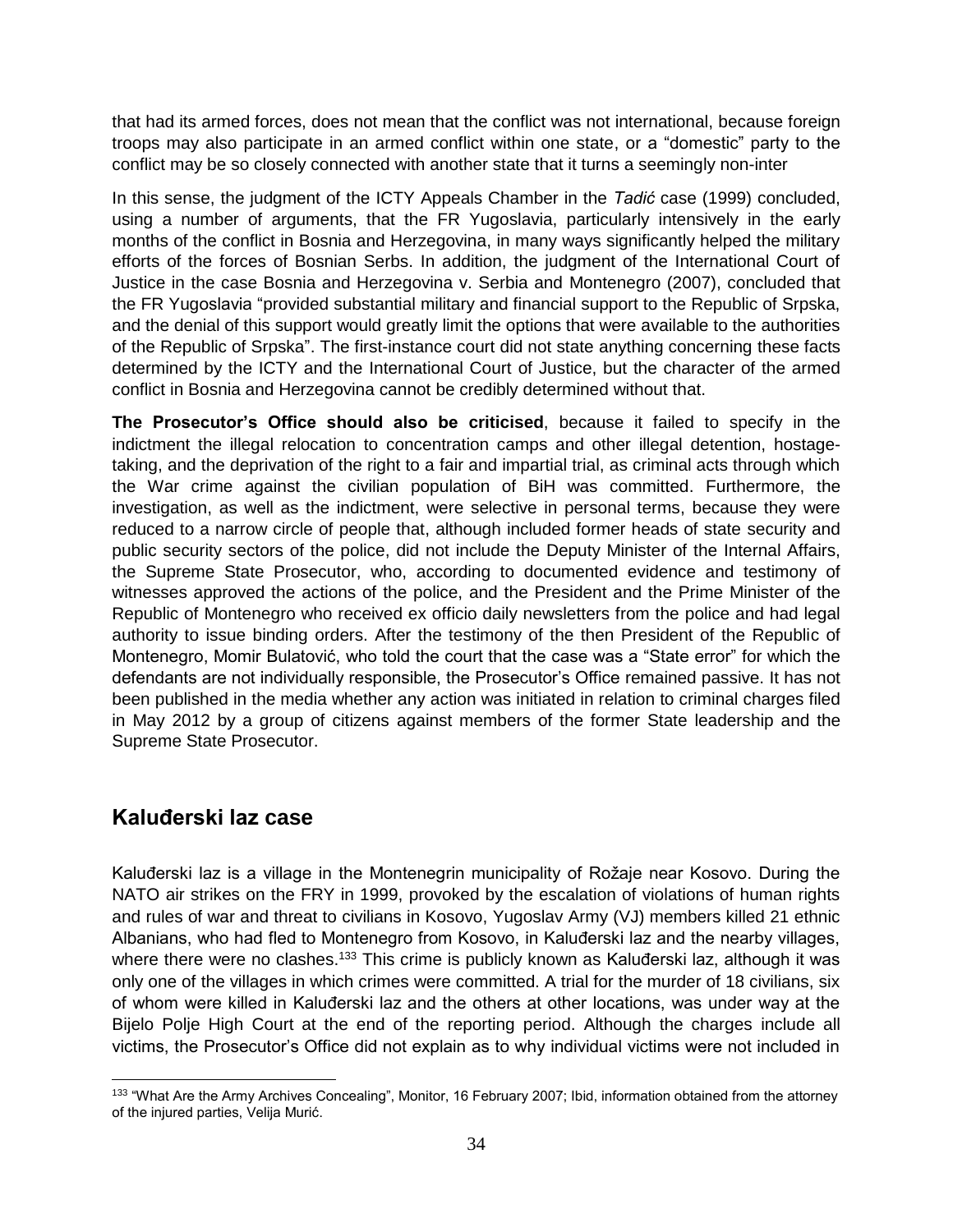that had its armed forces, does not mean that the conflict was not international, because foreign troops may also participate in an armed conflict within one state, or a "domestic" party to the conflict may be so closely connected with another state that it turns a seemingly non-inter

In this sense, the judgment of the ICTY Appeals Chamber in the *Tadić* case (1999) concluded, using a number of arguments, that the FR Yugoslavia, particularly intensively in the early months of the conflict in Bosnia and Herzegovina, in many ways significantly helped the military efforts of the forces of Bosnian Serbs. In addition, the judgment of the International Court of Justice in the case Bosnia and Herzegovina v. Serbia and Montenegro (2007), concluded that the FR Yugoslavia "provided substantial military and financial support to the Republic of Srpska, and the denial of this support would greatly limit the options that were available to the authorities of the Republic of Srpska". The first-instance court did not state anything concerning these facts determined by the ICTY and the International Court of Justice, but the character of the armed conflict in Bosnia and Herzegovina cannot be credibly determined without that.

**The Prosecutor's Office should also be criticised**, because it failed to specify in the indictment the illegal relocation to concentration camps and other illegal detention, hostagetaking, and the deprivation of the right to a fair and impartial trial, as criminal acts through which the War crime against the civilian population of BiH was committed. Furthermore, the investigation, as well as the indictment, were selective in personal terms, because they were reduced to a narrow circle of people that, although included former heads of state security and public security sectors of the police, did not include the Deputy Minister of the Internal Affairs, the Supreme State Prosecutor, who, according to documented evidence and testimony of witnesses approved the actions of the police, and the President and the Prime Minister of the Republic of Montenegro who received ex officio daily newsletters from the police and had legal authority to issue binding orders. After the testimony of the then President of the Republic of Montenegro, Momir Bulatović, who told the court that the case was a "State error" for which the defendants are not individually responsible, the Prosecutor's Office remained passive. It has not been published in the media whether any action was initiated in relation to criminal charges filed in May 2012 by a group of citizens against members of the former State leadership and the Supreme State Prosecutor.

## <span id="page-33-0"></span>**Kaluđerski laz case**

Kaluđerski laz is a village in the Montenegrin municipality of Rožaje near Kosovo. During the NATO air strikes on the FRY in 1999, provoked by the escalation of violations of human rights and rules of war and threat to civilians in Kosovo, Yugoslav Army (VJ) members killed 21 ethnic Albanians, who had fled to Montenegro from Kosovo, in Kaluđerski laz and the nearby villages, where there were no clashes.<sup>133</sup> This crime is publicly known as Kaluđerski laz, although it was only one of the villages in which crimes were committed. A trial for the murder of 18 civilians, six of whom were killed in Kaluđerski laz and the others at other locations, was under way at the Bijelo Polje High Court at the end of the reporting period. Although the charges include all victims, the Prosecutor's Office did not explain as to why individual victims were not included in

 $\overline{a}$ 133 "What Are the Army Archives Concealing", Monitor, 16 February 2007; Ibid, information obtained from the attorney of the injured parties, Velija Murić.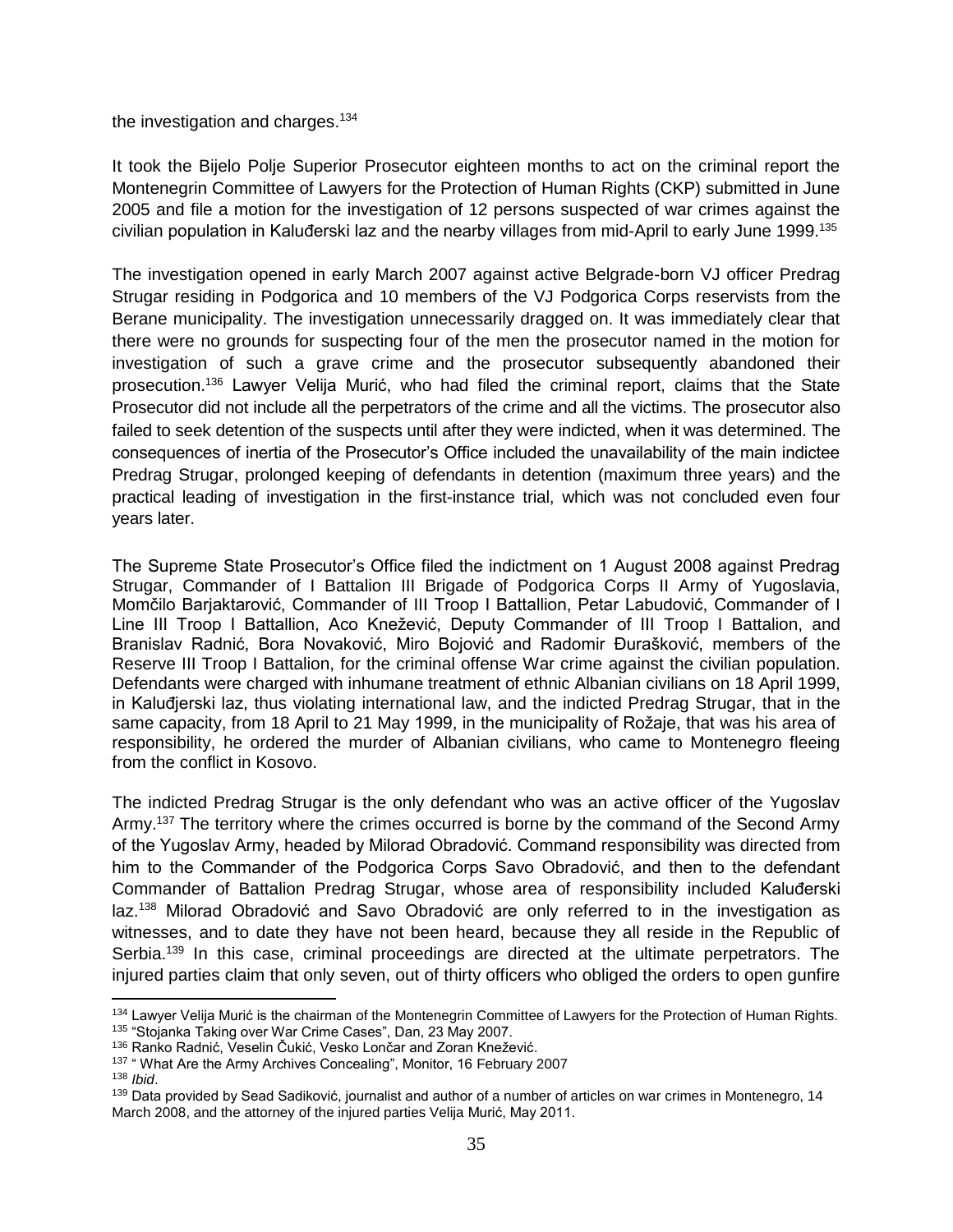#### the investigation and charges.<sup>134</sup>

It took the Bijelo Polje Superior Prosecutor eighteen months to act on the criminal report the Montenegrin Committee of Lawyers for the Protection of Human Rights (CKP) submitted in June 2005 and file a motion for the investigation of 12 persons suspected of war crimes against the civilian population in Kaluđerski laz and the nearby villages from mid-April to early June 1999.<sup>135</sup>

The investigation opened in early March 2007 against active Belgrade-born VJ officer Predrag Strugar residing in Podgorica and 10 members of the VJ Podgorica Corps reservists from the Berane municipality. The investigation unnecessarily dragged on. It was immediately clear that there were no grounds for suspecting four of the men the prosecutor named in the motion for investigation of such a grave crime and the prosecutor subsequently abandoned their prosecution. <sup>136</sup> Lawyer Velija Murić, who had filed the criminal report, claims that the State Prosecutor did not include all the perpetrators of the crime and all the victims. The prosecutor also failed to seek detention of the suspects until after they were indicted, when it was determined. The consequences of inertia of the Prosecutor's Office included the unavailability of the main indictee Predrag Strugar, prolonged keeping of defendants in detention (maximum three years) and the practical leading of investigation in the first-instance trial, which was not concluded even four years later.

The Supreme State Prosecutor's Office filed the indictment on 1 August 2008 against Predrag Strugar, Commander of I Battalion III Brigade of Podgorica Corps II Army of Yugoslavia, Momčilo Barjaktarović, Commander of III Troop I Battallion, Petar Labudović, Commander of I Line III Troop I Battallion, Aco Knežević, Deputy Commander of III Troop I Battalion, and Branislav Radnić, Bora Novaković, Miro Bojović and Radomir Đurašković, members of the Reserve III Troop I Battalion, for the criminal offense War crime against the civilian population. Defendants were charged with inhumane treatment of ethnic Albanian civilians on 18 April 1999, in Kaluđjerski laz, thus violating international law, and the indicted Predrag Strugar, that in the same capacity, from 18 April to 21 May 1999, in the municipality of Rožaje, that was his area of responsibility, he ordered the murder of Albanian civilians, who came to Montenegro fleeing from the conflict in Kosovo.

The indicted Predrag Strugar is the only defendant who was an active officer of the Yugoslav Army.<sup>137</sup> The territory where the crimes occurred is borne by the command of the Second Army of the Yugoslav Army, headed by Milorad Obradović. Command responsibility was directed from him to the Commander of the Podgorica Corps Savo Obradović, and then to the defendant Commander of Battalion Predrag Strugar, whose area of responsibility included Kaluđerski laz.<sup>138</sup> Milorad Obradović and Savo Obradović are only referred to in the investigation as witnesses, and to date they have not been heard, because they all reside in the Republic of Serbia.<sup>139</sup> In this case, criminal proceedings are directed at the ultimate perpetrators. The injured parties claim that only seven, out of thirty officers who obliged the orders to open gunfire

 $\overline{a}$ 

<sup>&</sup>lt;sup>134</sup> Lawyer Velija Murić is the chairman of the Montenegrin Committee of Lawyers for the Protection of Human Rights. <sup>135</sup> "Stojanka Taking over War Crime Cases", Dan, 23 May 2007.

<sup>136</sup> Ranko Radnić, Veselin Čukić, Vesko Lončar and Zoran Knežević.

<sup>&</sup>lt;sup>137</sup> " What Are the Army Archives Concealing", Monitor, 16 February 2007

<sup>138</sup> *Ibid*.

<sup>&</sup>lt;sup>139</sup> Data provided by Sead Sadiković, journalist and author of a number of articles on war crimes in Montenegro, 14 March 2008, and the attorney of the injured parties Velija Murić, May 2011.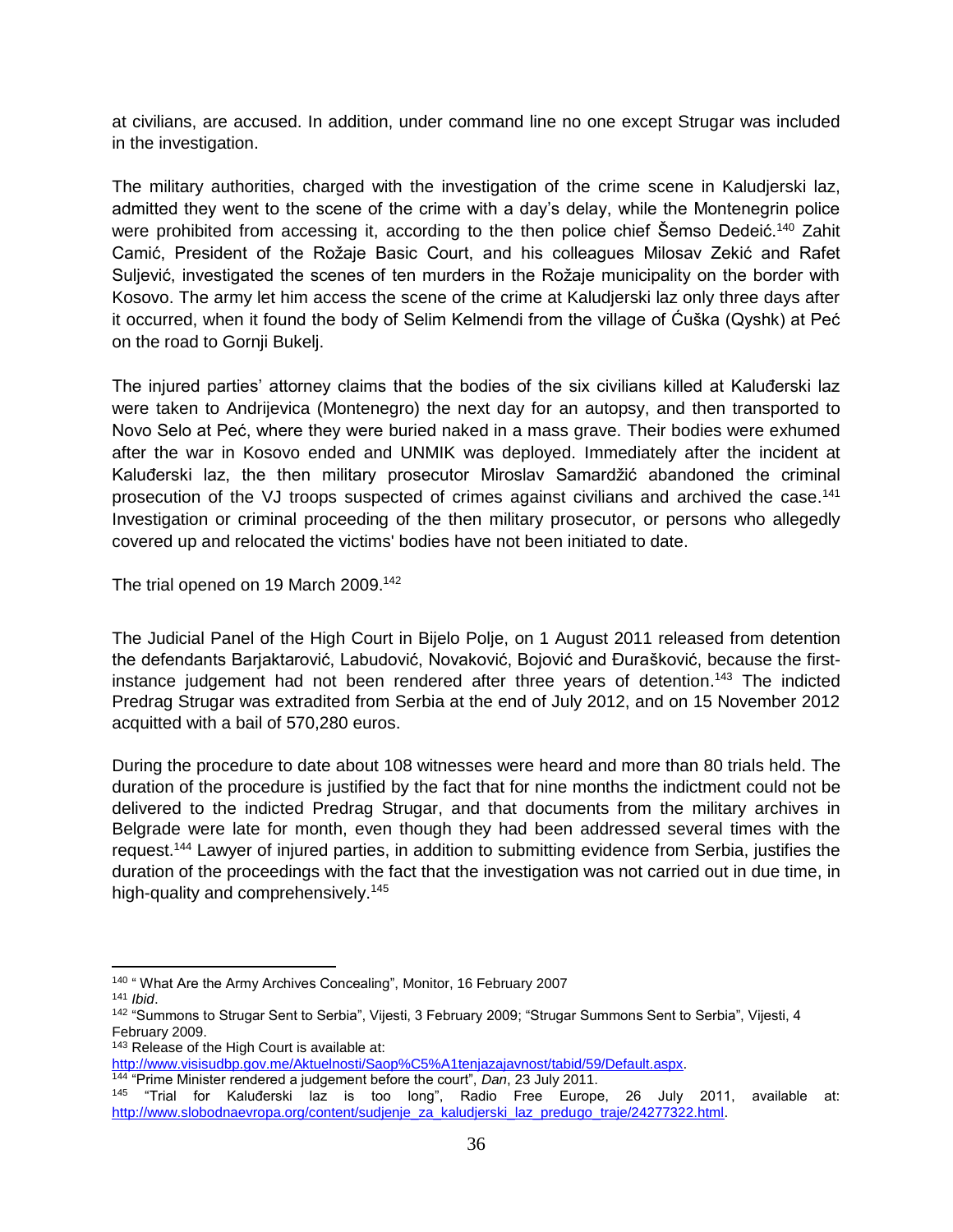at civilians, are accused. In addition, under command line no one except Strugar was included in the investigation.

The military authorities, charged with the investigation of the crime scene in Kaludjerski laz, admitted they went to the scene of the crime with a day's delay, while the Montenegrin police were prohibited from accessing it, according to the then police chief Šemso Dedeić.<sup>140</sup> Zahit Camić, President of the Rožaje Basic Court, and his colleagues Milosav Zekić and Rafet Suljević, investigated the scenes of ten murders in the Rožaje municipality on the border with Kosovo. The army let him access the scene of the crime at Kaludjerski laz only three days after it occurred, when it found the body of Selim Kelmendi from the village of Ćuška (Qyshk) at Peć on the road to Gornji Bukelj.

The injured parties' attorney claims that the bodies of the six civilians killed at Kaluđerski laz were taken to Andrijevica (Montenegro) the next day for an autopsy, and then transported to Novo Selo at Peć, where they were buried naked in a mass grave. Their bodies were exhumed after the war in Kosovo ended and UNMIK was deployed. Immediately after the incident at Kaluđerski laz, the then military prosecutor Miroslav Samardžić abandoned the criminal prosecution of the VJ troops suspected of crimes against civilians and archived the case.<sup>141</sup> Investigation or criminal proceeding of the then military prosecutor, or persons who allegedly covered up and relocated the victims' bodies have not been initiated to date.

The trial opened on 19 March 2009.<sup>142</sup>

The Judicial Panel of the High Court in Bijelo Polje, on 1 August 2011 released from detention the defendants Barjaktarović, Labudović, Novaković, Bojović and Đurašković, because the firstinstance judgement had not been rendered after three years of detention. <sup>143</sup> The indicted Predrag Strugar was extradited from Serbia at the end of July 2012, and on 15 November 2012 acquitted with a bail of 570,280 euros.

During the procedure to date about 108 witnesses were heard and more than 80 trials held. The duration of the procedure is justified by the fact that for nine months the indictment could not be delivered to the indicted Predrag Strugar, and that documents from the military archives in Belgrade were late for month, even though they had been addressed several times with the request.<sup>144</sup> Lawyer of injured parties, in addition to submitting evidence from Serbia, justifies the duration of the proceedings with the fact that the investigation was not carried out in due time, in high-quality and comprehensively.<sup>145</sup>

<sup>143</sup> Release of the High Court is available at:

[http://www.visisudbp.gov.me/Aktuelnosti/Saop%C5%A1tenjazajavnost/tabid/59/Default.aspx.](http://www.visisudbp.gov.me/Aktuelnosti/Saop%C5%A1tenjazajavnost/tabid/59/Default.aspx) <sup>144</sup> "Prime Minister rendered a judgement before the court", *Dan*, 23 July 2011.

 $\overline{\phantom{a}}$ <sup>140</sup> " What Are the Army Archives Concealing", Monitor, 16 February 2007

<sup>141</sup> *Ibid*.

<sup>&</sup>lt;sup>142</sup> "Summons to Strugar Sent to Serbia", Vijesti, 3 February 2009; "Strugar Summons Sent to Serbia", Vijesti, 4 February 2009.

<sup>145</sup> "Trial for Kaluđerski laz is too long", Radio Free Europe, 26 July 2011, available at: [http://www.slobodnaevropa.org/content/sudjenje\\_za\\_kaludjerski\\_laz\\_predugo\\_traje/24277322.html.](http://www.slobodnaevropa.org/content/sudjenje_za_kaludjerski_laz_predugo_traje/24277322.html)